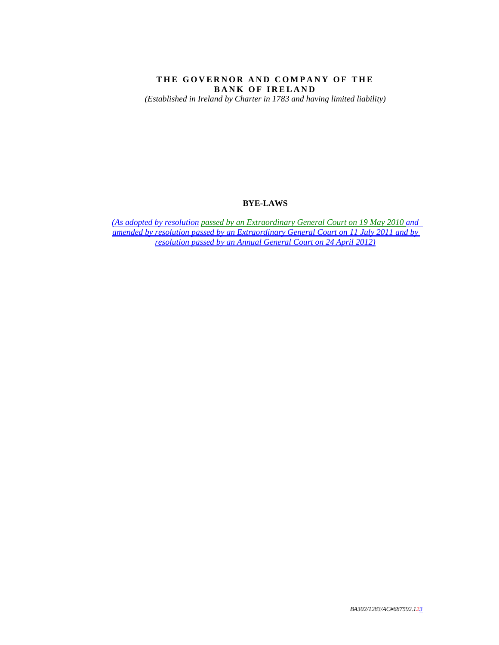# THE GOVERNOR AND COMPANY OF THE **BANK OF IRELAND**

*(Established in Ireland by Charter in 1783 and having limited liability)* 

## **BYE-LAWS**

*(As adopted by resolution passed by an Extraordinary General Court on 19 May 2010 and amended by resolution passed by an Extraordinary General Court on 11 July 2011 and by resolution passed by an Annual General Court on 24 April 2012)*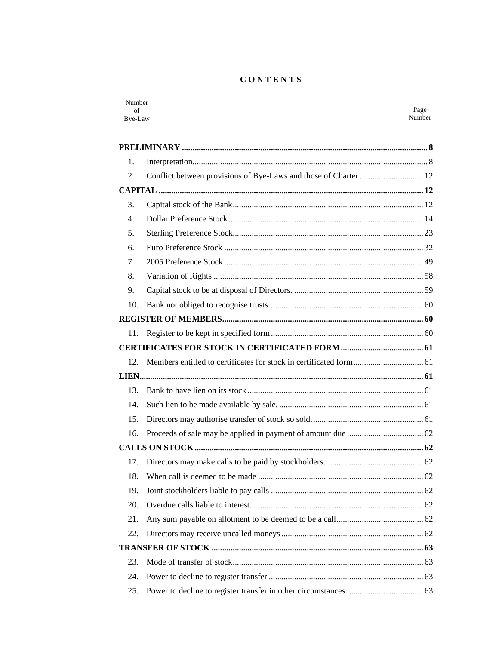# **CONTENTS**

| Number<br>of<br>Bye-Law |                                                                  | Page<br>Number |
|-------------------------|------------------------------------------------------------------|----------------|
|                         |                                                                  |                |
|                         |                                                                  |                |
| 1.                      |                                                                  |                |
| 2.                      | Conflict between provisions of Bye-Laws and those of Charter  12 |                |
|                         |                                                                  |                |
| 3.                      |                                                                  |                |
| $\overline{4}$ .        |                                                                  |                |
| 5.                      |                                                                  |                |
| 6.                      |                                                                  |                |
| 7.                      |                                                                  |                |
| 8.                      |                                                                  |                |
| 9.                      |                                                                  |                |
| 10.                     |                                                                  |                |
|                         |                                                                  |                |
| 11.                     |                                                                  |                |
|                         |                                                                  |                |
| 12.                     |                                                                  |                |
|                         |                                                                  |                |
| 13.                     |                                                                  |                |
| 14.                     |                                                                  |                |
| 15.                     |                                                                  |                |
| 16.                     |                                                                  |                |
|                         |                                                                  |                |
|                         |                                                                  |                |
| 18.                     |                                                                  |                |
| 19.                     |                                                                  |                |
| 20.                     |                                                                  |                |
| 21.                     |                                                                  |                |
| 22.                     |                                                                  |                |
|                         |                                                                  |                |
| 23.                     |                                                                  |                |
| 24.                     |                                                                  |                |
| 25.                     |                                                                  |                |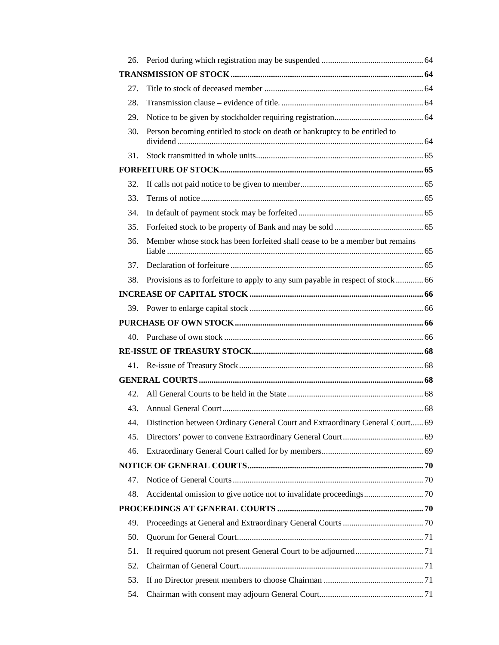| 26. |                                                                                   |  |
|-----|-----------------------------------------------------------------------------------|--|
|     |                                                                                   |  |
| 27. |                                                                                   |  |
| 28. |                                                                                   |  |
| 29. |                                                                                   |  |
| 30. | Person becoming entitled to stock on death or bankruptcy to be entitled to        |  |
| 31. |                                                                                   |  |
|     |                                                                                   |  |
| 32. |                                                                                   |  |
| 33. |                                                                                   |  |
| 34. |                                                                                   |  |
| 35. |                                                                                   |  |
| 36. | Member whose stock has been forfeited shall cease to be a member but remains      |  |
| 37. |                                                                                   |  |
| 38. | Provisions as to forfeiture to apply to any sum payable in respect of stock 66    |  |
|     |                                                                                   |  |
|     |                                                                                   |  |
|     |                                                                                   |  |
| 40. |                                                                                   |  |
|     |                                                                                   |  |
|     |                                                                                   |  |
|     |                                                                                   |  |
| 42. |                                                                                   |  |
| 43. |                                                                                   |  |
|     | 44. Distinction between Ordinary General Court and Extraordinary General Court 69 |  |
| 45. |                                                                                   |  |
| 46. |                                                                                   |  |
|     |                                                                                   |  |
| 47. |                                                                                   |  |
| 48. |                                                                                   |  |
|     |                                                                                   |  |
| 49. |                                                                                   |  |
| 50. |                                                                                   |  |
| 51. |                                                                                   |  |
|     |                                                                                   |  |
| 52. |                                                                                   |  |
| 53. |                                                                                   |  |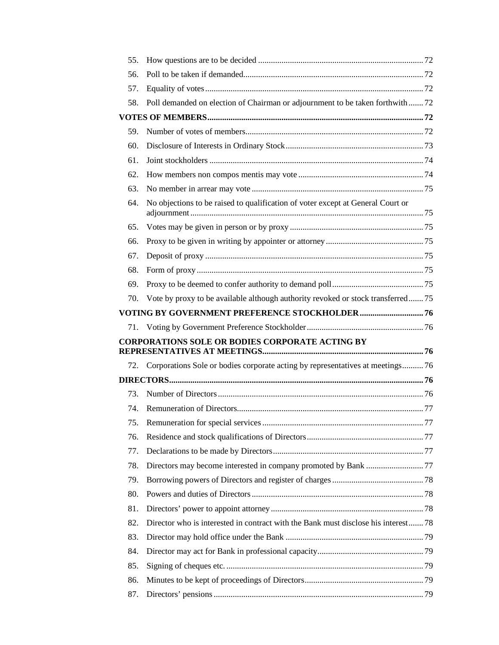| 55. |                                                                                    |  |
|-----|------------------------------------------------------------------------------------|--|
| 56. |                                                                                    |  |
| 57. |                                                                                    |  |
| 58. | Poll demanded on election of Chairman or adjournment to be taken forthwith72       |  |
|     |                                                                                    |  |
| 59. |                                                                                    |  |
| 60. |                                                                                    |  |
| 61. |                                                                                    |  |
| 62. |                                                                                    |  |
| 63. |                                                                                    |  |
| 64. | No objections to be raised to qualification of voter except at General Court or    |  |
| 65. |                                                                                    |  |
| 66. |                                                                                    |  |
| 67. |                                                                                    |  |
| 68. |                                                                                    |  |
| 69. |                                                                                    |  |
| 70. | Vote by proxy to be available although authority revoked or stock transferred 75   |  |
|     |                                                                                    |  |
|     |                                                                                    |  |
| 71. |                                                                                    |  |
|     | <b>CORPORATIONS SOLE OR BODIES CORPORATE ACTING BY</b>                             |  |
| 72. | Corporations Sole or bodies corporate acting by representatives at meetings76      |  |
|     |                                                                                    |  |
| 73. |                                                                                    |  |
| 74. |                                                                                    |  |
| 75. |                                                                                    |  |
| 76. |                                                                                    |  |
| 77. |                                                                                    |  |
| 78. |                                                                                    |  |
| 79. |                                                                                    |  |
| 80. |                                                                                    |  |
| 81. |                                                                                    |  |
| 82. | Director who is interested in contract with the Bank must disclose his interest 78 |  |
| 83. |                                                                                    |  |
| 84. |                                                                                    |  |
| 85. |                                                                                    |  |
| 86. |                                                                                    |  |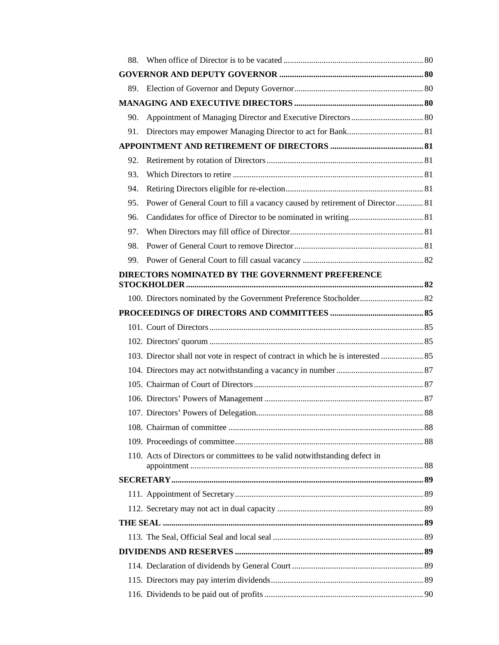| 88. |                                                                                   |  |
|-----|-----------------------------------------------------------------------------------|--|
|     |                                                                                   |  |
| 89. |                                                                                   |  |
|     |                                                                                   |  |
| 90. |                                                                                   |  |
| 91. |                                                                                   |  |
|     |                                                                                   |  |
| 92. |                                                                                   |  |
| 93. |                                                                                   |  |
| 94. |                                                                                   |  |
| 95. | Power of General Court to fill a vacancy caused by retirement of Director 81      |  |
| 96. |                                                                                   |  |
| 97. |                                                                                   |  |
| 98. |                                                                                   |  |
| 99. |                                                                                   |  |
|     | DIRECTORS NOMINATED BY THE GOVERNMENT PREFERENCE                                  |  |
|     | 100. Directors nominated by the Government Preference Stocholder 82               |  |
|     |                                                                                   |  |
|     |                                                                                   |  |
|     |                                                                                   |  |
|     | 103. Director shall not vote in respect of contract in which he is interested  85 |  |
|     |                                                                                   |  |
|     |                                                                                   |  |
|     |                                                                                   |  |
|     |                                                                                   |  |
|     |                                                                                   |  |
|     |                                                                                   |  |
|     | 110. Acts of Directors or committees to be valid notwithstanding defect in        |  |
|     |                                                                                   |  |
|     |                                                                                   |  |
|     |                                                                                   |  |
|     |                                                                                   |  |
|     |                                                                                   |  |
|     |                                                                                   |  |
|     |                                                                                   |  |
|     |                                                                                   |  |
|     |                                                                                   |  |
|     |                                                                                   |  |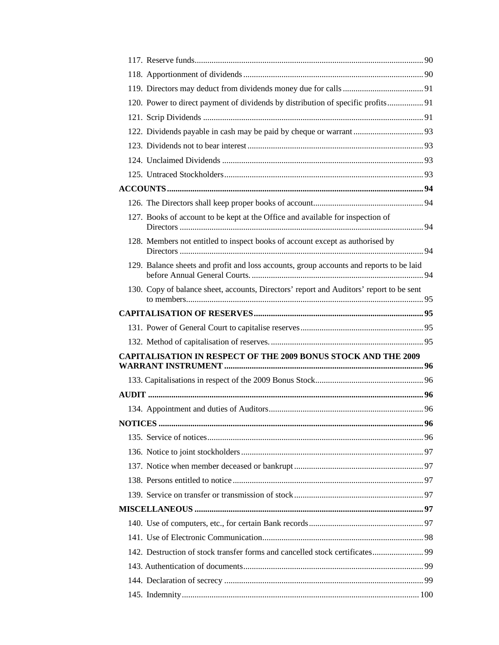| 120. Power to direct payment of dividends by distribution of specific profits 91        |  |
|-----------------------------------------------------------------------------------------|--|
|                                                                                         |  |
|                                                                                         |  |
|                                                                                         |  |
|                                                                                         |  |
|                                                                                         |  |
|                                                                                         |  |
|                                                                                         |  |
| 127. Books of account to be kept at the Office and available for inspection of          |  |
| 128. Members not entitled to inspect books of account except as authorised by           |  |
| 129. Balance sheets and profit and loss accounts, group accounts and reports to be laid |  |
| 130. Copy of balance sheet, accounts, Directors' report and Auditors' report to be sent |  |
|                                                                                         |  |
|                                                                                         |  |
|                                                                                         |  |
|                                                                                         |  |
| <b>CAPITALISATION IN RESPECT OF THE 2009 BONUS STOCK AND THE 2009</b>                   |  |
|                                                                                         |  |
|                                                                                         |  |
|                                                                                         |  |
|                                                                                         |  |
|                                                                                         |  |
|                                                                                         |  |
|                                                                                         |  |
|                                                                                         |  |
|                                                                                         |  |
|                                                                                         |  |
|                                                                                         |  |
|                                                                                         |  |
| 142. Destruction of stock transfer forms and cancelled stock certificates 99            |  |
|                                                                                         |  |
|                                                                                         |  |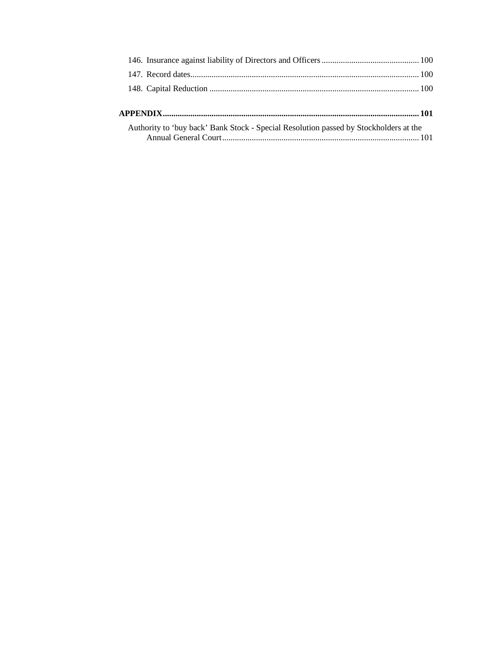| Authority to 'buy back' Bank Stock - Special Resolution passed by Stockholders at the |  |
|---------------------------------------------------------------------------------------|--|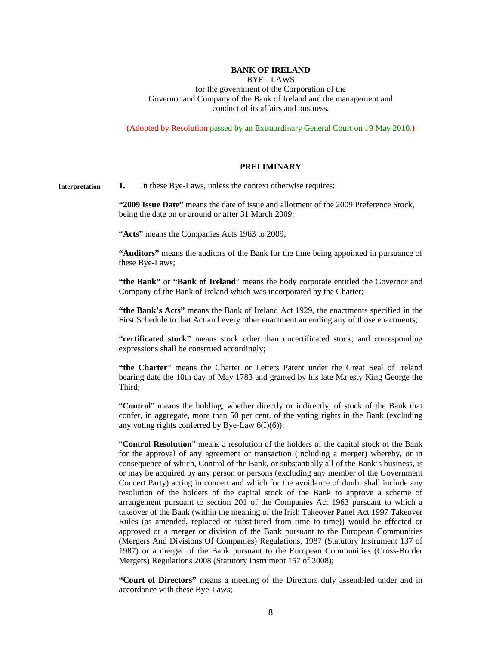### **BANK OF IRELAND**

BYE - LAWS

for the government of the Corporation of the Governor and Company of the Bank of Ireland and the management and conduct of its affairs and business.

(Adopted by Resolution passed by an Extraordinary General Court on 19 May 2010.)

#### **PRELIMINARY**

**1.** In these Bye-Laws, unless the context otherwise requires: **Interpretation** 

> **"2009 Issue Date"** means the date of issue and allotment of the 2009 Preference Stock, being the date on or around or after 31 March 2009;

**"Acts"** means the Companies Acts 1963 to 2009;

**"Auditors"** means the auditors of the Bank for the time being appointed in pursuance of these Bye-Laws;

"the Bank" or "Bank of Ireland" means the body corporate entitled the Governor and Company of the Bank of Ireland which was incorporated by the Charter;

**"the Bank's Acts"** means the Bank of Ireland Act 1929, the enactments specified in the First Schedule to that Act and every other enactment amending any of those enactments;

**"certificated stock"** means stock other than uncertificated stock; and corresponding expressions shall be construed accordingly;

**"the Charter**" means the Charter or Letters Patent under the Great Seal of Ireland bearing date the 10th day of May 1783 and granted by his late Majesty King George the Third;

"**Control**" means the holding, whether directly or indirectly, of stock of the Bank that confer, in aggregate, more than 50 per cent. of the voting rights in the Bank (excluding any voting rights conferred by Bye-Law  $6(I)(6)$ ;

"**Control Resolution**" means a resolution of the holders of the capital stock of the Bank for the approval of any agreement or transaction (including a merger) whereby, or in consequence of which, Control of the Bank, or substantially all of the Bank's business, is or may be acquired by any person or persons (excluding any member of the Government Concert Party) acting in concert and which for the avoidance of doubt shall include any resolution of the holders of the capital stock of the Bank to approve a scheme of arrangement pursuant to section 201 of the Companies Act 1963 pursuant to which a takeover of the Bank (within the meaning of the Irish Takeover Panel Act 1997 Takeover Rules (as amended, replaced or substituted from time to time)) would be effected or approved or a merger or division of the Bank pursuant to the European Communities (Mergers And Divisions Of Companies) Regulations, 1987 (Statutory Instrument 137 of 1987) or a merger of the Bank pursuant to the European Communities (Cross-Border Mergers) Regulations 2008 (Statutory Instrument 157 of 2008);

**"Court of Directors"** means a meeting of the Directors duly assembled under and in accordance with these Bye-Laws;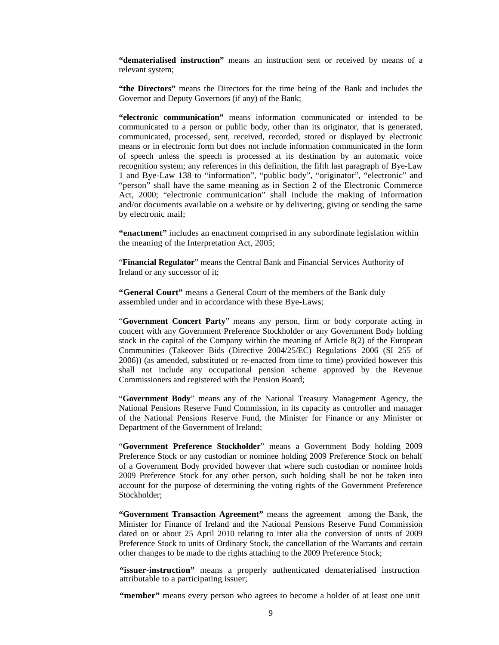**"dematerialised instruction"** means an instruction sent or received by means of a relevant system;

**"the Directors"** means the Directors for the time being of the Bank and includes the Governor and Deputy Governors (if any) of the Bank;

**"electronic communication"** means information communicated or intended to be communicated to a person or public body, other than its originator, that is generated, communicated, processed, sent, received, recorded, stored or displayed by electronic means or in electronic form but does not include information communicated in the form of speech unless the speech is processed at its destination by an automatic voice recognition system; any references in this definition, the fifth last paragraph of Bye-Law 1 and Bye-Law 138 to "information", "public body", "originator", "electronic" and "person" shall have the same meaning as in Section 2 of the Electronic Commerce Act, 2000; "electronic communication" shall include the making of information and/or documents available on a website or by delivering, giving or sending the same by electronic mail;

**"enactment"** includes an enactment comprised in any subordinate legislation within the meaning of the Interpretation Act, 2005;

"**Financial Regulator**" means the Central Bank and Financial Services Authority of Ireland or any successor of it;

**"General Court"** means a General Court of the members of the Bank duly assembled under and in accordance with these Bye-Laws;

"**Government Concert Party**" means any person, firm or body corporate acting in concert with any Government Preference Stockholder or any Government Body holding stock in the capital of the Company within the meaning of Article 8(2) of the European Communities (Takeover Bids (Directive 2004/25/EC) Regulations 2006 (SI 255 of 2006)) (as amended, substituted or re-enacted from time to time) provided however this shall not include any occupational pension scheme approved by the Revenue Commissioners and registered with the Pension Board;

"**Government Body**" means any of the National Treasury Management Agency, the National Pensions Reserve Fund Commission, in its capacity as controller and manager of the National Pensions Reserve Fund, the Minister for Finance or any Minister or Department of the Government of Ireland;

"**Government Preference Stockholder**" means a Government Body holding 2009 Preference Stock or any custodian or nominee holding 2009 Preference Stock on behalf of a Government Body provided however that where such custodian or nominee holds 2009 Preference Stock for any other person, such holding shall be not be taken into account for the purpose of determining the voting rights of the Government Preference Stockholder;

**"Government Transaction Agreement"** means the agreement among the Bank, the Minister for Finance of Ireland and the National Pensions Reserve Fund Commission dated on or about 25 April 2010 relating to inter alia the conversion of units of 2009 Preference Stock to units of Ordinary Stock, the cancellation of the Warrants and certain other changes to be made to the rights attaching to the 2009 Preference Stock;

**"issuer-instruction"** means a properly authenticated dematerialised instruction attributable to a participating issuer;

"member" means every person who agrees to become a holder of at least one unit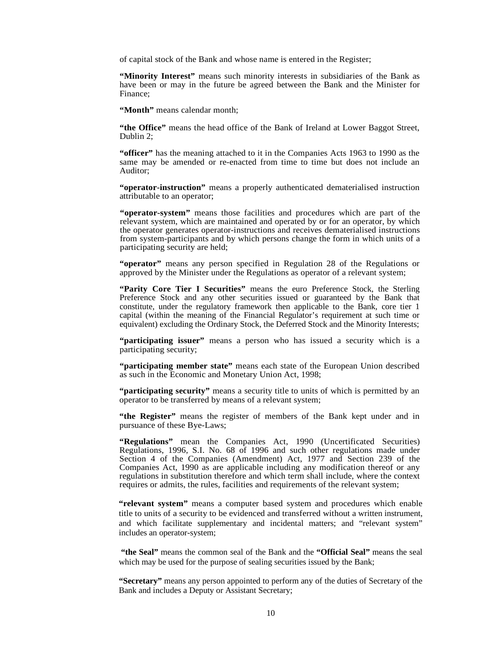of capital stock of the Bank and whose name is entered in the Register;

**"Minority Interest"** means such minority interests in subsidiaries of the Bank as have been or may in the future be agreed between the Bank and the Minister for Finance;

**"Month"** means calendar month;

**"the Office"** means the head office of the Bank of Ireland at Lower Baggot Street, Dublin 2;

**"officer"** has the meaning attached to it in the Companies Acts 1963 to 1990 as the same may be amended or re-enacted from time to time but does not include an Auditor;

**"operator-instruction"** means a properly authenticated dematerialised instruction attributable to an operator;

**"operator-system"** means those facilities and procedures which are part of the relevant system, which are maintained and operated by or for an operator, by which the operator generates operator-instructions and receives dematerialised instructions from system-participants and by which persons change the form in which units of a participating security are held;

**"operator"** means any person specified in Regulation 28 of the Regulations or approved by the Minister under the Regulations as operator of a relevant system;

**"Parity Core Tier I Securities"** means the euro Preference Stock, the Sterling Preference Stock and any other securities issued or guaranteed by the Bank that constitute, under the regulatory framework then applicable to the Bank, core tier 1 capital (within the meaning of the Financial Regulator's requirement at such time or equivalent) excluding the Ordinary Stock, the Deferred Stock and the Minority Interests;

**"participating issuer"** means a person who has issued a security which is a participating security;

**"participating member state"** means each state of the European Union described as such in the Economic and Monetary Union Act, 1998;

**"participating security"** means a security title to units of which is permitted by an operator to be transferred by means of a relevant system;

**"the Register"** means the register of members of the Bank kept under and in pursuance of these Bye-Laws;

**"Regulations"** mean the Companies Act, 1990 (Uncertificated Securities) Regulations, 1996, S.I. No. 68 of 1996 and such other regulations made under Section 4 of the Companies (Amendment) Act, 1977 and Section 239 of the Companies Act, 1990 as are applicable including any modification thereof or any regulations in substitution therefore and which term shall include, where the context requires or admits, the rules, facilities and requirements of the relevant system;

**"relevant system"** means a computer based system and procedures which enable title to units of a security to be evidenced and transferred without a written instrument, and which facilitate supplementary and incidental matters; and "relevant system" includes an operator-system;

 **"the Seal"** means the common seal of the Bank and the **"Official Seal"** means the seal which may be used for the purpose of sealing securities issued by the Bank;

**"Secretary"** means any person appointed to perform any of the duties of Secretary of the Bank and includes a Deputy or Assistant Secretary;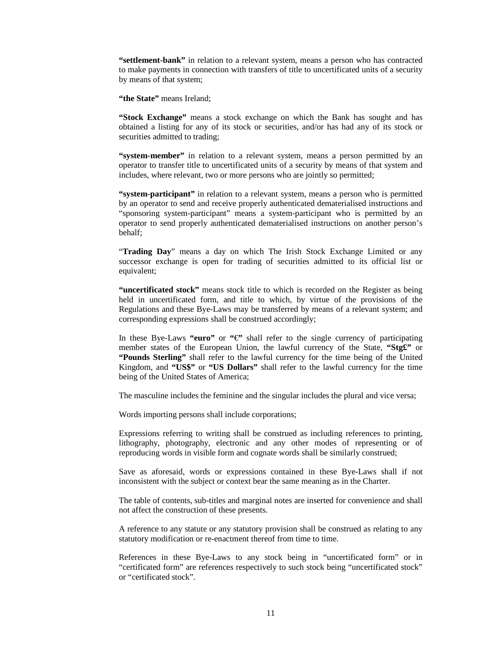**"settlement-bank"** in relation to a relevant system, means a person who has contracted to make payments in connection with transfers of title to uncertificated units of a security by means of that system;

**"the State"** means Ireland;

**"Stock Exchange"** means a stock exchange on which the Bank has sought and has obtained a listing for any of its stock or securities, and/or has had any of its stock or securities admitted to trading;

**"system-member"** in relation to a relevant system, means a person permitted by an operator to transfer title to uncertificated units of a security by means of that system and includes, where relevant, two or more persons who are jointly so permitted;

**"system-participant"** in relation to a relevant system, means a person who is permitted by an operator to send and receive properly authenticated dematerialised instructions and "sponsoring system-participant" means a system-participant who is permitted by an operator to send properly authenticated dematerialised instructions on another person's behalf;

"**Trading Day**" means a day on which The Irish Stock Exchange Limited or any successor exchange is open for trading of securities admitted to its official list or equivalent;

**"uncertificated stock"** means stock title to which is recorded on the Register as being held in uncertificated form, and title to which, by virtue of the provisions of the Regulations and these Bye-Laws may be transferred by means of a relevant system; and corresponding expressions shall be construed accordingly;

In these Bye-Laws "euro" or  $\mathscr{C}$ " shall refer to the single currency of participating member states of the European Union, the lawful currency of the State, **"Stg£"** or **"Pounds Sterling"** shall refer to the lawful currency for the time being of the United Kingdom, and **"US\$"** or **"US Dollars"** shall refer to the lawful currency for the time being of the United States of America;

The masculine includes the feminine and the singular includes the plural and vice versa;

Words importing persons shall include corporations;

Expressions referring to writing shall be construed as including references to printing, lithography, photography, electronic and any other modes of representing or of reproducing words in visible form and cognate words shall be similarly construed;

Save as aforesaid, words or expressions contained in these Bye-Laws shall if not inconsistent with the subject or context bear the same meaning as in the Charter.

The table of contents, sub-titles and marginal notes are inserted for convenience and shall not affect the construction of these presents.

A reference to any statute or any statutory provision shall be construed as relating to any statutory modification or re-enactment thereof from time to time.

References in these Bye-Laws to any stock being in "uncertificated form" or in "certificated form" are references respectively to such stock being "uncertificated stock" or "certificated stock".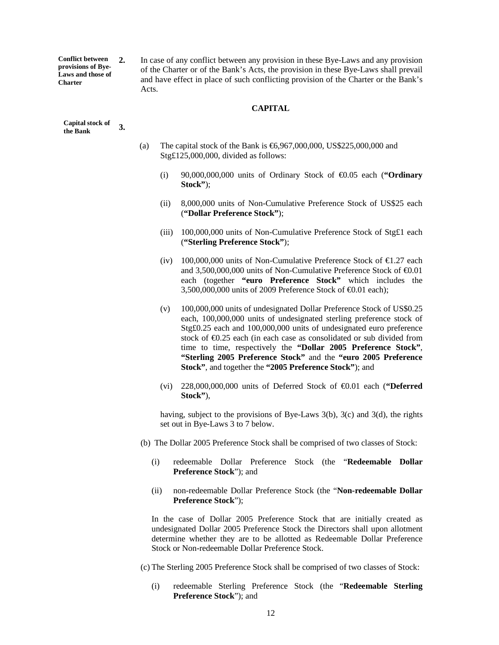**Conflict between provisions of Bye-Laws and those of Charter** 

**2.** In case of any conflict between any provision in these Bye-Laws and any provision of the Charter or of the Bank's Acts, the provision in these Bye-Laws shall prevail and have effect in place of such conflicting provision of the Charter or the Bank's Acts.

### **CAPITAL**

- (a) The capital stock of the Bank is  $\text{\textsterling}6,967,000,000$  US\$225,000,000 and Stg£125,000,000, divided as follows:
	- (i) 90,000,000,000 units of Ordinary Stock of €0.05 each (**"Ordinary Stock"**);
	- (ii) 8,000,000 units of Non-Cumulative Preference Stock of US\$25 each (**"Dollar Preference Stock"**);
	- (iii) 100,000,000 units of Non-Cumulative Preference Stock of Stg£1 each (**"Sterling Preference Stock"**);
	- (iv) 100,000,000 units of Non-Cumulative Preference Stock of  $\epsilon$ 1.27 each and 3,500,000,000 units of Non-Cumulative Preference Stock of  $\epsilon 0.01$ each (together **"euro Preference Stock"** which includes the 3,500,000,000 units of 2009 Preference Stock of  $\epsilon$ 001 each);
	- (v) 100,000,000 units of undesignated Dollar Preference Stock of US\$0.25 each, 100,000,000 units of undesignated sterling preference stock of Stg£0.25 each and 100,000,000 units of undesignated euro preference stock of  $\epsilon$ 0.25 each (in each case as consolidated  $\alpha$  sub divided from time to time, respectively the **"Dollar 2005 Preference Stock"**, **"Sterling 2005 Preference Stock"** and the **"euro 2005 Preference Stock"**, and together the **"2005 Preference Stock"**); and
	- (vi)  $228,000,000,000$  units of Deferred Stock of  $\epsilon$ 001 each ("Deferred **Stock"**),

having, subject to the provisions of Bye-Laws  $3(b)$ ,  $3(c)$  and  $3(d)$ , the rights set out in Bye-Laws 3 to 7 below.

- (b) The Dollar 2005 Preference Stock shall be comprised of two classes of Stock:
	- (i) redeemable Dollar Preference Stock (the "**Redeemable Dollar Preference Stock**"); and
	- (ii) non-redeemable Dollar Preference Stock (the "**Non-redeemable Dollar Preference Stock**");

In the case of Dollar 2005 Preference Stock that are initially created as undesignated Dollar 2005 Preference Stock the Directors shall upon allotment determine whether they are to be allotted as Redeemable Dollar Preference Stock or Non-redeemable Dollar Preference Stock.

(c) The Sterling 2005 Preference Stock shall be comprised of two classes of Stock:

(i) redeemable Sterling Preference Stock (the "**Redeemable Sterling Preference Stock**"); and

**3. Capital stock of the Bank**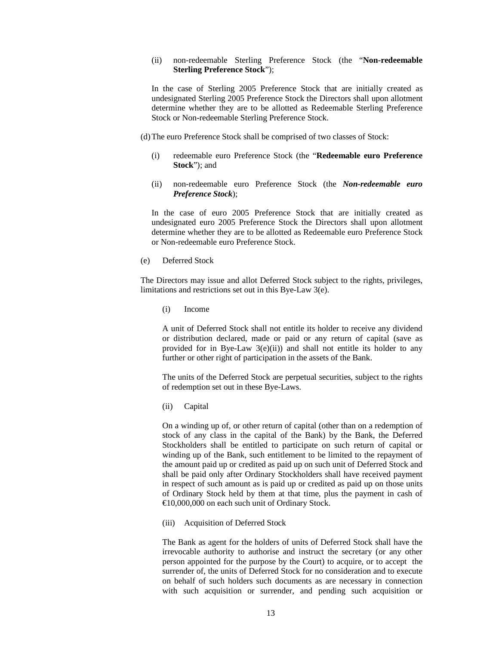### (ii) non-redeemable Sterling Preference Stock (the "**Non-redeemable Sterling Preference Stock**");

In the case of Sterling 2005 Preference Stock that are initially created as undesignated Sterling 2005 Preference Stock the Directors shall upon allotment determine whether they are to be allotted as Redeemable Sterling Preference Stock or Non-redeemable Sterling Preference Stock.

(d)The euro Preference Stock shall be comprised of two classes of Stock:

- (i) redeemable euro Preference Stock (the "**Redeemable euro Preference Stock**"); and
- (ii) non-redeemable euro Preference Stock (the *Non-redeemable euro Preference Stock*);

In the case of euro 2005 Preference Stock that are initially created as undesignated euro 2005 Preference Stock the Directors shall upon allotment determine whether they are to be allotted as Redeemable euro Preference Stock or Non-redeemable euro Preference Stock.

(e) Deferred Stock

The Directors may issue and allot Deferred Stock subject to the rights, privileges, limitations and restrictions set out in this Bye-Law 3(e).

(i) Income

A unit of Deferred Stock shall not entitle its holder to receive any dividend or distribution declared, made or paid or any return of capital (save as provided for in Bye-Law  $3(e)(ii)$  and shall not entitle its holder to any further or other right of participation in the assets of the Bank.

The units of the Deferred Stock are perpetual securities, subject to the rights of redemption set out in these Bye-Laws.

(ii) Capital

On a winding up of, or other return of capital (other than on a redemption of stock of any class in the capital of the Bank) by the Bank, the Deferred Stockholders shall be entitled to participate on such return of capital or winding up of the Bank, such entitlement to be limited to the repayment of the amount paid up or credited as paid up on such unit of Deferred Stock and shall be paid only after Ordinary Stockholders shall have received payment in respect of such amount as is paid up or credited as paid up on those units of Ordinary Stock held by them at that time, plus the payment in cash of €10,000,000 on each such unit of Ordinary Stock.

(iii) Acquisition of Deferred Stock

The Bank as agent for the holders of units of Deferred Stock shall have the irrevocable authority to authorise and instruct the secretary (or any other person appointed for the purpose by the Court) to acquire, or to accept the surrender of, the units of Deferred Stock for no consideration and to execute on behalf of such holders such documents as are necessary in connection with such acquisition or surrender, and pending such acquisition or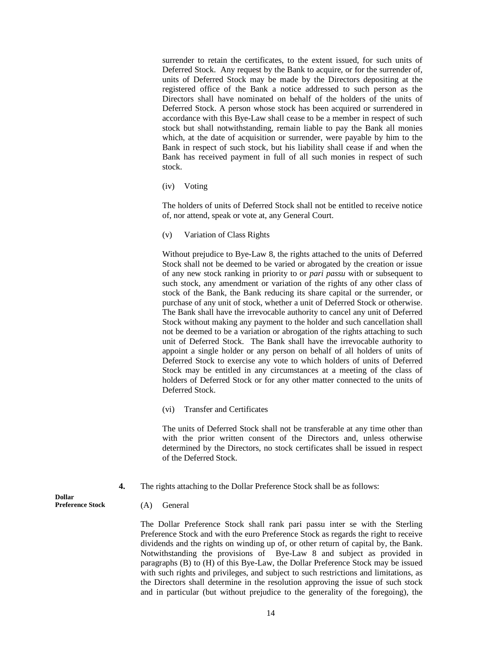surrender to retain the certificates, to the extent issued, for such units of Deferred Stock. Any request by the Bank to acquire, or for the surrender of, units of Deferred Stock may be made by the Directors depositing at the registered office of the Bank a notice addressed to such person as the Directors shall have nominated on behalf of the holders of the units of Deferred Stock. A person whose stock has been acquired or surrendered in accordance with this Bye-Law shall cease to be a member in respect of such stock but shall notwithstanding, remain liable to pay the Bank all monies which, at the date of acquisition or surrender, were payable by him to the Bank in respect of such stock, but his liability shall cease if and when the Bank has received payment in full of all such monies in respect of such stock.

(iv) Voting

The holders of units of Deferred Stock shall not be entitled to receive notice of, nor attend, speak or vote at, any General Court.

(v) Variation of Class Rights

Without prejudice to Bye-Law 8, the rights attached to the units of Deferred Stock shall not be deemed to be varied or abrogated by the creation or issue of any new stock ranking in priority to or *pari passu* with or subsequent to such stock, any amendment or variation of the rights of any other class of stock of the Bank, the Bank reducing its share capital or the surrender, or purchase of any unit of stock, whether a unit of Deferred Stock or otherwise. The Bank shall have the irrevocable authority to cancel any unit of Deferred Stock without making any payment to the holder and such cancellation shall not be deemed to be a variation or abrogation of the rights attaching to such unit of Deferred Stock. The Bank shall have the irrevocable authority to appoint a single holder or any person on behalf of all holders of units of Deferred Stock to exercise any vote to which holders of units of Deferred Stock may be entitled in any circumstances at a meeting of the class of holders of Deferred Stock or for any other matter connected to the units of Deferred Stock.

(vi) Transfer and Certificates

The units of Deferred Stock shall not be transferable at any time other than with the prior written consent of the Directors and, unless otherwise determined by the Directors, no stock certificates shall be issued in respect of the Deferred Stock.

- **4.** The rights attaching to the Dollar Preference Stock shall be as follows:
	- (A) General

The Dollar Preference Stock shall rank pari passu inter se with the Sterling Preference Stock and with the euro Preference Stock as regards the right to receive dividends and the rights on winding up of, or other return of capital by, the Bank. Notwithstanding the provisions of Bye-Law 8 and subject as provided in paragraphs (B) to (H) of this Bye-Law, the Dollar Preference Stock may be issued with such rights and privileges, and subject to such restrictions and limitations, as the Directors shall determine in the resolution approving the issue of such stock and in particular (but without prejudice to the generality of the foregoing), the

**Dollar Preference Stock**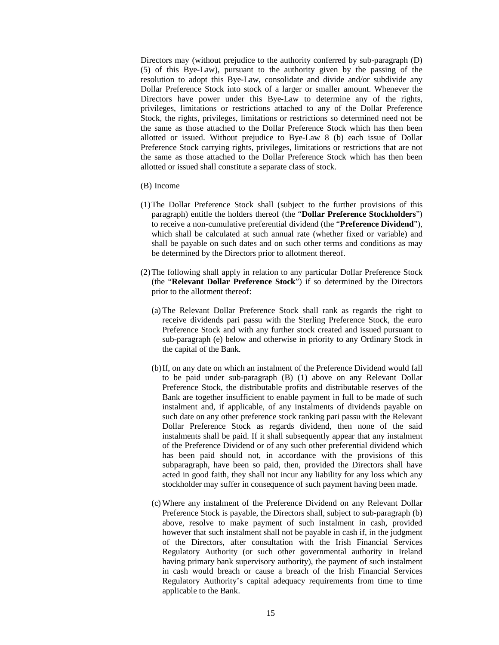Directors may (without prejudice to the authority conferred by sub-paragraph (D) (5) of this Bye-Law), pursuant to the authority given by the passing of the resolution to adopt this Bye-Law, consolidate and divide and/or subdivide any Dollar Preference Stock into stock of a larger or smaller amount. Whenever the Directors have power under this Bye-Law to determine any of the rights, privileges, limitations or restrictions attached to any of the Dollar Preference Stock, the rights, privileges, limitations or restrictions so determined need not be the same as those attached to the Dollar Preference Stock which has then been allotted or issued. Without prejudice to Bye-Law 8 (b) each issue of Dollar Preference Stock carrying rights, privileges, limitations or restrictions that are not the same as those attached to the Dollar Preference Stock which has then been allotted or issued shall constitute a separate class of stock.

#### (B) Income

- (1)The Dollar Preference Stock shall (subject to the further provisions of this paragraph) entitle the holders thereof (the "**Dollar Preference Stockholders**") to receive a non-cumulative preferential dividend (the "**Preference Dividend**"), which shall be calculated at such annual rate (whether fixed or variable) and shall be payable on such dates and on such other terms and conditions as may be determined by the Directors prior to allotment thereof.
- (2)The following shall apply in relation to any particular Dollar Preference Stock (the "**Relevant Dollar Preference Stock**") if so determined by the Directors prior to the allotment thereof:
	- (a) The Relevant Dollar Preference Stock shall rank as regards the right to receive dividends pari passu with the Sterling Preference Stock, the euro Preference Stock and with any further stock created and issued pursuant to sub-paragraph (e) below and otherwise in priority to any Ordinary Stock in the capital of the Bank.
	- (b)If, on any date on which an instalment of the Preference Dividend would fall to be paid under sub-paragraph (B) (1) above on any Relevant Dollar Preference Stock, the distributable profits and distributable reserves of the Bank are together insufficient to enable payment in full to be made of such instalment and, if applicable, of any instalments of dividends payable on such date on any other preference stock ranking pari passu with the Relevant Dollar Preference Stock as regards dividend, then none of the said instalments shall be paid. If it shall subsequently appear that any instalment of the Preference Dividend or of any such other preferential dividend which has been paid should not, in accordance with the provisions of this subparagraph, have been so paid, then, provided the Directors shall have acted in good faith, they shall not incur any liability for any loss which any stockholder may suffer in consequence of such payment having been made.
	- (c) Where any instalment of the Preference Dividend on any Relevant Dollar Preference Stock is payable, the Directors shall, subject to sub-paragraph (b) above, resolve to make payment of such instalment in cash, provided however that such instalment shall not be payable in cash if, in the judgment of the Directors, after consultation with the Irish Financial Services Regulatory Authority (or such other governmental authority in Ireland having primary bank supervisory authority), the payment of such instalment in cash would breach or cause a breach of the Irish Financial Services Regulatory Authority's capital adequacy requirements from time to time applicable to the Bank.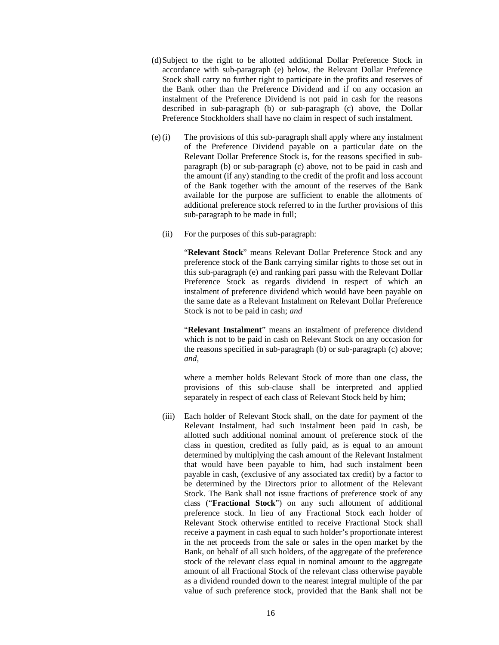- (d)Subject to the right to be allotted additional Dollar Preference Stock in accordance with sub-paragraph (e) below, the Relevant Dollar Preference Stock shall carry no further right to participate in the profits and reserves of the Bank other than the Preference Dividend and if on any occasion an instalment of the Preference Dividend is not paid in cash for the reasons described in sub-paragraph (b) or sub-paragraph (c) above, the Dollar Preference Stockholders shall have no claim in respect of such instalment.
- (e)(i) The provisions of this sub-paragraph shall apply where any instalment of the Preference Dividend payable on a particular date on the Relevant Dollar Preference Stock is, for the reasons specified in subparagraph (b) or sub-paragraph (c) above, not to be paid in cash and the amount (if any) standing to the credit of the profit and loss account of the Bank together with the amount of the reserves of the Bank available for the purpose are sufficient to enable the allotments of additional preference stock referred to in the further provisions of this sub-paragraph to be made in full;
	- (ii) For the purposes of this sub-paragraph:

"**Relevant Stock**" means Relevant Dollar Preference Stock and any preference stock of the Bank carrying similar rights to those set out in this sub-paragraph (e) and ranking pari passu with the Relevant Dollar Preference Stock as regards dividend in respect of which an instalment of preference dividend which would have been payable on the same date as a Relevant Instalment on Relevant Dollar Preference Stock is not to be paid in cash; *and* 

"**Relevant Instalment**" means an instalment of preference dividend which is not to be paid in cash on Relevant Stock on any occasion for the reasons specified in sub-paragraph (b) or sub-paragraph (c) above; *and,* 

where a member holds Relevant Stock of more than one class, the provisions of this sub-clause shall be interpreted and applied separately in respect of each class of Relevant Stock held by him;

(iii) Each holder of Relevant Stock shall, on the date for payment of the Relevant Instalment, had such instalment been paid in cash, be allotted such additional nominal amount of preference stock of the class in question, credited as fully paid, as is equal to an amount determined by multiplying the cash amount of the Relevant Instalment that would have been payable to him, had such instalment been payable in cash, (exclusive of any associated tax credit) by a factor to be determined by the Directors prior to allotment of the Relevant Stock. The Bank shall not issue fractions of preference stock of any class ("**Fractional Stock**") on any such allotment of additional preference stock. In lieu of any Fractional Stock each holder of Relevant Stock otherwise entitled to receive Fractional Stock shall receive a payment in cash equal to such holder's proportionate interest in the net proceeds from the sale or sales in the open market by the Bank, on behalf of all such holders, of the aggregate of the preference stock of the relevant class equal in nominal amount to the aggregate amount of all Fractional Stock of the relevant class otherwise payable as a dividend rounded down to the nearest integral multiple of the par value of such preference stock, provided that the Bank shall not be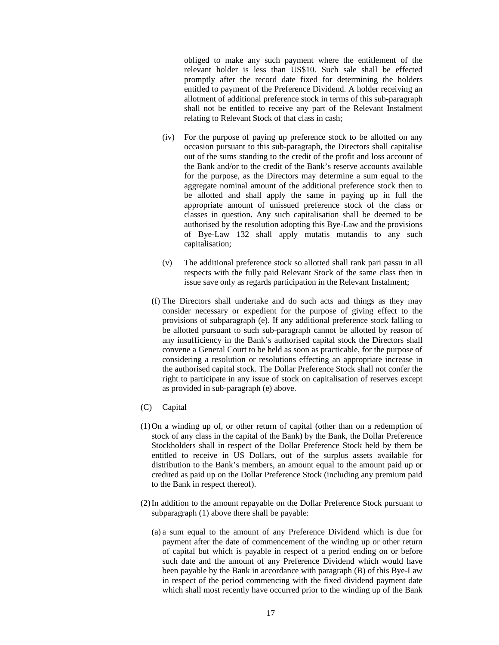obliged to make any such payment where the entitlement of the relevant holder is less than US\$10. Such sale shall be effected promptly after the record date fixed for determining the holders entitled to payment of the Preference Dividend. A holder receiving an allotment of additional preference stock in terms of this sub-paragraph shall not be entitled to receive any part of the Relevant Instalment relating to Relevant Stock of that class in cash;

- (iv) For the purpose of paying up preference stock to be allotted on any occasion pursuant to this sub-paragraph, the Directors shall capitalise out of the sums standing to the credit of the profit and loss account of the Bank and/or to the credit of the Bank's reserve accounts available for the purpose, as the Directors may determine a sum equal to the aggregate nominal amount of the additional preference stock then to be allotted and shall apply the same in paying up in full the appropriate amount of unissued preference stock of the class or classes in question. Any such capitalisation shall be deemed to be authorised by the resolution adopting this Bye-Law and the provisions of Bye-Law 132 shall apply mutatis mutandis to any such capitalisation;
- (v) The additional preference stock so allotted shall rank pari passu in all respects with the fully paid Relevant Stock of the same class then in issue save only as regards participation in the Relevant Instalment;
- (f) The Directors shall undertake and do such acts and things as they may consider necessary or expedient for the purpose of giving effect to the provisions of subparagraph (e). If any additional preference stock falling to be allotted pursuant to such sub-paragraph cannot be allotted by reason of any insufficiency in the Bank's authorised capital stock the Directors shall convene a General Court to be held as soon as practicable, for the purpose of considering a resolution or resolutions effecting an appropriate increase in the authorised capital stock. The Dollar Preference Stock shall not confer the right to participate in any issue of stock on capitalisation of reserves except as provided in sub-paragraph (e) above.
- (C) Capital
- (1)On a winding up of, or other return of capital (other than on a redemption of stock of any class in the capital of the Bank) by the Bank, the Dollar Preference Stockholders shall in respect of the Dollar Preference Stock held by them be entitled to receive in US Dollars, out of the surplus assets available for distribution to the Bank's members, an amount equal to the amount paid up or credited as paid up on the Dollar Preference Stock (including any premium paid to the Bank in respect thereof).
- (2)In addition to the amount repayable on the Dollar Preference Stock pursuant to subparagraph (1) above there shall be payable:
	- (a) a sum equal to the amount of any Preference Dividend which is due for payment after the date of commencement of the winding up or other return of capital but which is payable in respect of a period ending on or before such date and the amount of any Preference Dividend which would have been payable by the Bank in accordance with paragraph (B) of this Bye-Law in respect of the period commencing with the fixed dividend payment date which shall most recently have occurred prior to the winding up of the Bank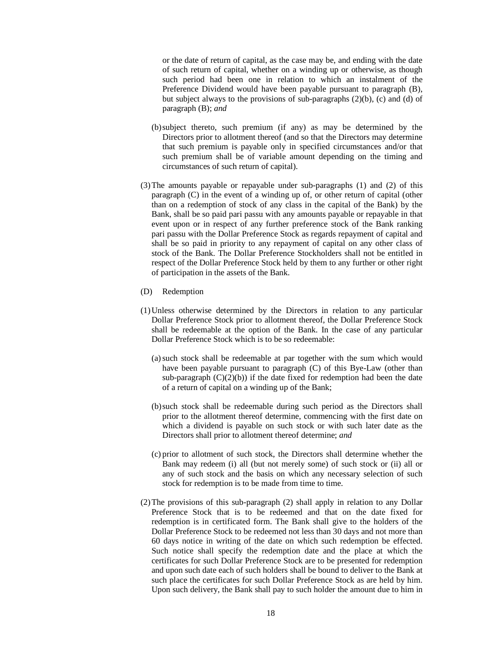or the date of return of capital, as the case may be, and ending with the date of such return of capital, whether on a winding up or otherwise, as though such period had been one in relation to which an instalment of the Preference Dividend would have been payable pursuant to paragraph (B), but subject always to the provisions of sub-paragraphs  $(2)(b)$ ,  $(c)$  and  $(d)$  of paragraph (B); *and*

- (b)subject thereto, such premium (if any) as may be determined by the Directors prior to allotment thereof (and so that the Directors may determine that such premium is payable only in specified circumstances and/or that such premium shall be of variable amount depending on the timing and circumstances of such return of capital).
- (3)The amounts payable or repayable under sub-paragraphs (1) and (2) of this paragraph (C) in the event of a winding up of, or other return of capital (other than on a redemption of stock of any class in the capital of the Bank) by the Bank, shall be so paid pari passu with any amounts payable or repayable in that event upon or in respect of any further preference stock of the Bank ranking pari passu with the Dollar Preference Stock as regards repayment of capital and shall be so paid in priority to any repayment of capital on any other class of stock of the Bank. The Dollar Preference Stockholders shall not be entitled in respect of the Dollar Preference Stock held by them to any further or other right of participation in the assets of the Bank.
- (D) Redemption
- (1)Unless otherwise determined by the Directors in relation to any particular Dollar Preference Stock prior to allotment thereof, the Dollar Preference Stock shall be redeemable at the option of the Bank. In the case of any particular Dollar Preference Stock which is to be so redeemable:
	- (a)such stock shall be redeemable at par together with the sum which would have been payable pursuant to paragraph (C) of this Bye-Law (other than sub-paragraph  $(C)(2)(b)$  if the date fixed for redemption had been the date of a return of capital on a winding up of the Bank;
	- (b)such stock shall be redeemable during such period as the Directors shall prior to the allotment thereof determine, commencing with the first date on which a dividend is payable on such stock or with such later date as the Directors shall prior to allotment thereof determine; *and*
	- (c) prior to allotment of such stock, the Directors shall determine whether the Bank may redeem (i) all (but not merely some) of such stock or (ii) all or any of such stock and the basis on which any necessary selection of such stock for redemption is to be made from time to time.
- (2)The provisions of this sub-paragraph (2) shall apply in relation to any Dollar Preference Stock that is to be redeemed and that on the date fixed for redemption is in certificated form. The Bank shall give to the holders of the Dollar Preference Stock to be redeemed not less than 30 days and not more than 60 days notice in writing of the date on which such redemption be effected. Such notice shall specify the redemption date and the place at which the certificates for such Dollar Preference Stock are to be presented for redemption and upon such date each of such holders shall be bound to deliver to the Bank at such place the certificates for such Dollar Preference Stock as are held by him. Upon such delivery, the Bank shall pay to such holder the amount due to him in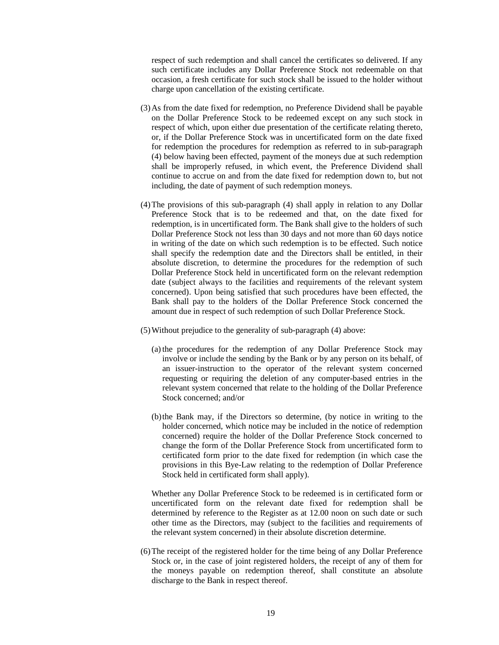respect of such redemption and shall cancel the certificates so delivered. If any such certificate includes any Dollar Preference Stock not redeemable on that occasion, a fresh certificate for such stock shall be issued to the holder without charge upon cancellation of the existing certificate.

- (3)As from the date fixed for redemption, no Preference Dividend shall be payable on the Dollar Preference Stock to be redeemed except on any such stock in respect of which, upon either due presentation of the certificate relating thereto, or, if the Dollar Preference Stock was in uncertificated form on the date fixed for redemption the procedures for redemption as referred to in sub-paragraph (4) below having been effected, payment of the moneys due at such redemption shall be improperly refused, in which event, the Preference Dividend shall continue to accrue on and from the date fixed for redemption down to, but not including, the date of payment of such redemption moneys.
- (4)The provisions of this sub-paragraph (4) shall apply in relation to any Dollar Preference Stock that is to be redeemed and that, on the date fixed for redemption, is in uncertificated form. The Bank shall give to the holders of such Dollar Preference Stock not less than 30 days and not more than 60 days notice in writing of the date on which such redemption is to be effected. Such notice shall specify the redemption date and the Directors shall be entitled, in their absolute discretion, to determine the procedures for the redemption of such Dollar Preference Stock held in uncertificated form on the relevant redemption date (subject always to the facilities and requirements of the relevant system concerned). Upon being satisfied that such procedures have been effected, the Bank shall pay to the holders of the Dollar Preference Stock concerned the amount due in respect of such redemption of such Dollar Preference Stock.
- (5)Without prejudice to the generality of sub-paragraph (4) above:
	- (a)the procedures for the redemption of any Dollar Preference Stock may involve or include the sending by the Bank or by any person on its behalf, of an issuer-instruction to the operator of the relevant system concerned requesting or requiring the deletion of any computer-based entries in the relevant system concerned that relate to the holding of the Dollar Preference Stock concerned; and/or
	- (b)the Bank may, if the Directors so determine, (by notice in writing to the holder concerned, which notice may be included in the notice of redemption concerned) require the holder of the Dollar Preference Stock concerned to change the form of the Dollar Preference Stock from uncertificated form to certificated form prior to the date fixed for redemption (in which case the provisions in this Bye-Law relating to the redemption of Dollar Preference Stock held in certificated form shall apply).

Whether any Dollar Preference Stock to be redeemed is in certificated form or uncertificated form on the relevant date fixed for redemption shall be determined by reference to the Register as at 12.00 noon on such date or such other time as the Directors, may (subject to the facilities and requirements of the relevant system concerned) in their absolute discretion determine.

(6)The receipt of the registered holder for the time being of any Dollar Preference Stock or, in the case of joint registered holders, the receipt of any of them for the moneys payable on redemption thereof, shall constitute an absolute discharge to the Bank in respect thereof.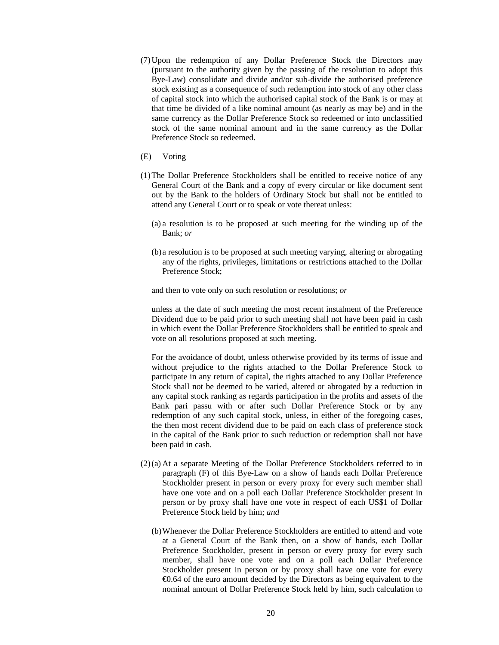- (7)Upon the redemption of any Dollar Preference Stock the Directors may (pursuant to the authority given by the passing of the resolution to adopt this Bye-Law) consolidate and divide and/or sub-divide the authorised preference stock existing as a consequence of such redemption into stock of any other class of capital stock into which the authorised capital stock of the Bank is or may at that time be divided of a like nominal amount (as nearly as may be) and in the same currency as the Dollar Preference Stock so redeemed or into unclassified stock of the same nominal amount and in the same currency as the Dollar Preference Stock so redeemed.
- (E) Voting
- (1)The Dollar Preference Stockholders shall be entitled to receive notice of any General Court of the Bank and a copy of every circular or like document sent out by the Bank to the holders of Ordinary Stock but shall not be entitled to attend any General Court or to speak or vote thereat unless:
	- (a) a resolution is to be proposed at such meeting for the winding up of the Bank; *or*
	- (b)a resolution is to be proposed at such meeting varying, altering or abrogating any of the rights, privileges, limitations or restrictions attached to the Dollar Preference Stock;

and then to vote only on such resolution or resolutions; *or*

unless at the date of such meeting the most recent instalment of the Preference Dividend due to be paid prior to such meeting shall not have been paid in cash in which event the Dollar Preference Stockholders shall be entitled to speak and vote on all resolutions proposed at such meeting.

For the avoidance of doubt, unless otherwise provided by its terms of issue and without prejudice to the rights attached to the Dollar Preference Stock to participate in any return of capital, the rights attached to any Dollar Preference Stock shall not be deemed to be varied, altered or abrogated by a reduction in any capital stock ranking as regards participation in the profits and assets of the Bank pari passu with or after such Dollar Preference Stock or by any redemption of any such capital stock, unless, in either of the foregoing cases, the then most recent dividend due to be paid on each class of preference stock in the capital of the Bank prior to such reduction or redemption shall not have been paid in cash.

- (2)(a) At a separate Meeting of the Dollar Preference Stockholders referred to in paragraph (F) of this Bye-Law on a show of hands each Dollar Preference Stockholder present in person or every proxy for every such member shall have one vote and on a poll each Dollar Preference Stockholder present in person or by proxy shall have one vote in respect of each US\$1 of Dollar Preference Stock held by him; *and*
	- (b)Whenever the Dollar Preference Stockholders are entitled to attend and vote at a General Court of the Bank then, on a show of hands, each Dollar Preference Stockholder, present in person or every proxy for every such member, shall have one vote and on a poll each Dollar Preference Stockholder present in person or by proxy shall have one vote for every  $\epsilon$ 0.64 of the euro amount decided by the Directors  $\alpha$  being equivalent to the nominal amount of Dollar Preference Stock held by him, such calculation to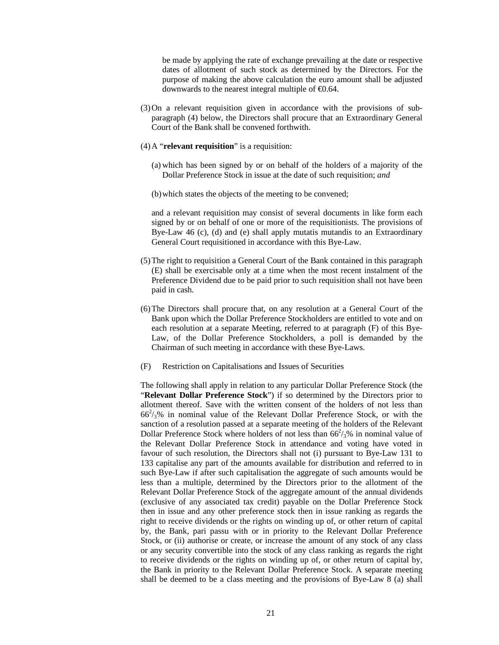be made by applying the rate of exchange prevailing at the date or respective dates of allotment of such stock as determined by the Directors. For the purpose of making the above calculation the euro amount shall be adjusted downwards to the nearest integral multiple of  $\epsilon 0.64$ .

- (3)On a relevant requisition given in accordance with the provisions of subparagraph (4) below, the Directors shall procure that an Extraordinary General Court of the Bank shall be convened forthwith.
- (4)A "**relevant requisition**" is a requisition:
	- (a) which has been signed by or on behalf of the holders of a majority of the Dollar Preference Stock in issue at the date of such requisition; *and*
	- (b)which states the objects of the meeting to be convened;

and a relevant requisition may consist of several documents in like form each signed by or on behalf of one or more of the requisitionists. The provisions of Bye-Law 46 (c), (d) and (e) shall apply mutatis mutandis to an Extraordinary General Court requisitioned in accordance with this Bye-Law.

- (5)The right to requisition a General Court of the Bank contained in this paragraph (E) shall be exercisable only at a time when the most recent instalment of the Preference Dividend due to be paid prior to such requisition shall not have been paid in cash.
- (6)The Directors shall procure that, on any resolution at a General Court of the Bank upon which the Dollar Preference Stockholders are entitled to vote and on each resolution at a separate Meeting, referred to at paragraph (F) of this Bye-Law, of the Dollar Preference Stockholders, a poll is demanded by the Chairman of such meeting in accordance with these Bye-Laws.
- (F) Restriction on Capitalisations and Issues of Securities

The following shall apply in relation to any particular Dollar Preference Stock (the "**Relevant Dollar Preference Stock**") if so determined by the Directors prior to allotment thereof. Save with the written consent of the holders of not less than  $66<sup>2</sup>/3%$  in nominal value of the Relevant Dollar Preference Stock, or with the sanction of a resolution passed at a separate meeting of the holders of the Relevant Dollar Preference Stock where holders of not less than  $66^2/3\%$  in nominal value of the Relevant Dollar Preference Stock in attendance and voting have voted in favour of such resolution, the Directors shall not (i) pursuant to Bye-Law 131 to 133 capitalise any part of the amounts available for distribution and referred to in such Bye-Law if after such capitalisation the aggregate of such amounts would be less than a multiple, determined by the Directors prior to the allotment of the Relevant Dollar Preference Stock of the aggregate amount of the annual dividends (exclusive of any associated tax credit) payable on the Dollar Preference Stock then in issue and any other preference stock then in issue ranking as regards the right to receive dividends or the rights on winding up of, or other return of capital by, the Bank, pari passu with or in priority to the Relevant Dollar Preference Stock, or (ii) authorise or create, or increase the amount of any stock of any class or any security convertible into the stock of any class ranking as regards the right to receive dividends or the rights on winding up of, or other return of capital by, the Bank in priority to the Relevant Dollar Preference Stock. A separate meeting shall be deemed to be a class meeting and the provisions of Bye-Law 8 (a) shall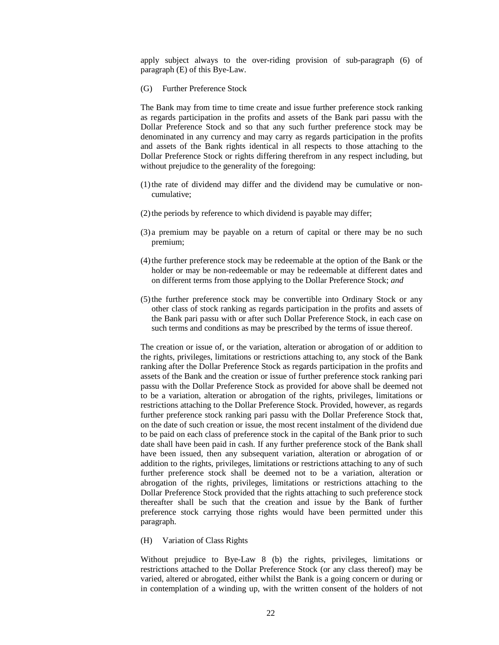apply subject always to the over-riding provision of sub-paragraph (6) of paragraph (E) of this Bye-Law.

(G) Further Preference Stock

The Bank may from time to time create and issue further preference stock ranking as regards participation in the profits and assets of the Bank pari passu with the Dollar Preference Stock and so that any such further preference stock may be denominated in any currency and may carry as regards participation in the profits and assets of the Bank rights identical in all respects to those attaching to the Dollar Preference Stock or rights differing therefrom in any respect including, but without prejudice to the generality of the foregoing:

- (1)the rate of dividend may differ and the dividend may be cumulative or noncumulative;
- (2)the periods by reference to which dividend is payable may differ;
- (3) a premium may be payable on a return of capital or there may be no such premium;
- (4)the further preference stock may be redeemable at the option of the Bank or the holder or may be non-redeemable or may be redeemable at different dates and on different terms from those applying to the Dollar Preference Stock; *and*
- (5)the further preference stock may be convertible into Ordinary Stock or any other class of stock ranking as regards participation in the profits and assets of the Bank pari passu with or after such Dollar Preference Stock, in each case on such terms and conditions as may be prescribed by the terms of issue thereof.

The creation or issue of, or the variation, alteration or abrogation of or addition to the rights, privileges, limitations or restrictions attaching to, any stock of the Bank ranking after the Dollar Preference Stock as regards participation in the profits and assets of the Bank and the creation or issue of further preference stock ranking pari passu with the Dollar Preference Stock as provided for above shall be deemed not to be a variation, alteration or abrogation of the rights, privileges, limitations or restrictions attaching to the Dollar Preference Stock. Provided, however, as regards further preference stock ranking pari passu with the Dollar Preference Stock that, on the date of such creation or issue, the most recent instalment of the dividend due to be paid on each class of preference stock in the capital of the Bank prior to such date shall have been paid in cash. If any further preference stock of the Bank shall have been issued, then any subsequent variation, alteration or abrogation of or addition to the rights, privileges, limitations or restrictions attaching to any of such further preference stock shall be deemed not to be a variation, alteration or abrogation of the rights, privileges, limitations or restrictions attaching to the Dollar Preference Stock provided that the rights attaching to such preference stock thereafter shall be such that the creation and issue by the Bank of further preference stock carrying those rights would have been permitted under this paragraph.

#### (H) Variation of Class Rights

Without prejudice to Bye-Law 8 (b) the rights, privileges, limitations or restrictions attached to the Dollar Preference Stock (or any class thereof) may be varied, altered or abrogated, either whilst the Bank is a going concern or during or in contemplation of a winding up, with the written consent of the holders of not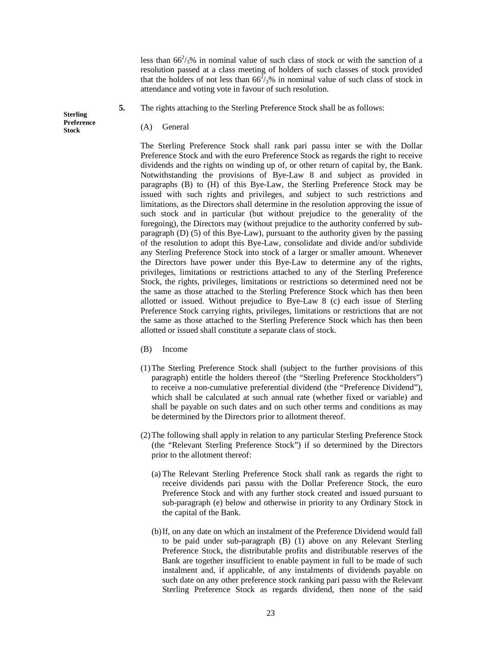less than  $66^2$ /<sub>3</sub>% in nominal value of such class of stock or with the sanction of a resolution passed at a class meeting of holders of such classes of stock provided that the holders of not less than  $66^2/3\%$  in nominal value of such class of stock in attendance and voting vote in favour of such resolution.

- **5.** The rights attaching to the Sterling Preference Stock shall be as follows:
	- (A) General

The Sterling Preference Stock shall rank pari passu inter se with the Dollar Preference Stock and with the euro Preference Stock as regards the right to receive dividends and the rights on winding up of, or other return of capital by, the Bank. Notwithstanding the provisions of Bye-Law 8 and subject as provided in paragraphs (B) to (H) of this Bye-Law, the Sterling Preference Stock may be issued with such rights and privileges, and subject to such restrictions and limitations, as the Directors shall determine in the resolution approving the issue of such stock and in particular (but without prejudice to the generality of the foregoing), the Directors may (without prejudice to the authority conferred by subparagraph (D) (5) of this Bye-Law), pursuant to the authority given by the passing of the resolution to adopt this Bye-Law, consolidate and divide and/or subdivide any Sterling Preference Stock into stock of a larger or smaller amount. Whenever the Directors have power under this Bye-Law to determine any of the rights, privileges, limitations or restrictions attached to any of the Sterling Preference Stock, the rights, privileges, limitations or restrictions so determined need not be the same as those attached to the Sterling Preference Stock which has then been allotted or issued. Without prejudice to Bye-Law 8 (c) each issue of Sterling Preference Stock carrying rights, privileges, limitations or restrictions that are not the same as those attached to the Sterling Preference Stock which has then been allotted or issued shall constitute a separate class of stock.

- (B) Income
- (1)The Sterling Preference Stock shall (subject to the further provisions of this paragraph) entitle the holders thereof (the "Sterling Preference Stockholders") to receive a non-cumulative preferential dividend (the "Preference Dividend"), which shall be calculated at such annual rate (whether fixed or variable) and shall be payable on such dates and on such other terms and conditions as may be determined by the Directors prior to allotment thereof.
- (2)The following shall apply in relation to any particular Sterling Preference Stock (the "Relevant Sterling Preference Stock") if so determined by the Directors prior to the allotment thereof:
	- (a) The Relevant Sterling Preference Stock shall rank as regards the right to receive dividends pari passu with the Dollar Preference Stock, the euro Preference Stock and with any further stock created and issued pursuant to sub-paragraph (e) below and otherwise in priority to any Ordinary Stock in the capital of the Bank.
	- (b)If, on any date on which an instalment of the Preference Dividend would fall to be paid under sub-paragraph (B) (1) above on any Relevant Sterling Preference Stock, the distributable profits and distributable reserves of the Bank are together insufficient to enable payment in full to be made of such instalment and, if applicable, of any instalments of dividends payable on such date on any other preference stock ranking pari passu with the Relevant Sterling Preference Stock as regards dividend, then none of the said

**Sterling Preference Stock**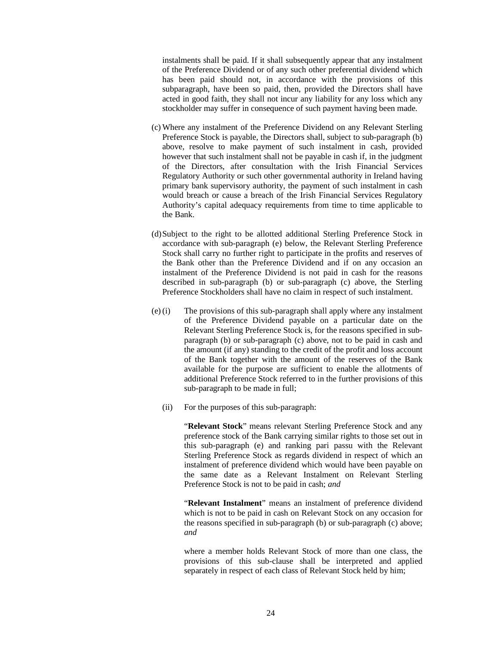instalments shall be paid. If it shall subsequently appear that any instalment of the Preference Dividend or of any such other preferential dividend which has been paid should not, in accordance with the provisions of this subparagraph, have been so paid, then, provided the Directors shall have acted in good faith, they shall not incur any liability for any loss which any stockholder may suffer in consequence of such payment having been made.

- (c) Where any instalment of the Preference Dividend on any Relevant Sterling Preference Stock is payable, the Directors shall, subject to sub-paragraph (b) above, resolve to make payment of such instalment in cash, provided however that such instalment shall not be payable in cash if, in the judgment of the Directors, after consultation with the Irish Financial Services Regulatory Authority or such other governmental authority in Ireland having primary bank supervisory authority, the payment of such instalment in cash would breach or cause a breach of the Irish Financial Services Regulatory Authority's capital adequacy requirements from time to time applicable to the Bank.
- (d)Subject to the right to be allotted additional Sterling Preference Stock in accordance with sub-paragraph (e) below, the Relevant Sterling Preference Stock shall carry no further right to participate in the profits and reserves of the Bank other than the Preference Dividend and if on any occasion an instalment of the Preference Dividend is not paid in cash for the reasons described in sub-paragraph (b) or sub-paragraph (c) above, the Sterling Preference Stockholders shall have no claim in respect of such instalment.
- (e)(i) The provisions of this sub-paragraph shall apply where any instalment of the Preference Dividend payable on a particular date on the Relevant Sterling Preference Stock is, for the reasons specified in subparagraph (b) or sub-paragraph (c) above, not to be paid in cash and the amount (if any) standing to the credit of the profit and loss account of the Bank together with the amount of the reserves of the Bank available for the purpose are sufficient to enable the allotments of additional Preference Stock referred to in the further provisions of this sub-paragraph to be made in full;
	- (ii) For the purposes of this sub-paragraph:

"**Relevant Stock**" means relevant Sterling Preference Stock and any preference stock of the Bank carrying similar rights to those set out in this sub-paragraph (e) and ranking pari passu with the Relevant Sterling Preference Stock as regards dividend in respect of which an instalment of preference dividend which would have been payable on the same date as a Relevant Instalment on Relevant Sterling Preference Stock is not to be paid in cash; *and*

"**Relevant Instalment**" means an instalment of preference dividend which is not to be paid in cash on Relevant Stock on any occasion for the reasons specified in sub-paragraph (b) or sub-paragraph (c) above; *and*

where a member holds Relevant Stock of more than one class, the provisions of this sub-clause shall be interpreted and applied separately in respect of each class of Relevant Stock held by him;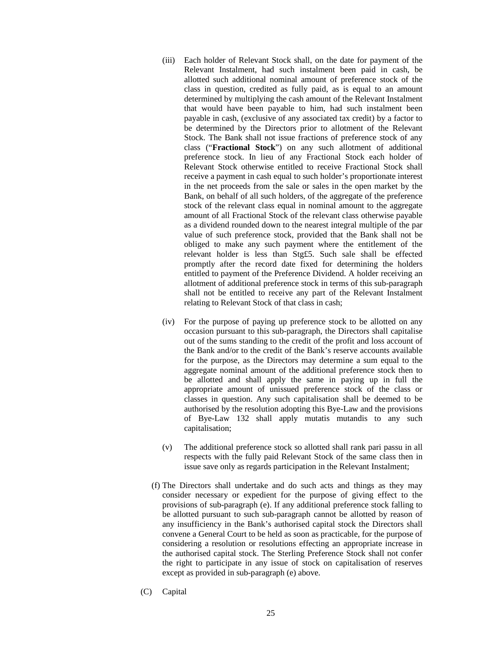- (iii) Each holder of Relevant Stock shall, on the date for payment of the Relevant Instalment, had such instalment been paid in cash, be allotted such additional nominal amount of preference stock of the class in question, credited as fully paid, as is equal to an amount determined by multiplying the cash amount of the Relevant Instalment that would have been payable to him, had such instalment been payable in cash, (exclusive of any associated tax credit) by a factor to be determined by the Directors prior to allotment of the Relevant Stock. The Bank shall not issue fractions of preference stock of any class ("**Fractional Stock**") on any such allotment of additional preference stock. In lieu of any Fractional Stock each holder of Relevant Stock otherwise entitled to receive Fractional Stock shall receive a payment in cash equal to such holder's proportionate interest in the net proceeds from the sale or sales in the open market by the Bank, on behalf of all such holders, of the aggregate of the preference stock of the relevant class equal in nominal amount to the aggregate amount of all Fractional Stock of the relevant class otherwise payable as a dividend rounded down to the nearest integral multiple of the par value of such preference stock, provided that the Bank shall not be obliged to make any such payment where the entitlement of the relevant holder is less than Stg£5. Such sale shall be effected promptly after the record date fixed for determining the holders entitled to payment of the Preference Dividend. A holder receiving an allotment of additional preference stock in terms of this sub-paragraph shall not be entitled to receive any part of the Relevant Instalment relating to Relevant Stock of that class in cash;
- (iv) For the purpose of paying up preference stock to be allotted on any occasion pursuant to this sub-paragraph, the Directors shall capitalise out of the sums standing to the credit of the profit and loss account of the Bank and/or to the credit of the Bank's reserve accounts available for the purpose, as the Directors may determine a sum equal to the aggregate nominal amount of the additional preference stock then to be allotted and shall apply the same in paying up in full the appropriate amount of unissued preference stock of the class or classes in question. Any such capitalisation shall be deemed to be authorised by the resolution adopting this Bye-Law and the provisions of Bye-Law 132 shall apply mutatis mutandis to any such capitalisation;
- (v) The additional preference stock so allotted shall rank pari passu in all respects with the fully paid Relevant Stock of the same class then in issue save only as regards participation in the Relevant Instalment;
- (f) The Directors shall undertake and do such acts and things as they may consider necessary or expedient for the purpose of giving effect to the provisions of sub-paragraph (e). If any additional preference stock falling to be allotted pursuant to such sub-paragraph cannot be allotted by reason of any insufficiency in the Bank's authorised capital stock the Directors shall convene a General Court to be held as soon as practicable, for the purpose of considering a resolution or resolutions effecting an appropriate increase in the authorised capital stock. The Sterling Preference Stock shall not confer the right to participate in any issue of stock on capitalisation of reserves except as provided in sub-paragraph (e) above.
- (C) Capital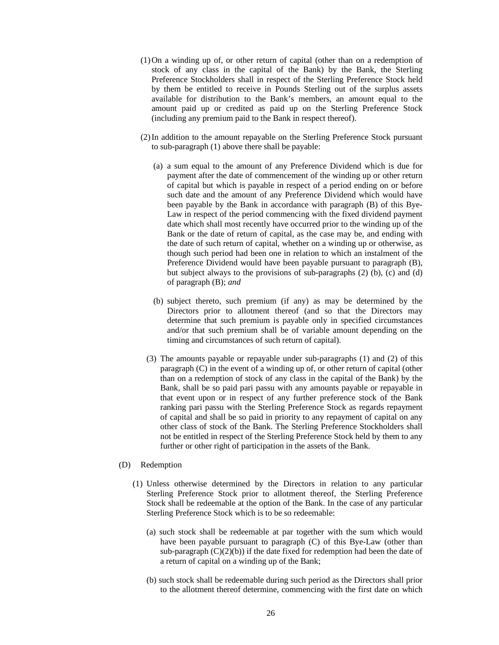- (1)On a winding up of, or other return of capital (other than on a redemption of stock of any class in the capital of the Bank) by the Bank, the Sterling Preference Stockholders shall in respect of the Sterling Preference Stock held by them be entitled to receive in Pounds Sterling out of the surplus assets available for distribution to the Bank's members, an amount equal to the amount paid up or credited as paid up on the Sterling Preference Stock (including any premium paid to the Bank in respect thereof).
- (2)In addition to the amount repayable on the Sterling Preference Stock pursuant to sub-paragraph (1) above there shall be payable:
	- (a) a sum equal to the amount of any Preference Dividend which is due for payment after the date of commencement of the winding up or other return of capital but which is payable in respect of a period ending on or before such date and the amount of any Preference Dividend which would have been payable by the Bank in accordance with paragraph (B) of this Bye-Law in respect of the period commencing with the fixed dividend payment date which shall most recently have occurred prior to the winding up of the Bank or the date of return of capital, as the case may be, and ending with the date of such return of capital, whether on a winding up or otherwise, as though such period had been one in relation to which an instalment of the Preference Dividend would have been payable pursuant to paragraph (B), but subject always to the provisions of sub-paragraphs (2) (b), (c) and (d) of paragraph (B); *and*
	- (b) subject thereto, such premium (if any) as may be determined by the Directors prior to allotment thereof (and so that the Directors may determine that such premium is payable only in specified circumstances and/or that such premium shall be of variable amount depending on the timing and circumstances of such return of capital).
	- (3) The amounts payable or repayable under sub-paragraphs (1) and (2) of this paragraph (C) in the event of a winding up of, or other return of capital (other than on a redemption of stock of any class in the capital of the Bank) by the Bank, shall be so paid pari passu with any amounts payable or repayable in that event upon or in respect of any further preference stock of the Bank ranking pari passu with the Sterling Preference Stock as regards repayment of capital and shall be so paid in priority to any repayment of capital on any other class of stock of the Bank. The Sterling Preference Stockholders shall not be entitled in respect of the Sterling Preference Stock held by them to any further or other right of participation in the assets of the Bank.

#### (D) Redemption

- (1) Unless otherwise determined by the Directors in relation to any particular Sterling Preference Stock prior to allotment thereof, the Sterling Preference Stock shall be redeemable at the option of the Bank. In the case of any particular Sterling Preference Stock which is to be so redeemable:
	- (a) such stock shall be redeemable at par together with the sum which would have been payable pursuant to paragraph (C) of this Bye-Law (other than sub-paragraph  $(C)(2)(b)$ ) if the date fixed for redemption had been the date of a return of capital on a winding up of the Bank;
	- (b) such stock shall be redeemable during such period as the Directors shall prior to the allotment thereof determine, commencing with the first date on which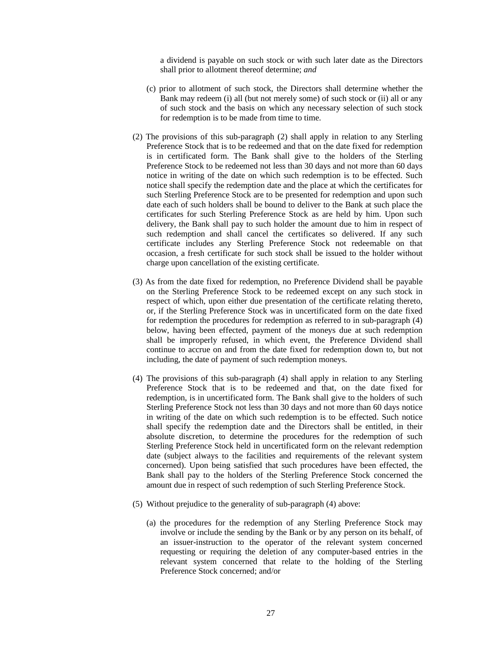a dividend is payable on such stock or with such later date as the Directors shall prior to allotment thereof determine; *and*

- (c) prior to allotment of such stock, the Directors shall determine whether the Bank may redeem (i) all (but not merely some) of such stock or (ii) all or any of such stock and the basis on which any necessary selection of such stock for redemption is to be made from time to time.
- (2) The provisions of this sub-paragraph (2) shall apply in relation to any Sterling Preference Stock that is to be redeemed and that on the date fixed for redemption is in certificated form. The Bank shall give to the holders of the Sterling Preference Stock to be redeemed not less than 30 days and not more than 60 days notice in writing of the date on which such redemption is to be effected. Such notice shall specify the redemption date and the place at which the certificates for such Sterling Preference Stock are to be presented for redemption and upon such date each of such holders shall be bound to deliver to the Bank at such place the certificates for such Sterling Preference Stock as are held by him. Upon such delivery, the Bank shall pay to such holder the amount due to him in respect of such redemption and shall cancel the certificates so delivered. If any such certificate includes any Sterling Preference Stock not redeemable on that occasion, a fresh certificate for such stock shall be issued to the holder without charge upon cancellation of the existing certificate.
- (3) As from the date fixed for redemption, no Preference Dividend shall be payable on the Sterling Preference Stock to be redeemed except on any such stock in respect of which, upon either due presentation of the certificate relating thereto, or, if the Sterling Preference Stock was in uncertificated form on the date fixed for redemption the procedures for redemption as referred to in sub-paragraph (4) below, having been effected, payment of the moneys due at such redemption shall be improperly refused, in which event, the Preference Dividend shall continue to accrue on and from the date fixed for redemption down to, but not including, the date of payment of such redemption moneys.
- (4) The provisions of this sub-paragraph (4) shall apply in relation to any Sterling Preference Stock that is to be redeemed and that, on the date fixed for redemption, is in uncertificated form. The Bank shall give to the holders of such Sterling Preference Stock not less than 30 days and not more than 60 days notice in writing of the date on which such redemption is to be effected. Such notice shall specify the redemption date and the Directors shall be entitled, in their absolute discretion, to determine the procedures for the redemption of such Sterling Preference Stock held in uncertificated form on the relevant redemption date (subject always to the facilities and requirements of the relevant system concerned). Upon being satisfied that such procedures have been effected, the Bank shall pay to the holders of the Sterling Preference Stock concerned the amount due in respect of such redemption of such Sterling Preference Stock.
- (5) Without prejudice to the generality of sub-paragraph (4) above:
	- (a) the procedures for the redemption of any Sterling Preference Stock may involve or include the sending by the Bank or by any person on its behalf, of an issuer-instruction to the operator of the relevant system concerned requesting or requiring the deletion of any computer-based entries in the relevant system concerned that relate to the holding of the Sterling Preference Stock concerned; and/or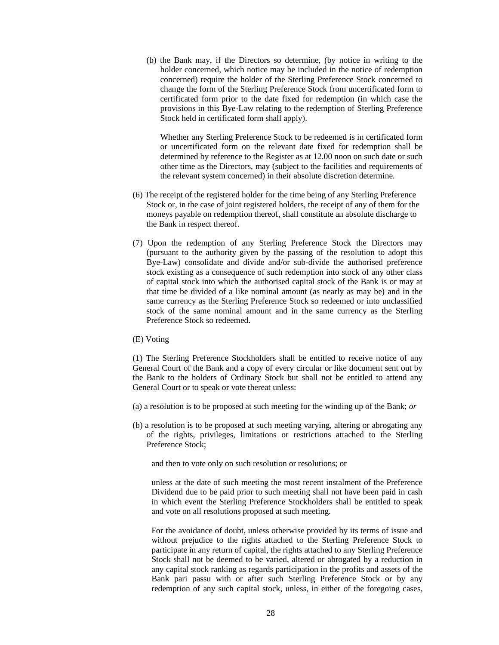(b) the Bank may, if the Directors so determine, (by notice in writing to the holder concerned, which notice may be included in the notice of redemption concerned) require the holder of the Sterling Preference Stock concerned to change the form of the Sterling Preference Stock from uncertificated form to certificated form prior to the date fixed for redemption (in which case the provisions in this Bye-Law relating to the redemption of Sterling Preference Stock held in certificated form shall apply).

Whether any Sterling Preference Stock to be redeemed is in certificated form or uncertificated form on the relevant date fixed for redemption shall be determined by reference to the Register as at 12.00 noon on such date or such other time as the Directors, may (subject to the facilities and requirements of the relevant system concerned) in their absolute discretion determine.

- (6) The receipt of the registered holder for the time being of any Sterling Preference Stock or, in the case of joint registered holders, the receipt of any of them for the moneys payable on redemption thereof, shall constitute an absolute discharge to the Bank in respect thereof.
- (7) Upon the redemption of any Sterling Preference Stock the Directors may (pursuant to the authority given by the passing of the resolution to adopt this Bye-Law) consolidate and divide and/or sub-divide the authorised preference stock existing as a consequence of such redemption into stock of any other class of capital stock into which the authorised capital stock of the Bank is or may at that time be divided of a like nominal amount (as nearly as may be) and in the same currency as the Sterling Preference Stock so redeemed or into unclassified stock of the same nominal amount and in the same currency as the Sterling Preference Stock so redeemed.
- (E) Voting

(1) The Sterling Preference Stockholders shall be entitled to receive notice of any General Court of the Bank and a copy of every circular or like document sent out by the Bank to the holders of Ordinary Stock but shall not be entitled to attend any General Court or to speak or vote thereat unless:

- (a) a resolution is to be proposed at such meeting for the winding up of the Bank; *or*
- (b) a resolution is to be proposed at such meeting varying, altering or abrogating any of the rights, privileges, limitations or restrictions attached to the Sterling Preference Stock;

and then to vote only on such resolution or resolutions; or

unless at the date of such meeting the most recent instalment of the Preference Dividend due to be paid prior to such meeting shall not have been paid in cash in which event the Sterling Preference Stockholders shall be entitled to speak and vote on all resolutions proposed at such meeting.

For the avoidance of doubt, unless otherwise provided by its terms of issue and without prejudice to the rights attached to the Sterling Preference Stock to participate in any return of capital, the rights attached to any Sterling Preference Stock shall not be deemed to be varied, altered or abrogated by a reduction in any capital stock ranking as regards participation in the profits and assets of the Bank pari passu with or after such Sterling Preference Stock or by any redemption of any such capital stock, unless, in either of the foregoing cases,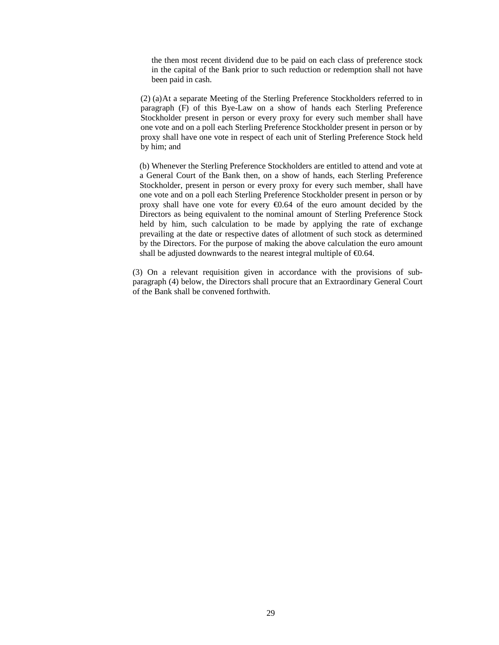the then most recent dividend due to be paid on each class of preference stock in the capital of the Bank prior to such reduction or redemption shall not have been paid in cash.

(2) (a) At a separate Meeting of the Sterling Preference Stockholders referred to in paragraph (F) of this Bye-Law on a show of hands each Sterling Preference Stockholder present in person or every proxy for every such member shall have one vote and on a poll each Sterling Preference Stockholder present in person or by proxy shall have one vote in respect of each unit of Sterling Preference Stock held by him; and

(b) Whenever the Sterling Preference Stockholders are entitled to attend and vote at a General Court of the Bank then, on a show of hands, each Sterling Preference Stockholder, present in person or every proxy for every such member, shall have one vote and on a poll each Sterling Preference Stockholder present in person or by proxy shall have one vote for every  $\epsilon 0.64$  of the euro amount decided by the Directors as being equivalent to the nominal amount of Sterling Preference Stock held by him, such calculation to be made by applying the rate of exchange prevailing at the date or respective dates of allotment of such stock as determined by the Directors. For the purpose of making the above calculation the euro amount shall be adjusted downwards to the nearest integral multiple of  $\epsilon 0.64$ .

(3) On a relevant requisition given in accordance with the provisions of subparagraph (4) below, the Directors shall procure that an Extraordinary General Court of the Bank shall be convened forthwith.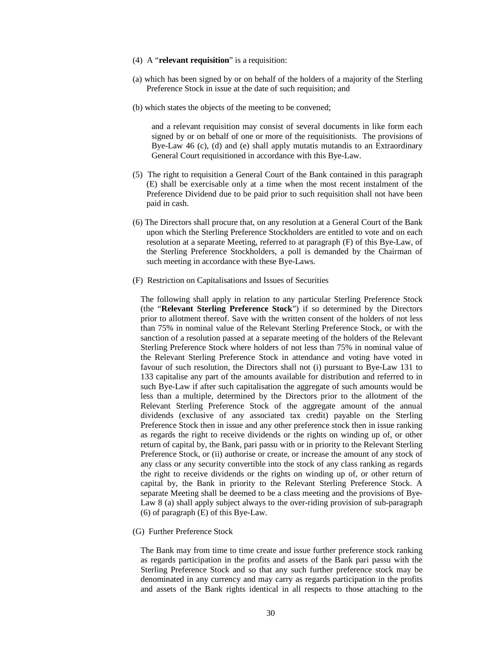- (4) A "**relevant requisition**" is a requisition:
- (a) which has been signed by or on behalf of the holders of a majority of the Sterling Preference Stock in issue at the date of such requisition; and
- (b) which states the objects of the meeting to be convened;

and a relevant requisition may consist of several documents in like form each signed by or on behalf of one or more of the requisitionists. The provisions of Bye-Law 46 (c), (d) and (e) shall apply mutatis mutandis to an Extraordinary General Court requisitioned in accordance with this Bye-Law.

- (5) The right to requisition a General Court of the Bank contained in this paragraph (E) shall be exercisable only at a time when the most recent instalment of the Preference Dividend due to be paid prior to such requisition shall not have been paid in cash.
- (6) The Directors shall procure that, on any resolution at a General Court of the Bank upon which the Sterling Preference Stockholders are entitled to vote and on each resolution at a separate Meeting, referred to at paragraph (F) of this Bye-Law, of the Sterling Preference Stockholders, a poll is demanded by the Chairman of such meeting in accordance with these Bye-Laws.
- (F) Restriction on Capitalisations and Issues of Securities

The following shall apply in relation to any particular Sterling Preference Stock (the "**Relevant Sterling Preference Stock**") if so determined by the Directors prior to allotment thereof. Save with the written consent of the holders of not less than 75% in nominal value of the Relevant Sterling Preference Stock, or with the sanction of a resolution passed at a separate meeting of the holders of the Relevant Sterling Preference Stock where holders of not less than 75% in nominal value of the Relevant Sterling Preference Stock in attendance and voting have voted in favour of such resolution, the Directors shall not (i) pursuant to Bye-Law 131 to 133 capitalise any part of the amounts available for distribution and referred to in such Bye-Law if after such capitalisation the aggregate of such amounts would be less than a multiple, determined by the Directors prior to the allotment of the Relevant Sterling Preference Stock of the aggregate amount of the annual dividends (exclusive of any associated tax credit) payable on the Sterling Preference Stock then in issue and any other preference stock then in issue ranking as regards the right to receive dividends or the rights on winding up of, or other return of capital by, the Bank, pari passu with or in priority to the Relevant Sterling Preference Stock, or (ii) authorise or create, or increase the amount of any stock of any class or any security convertible into the stock of any class ranking as regards the right to receive dividends or the rights on winding up of, or other return of capital by, the Bank in priority to the Relevant Sterling Preference Stock. A separate Meeting shall be deemed to be a class meeting and the provisions of Bye-Law 8 (a) shall apply subject always to the over-riding provision of sub-paragraph (6) of paragraph (E) of this Bye-Law.

(G) Further Preference Stock

The Bank may from time to time create and issue further preference stock ranking as regards participation in the profits and assets of the Bank pari passu with the Sterling Preference Stock and so that any such further preference stock may be denominated in any currency and may carry as regards participation in the profits and assets of the Bank rights identical in all respects to those attaching to the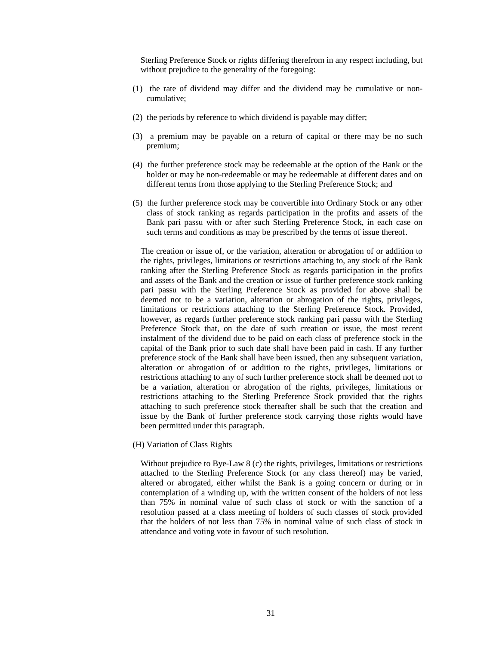Sterling Preference Stock or rights differing therefrom in any respect including, but without prejudice to the generality of the foregoing:

- (1) the rate of dividend may differ and the dividend may be cumulative or noncumulative;
- (2) the periods by reference to which dividend is payable may differ;
- (3) a premium may be payable on a return of capital or there may be no such premium;
- (4) the further preference stock may be redeemable at the option of the Bank or the holder or may be non-redeemable or may be redeemable at different dates and on different terms from those applying to the Sterling Preference Stock; and
- (5) the further preference stock may be convertible into Ordinary Stock or any other class of stock ranking as regards participation in the profits and assets of the Bank pari passu with or after such Sterling Preference Stock, in each case on such terms and conditions as may be prescribed by the terms of issue thereof.

The creation or issue of, or the variation, alteration or abrogation of or addition to the rights, privileges, limitations or restrictions attaching to, any stock of the Bank ranking after the Sterling Preference Stock as regards participation in the profits and assets of the Bank and the creation or issue of further preference stock ranking pari passu with the Sterling Preference Stock as provided for above shall be deemed not to be a variation, alteration or abrogation of the rights, privileges, limitations or restrictions attaching to the Sterling Preference Stock. Provided, however, as regards further preference stock ranking pari passu with the Sterling Preference Stock that, on the date of such creation or issue, the most recent instalment of the dividend due to be paid on each class of preference stock in the capital of the Bank prior to such date shall have been paid in cash. If any further preference stock of the Bank shall have been issued, then any subsequent variation, alteration or abrogation of or addition to the rights, privileges, limitations or restrictions attaching to any of such further preference stock shall be deemed not to be a variation, alteration or abrogation of the rights, privileges, limitations or restrictions attaching to the Sterling Preference Stock provided that the rights attaching to such preference stock thereafter shall be such that the creation and issue by the Bank of further preference stock carrying those rights would have been permitted under this paragraph.

(H) Variation of Class Rights

Without prejudice to Bye-Law 8 (c) the rights, privileges, limitations or restrictions attached to the Sterling Preference Stock (or any class thereof) may be varied, altered or abrogated, either whilst the Bank is a going concern or during or in contemplation of a winding up, with the written consent of the holders of not less than 75% in nominal value of such class of stock or with the sanction of a resolution passed at a class meeting of holders of such classes of stock provided that the holders of not less than 75% in nominal value of such class of stock in attendance and voting vote in favour of such resolution.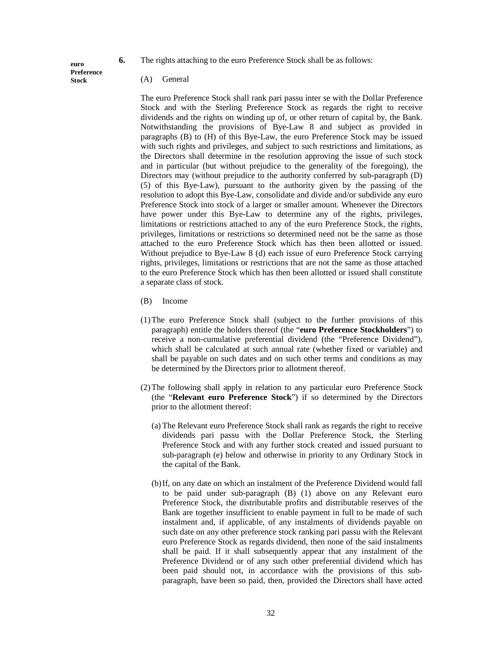**6.** The rights attaching to the euro Preference Stock shall be as follows:

**euro Preference Stock** 

(A) General

The euro Preference Stock shall rank pari passu inter se with the Dollar Preference Stock and with the Sterling Preference Stock as regards the right to receive dividends and the rights on winding up of, or other return of capital by, the Bank. Notwithstanding the provisions of Bye-Law 8 and subject as provided in paragraphs (B) to (H) of this Bye-Law, the euro Preference Stock may be issued with such rights and privileges, and subject to such restrictions and limitations, as the Directors shall determine in the resolution approving the issue of such stock and in particular (but without prejudice to the generality of the foregoing), the Directors may (without prejudice to the authority conferred by sub-paragraph (D) (5) of this Bye-Law), pursuant to the authority given by the passing of the resolution to adopt this Bye-Law, consolidate and divide and/or subdivide any euro Preference Stock into stock of a larger or smaller amount. Whenever the Directors have power under this Bye-Law to determine any of the rights, privileges, limitations or restrictions attached to any of the euro Preference Stock, the rights, privileges, limitations or restrictions so determined need not be the same as those attached to the euro Preference Stock which has then been allotted or issued. Without prejudice to Bye-Law 8 (d) each issue of euro Preference Stock carrying rights, privileges, limitations or restrictions that are not the same as those attached to the euro Preference Stock which has then been allotted or issued shall constitute a separate class of stock.

- (B) Income
- (1)The euro Preference Stock shall (subject to the further provisions of this paragraph) entitle the holders thereof (the "**euro Preference Stockholders**") to receive a non-cumulative preferential dividend (the "Preference Dividend"), which shall be calculated at such annual rate (whether fixed or variable) and shall be payable on such dates and on such other terms and conditions as may be determined by the Directors prior to allotment thereof.
- (2)The following shall apply in relation to any particular euro Preference Stock (the "**Relevant euro Preference Stock**") if so determined by the Directors prior to the allotment thereof:
	- (a) The Relevant euro Preference Stock shall rank as regards the right to receive dividends pari passu with the Dollar Preference Stock, the Sterling Preference Stock and with any further stock created and issued pursuant to sub-paragraph (e) below and otherwise in priority to any Ordinary Stock in the capital of the Bank.
	- (b)If, on any date on which an instalment of the Preference Dividend would fall to be paid under sub-paragraph (B) (1) above on any Relevant euro Preference Stock, the distributable profits and distributable reserves of the Bank are together insufficient to enable payment in full to be made of such instalment and, if applicable, of any instalments of dividends payable on such date on any other preference stock ranking pari passu with the Relevant euro Preference Stock as regards dividend, then none of the said instalments shall be paid. If it shall subsequently appear that any instalment of the Preference Dividend or of any such other preferential dividend which has been paid should not, in accordance with the provisions of this subparagraph, have been so paid, then, provided the Directors shall have acted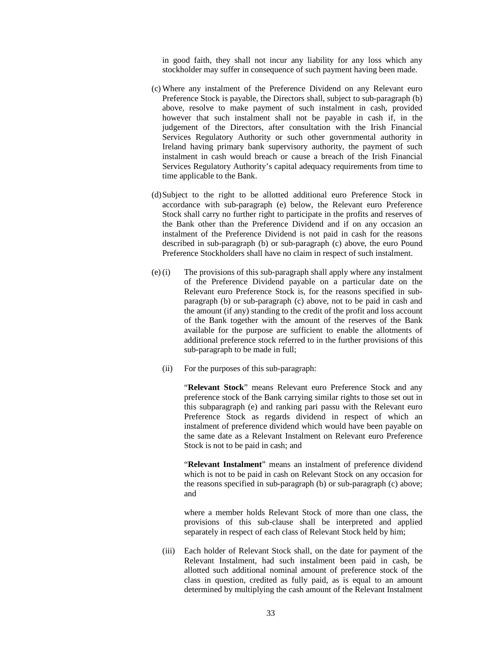in good faith, they shall not incur any liability for any loss which any stockholder may suffer in consequence of such payment having been made.

- (c) Where any instalment of the Preference Dividend on any Relevant euro Preference Stock is payable, the Directors shall, subject to sub-paragraph (b) above, resolve to make payment of such instalment in cash, provided however that such instalment shall not be payable in cash if, in the judgement of the Directors, after consultation with the Irish Financial Services Regulatory Authority or such other governmental authority in Ireland having primary bank supervisory authority, the payment of such instalment in cash would breach or cause a breach of the Irish Financial Services Regulatory Authority's capital adequacy requirements from time to time applicable to the Bank.
- (d)Subject to the right to be allotted additional euro Preference Stock in accordance with sub-paragraph (e) below, the Relevant euro Preference Stock shall carry no further right to participate in the profits and reserves of the Bank other than the Preference Dividend and if on any occasion an instalment of the Preference Dividend is not paid in cash for the reasons described in sub-paragraph (b) or sub-paragraph (c) above, the euro Pound Preference Stockholders shall have no claim in respect of such instalment.
- (e)(i) The provisions of this sub-paragraph shall apply where any instalment of the Preference Dividend payable on a particular date on the Relevant euro Preference Stock is, for the reasons specified in subparagraph (b) or sub-paragraph (c) above, not to be paid in cash and the amount (if any) standing to the credit of the profit and loss account of the Bank together with the amount of the reserves of the Bank available for the purpose are sufficient to enable the allotments of additional preference stock referred to in the further provisions of this sub-paragraph to be made in full;
	- (ii) For the purposes of this sub-paragraph:

"**Relevant Stock**" means Relevant euro Preference Stock and any preference stock of the Bank carrying similar rights to those set out in this subparagraph (e) and ranking pari passu with the Relevant euro Preference Stock as regards dividend in respect of which an instalment of preference dividend which would have been payable on the same date as a Relevant Instalment on Relevant euro Preference Stock is not to be paid in cash; and

"**Relevant Instalment**" means an instalment of preference dividend which is not to be paid in cash on Relevant Stock on any occasion for the reasons specified in sub-paragraph (b) or sub-paragraph (c) above; and

where a member holds Relevant Stock of more than one class, the provisions of this sub-clause shall be interpreted and applied separately in respect of each class of Relevant Stock held by him;

(iii) Each holder of Relevant Stock shall, on the date for payment of the Relevant Instalment, had such instalment been paid in cash, be allotted such additional nominal amount of preference stock of the class in question, credited as fully paid, as is equal to an amount determined by multiplying the cash amount of the Relevant Instalment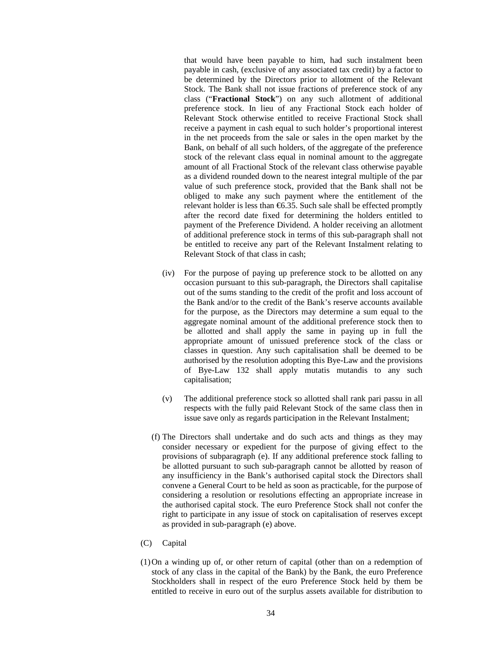that would have been payable to him, had such instalment been payable in cash, (exclusive of any associated tax credit) by a factor to be determined by the Directors prior to allotment of the Relevant Stock. The Bank shall not issue fractions of preference stock of any class ("**Fractional Stock**") on any such allotment of additional preference stock. In lieu of any Fractional Stock each holder of Relevant Stock otherwise entitled to receive Fractional Stock shall receive a payment in cash equal to such holder's proportional interest in the net proceeds from the sale or sales in the open market by the Bank, on behalf of all such holders, of the aggregate of the preference stock of the relevant class equal in nominal amount to the aggregate amount of all Fractional Stock of the relevant class otherwise payable as a dividend rounded down to the nearest integral multiple of the par value of such preference stock, provided that the Bank shall not be obliged to make any such payment where the entitlement of the relevant holder is less than  $\epsilon$ 6.35. Such sale shall be effected promptly after the record date fixed for determining the holders entitled to payment of the Preference Dividend. A holder receiving an allotment of additional preference stock in terms of this sub-paragraph shall not be entitled to receive any part of the Relevant Instalment relating to Relevant Stock of that class in cash;

- (iv) For the purpose of paying up preference stock to be allotted on any occasion pursuant to this sub-paragraph, the Directors shall capitalise out of the sums standing to the credit of the profit and loss account of the Bank and/or to the credit of the Bank's reserve accounts available for the purpose, as the Directors may determine a sum equal to the aggregate nominal amount of the additional preference stock then to be allotted and shall apply the same in paying up in full the appropriate amount of unissued preference stock of the class or classes in question. Any such capitalisation shall be deemed to be authorised by the resolution adopting this Bye-Law and the provisions of Bye-Law 132 shall apply mutatis mutandis to any such capitalisation;
- (v) The additional preference stock so allotted shall rank pari passu in all respects with the fully paid Relevant Stock of the same class then in issue save only as regards participation in the Relevant Instalment;
- (f) The Directors shall undertake and do such acts and things as they may consider necessary or expedient for the purpose of giving effect to the provisions of subparagraph (e). If any additional preference stock falling to be allotted pursuant to such sub-paragraph cannot be allotted by reason of any insufficiency in the Bank's authorised capital stock the Directors shall convene a General Court to be held as soon as practicable, for the purpose of considering a resolution or resolutions effecting an appropriate increase in the authorised capital stock. The euro Preference Stock shall not confer the right to participate in any issue of stock on capitalisation of reserves except as provided in sub-paragraph (e) above.
- (C) Capital
- (1)On a winding up of, or other return of capital (other than on a redemption of stock of any class in the capital of the Bank) by the Bank, the euro Preference Stockholders shall in respect of the euro Preference Stock held by them be entitled to receive in euro out of the surplus assets available for distribution to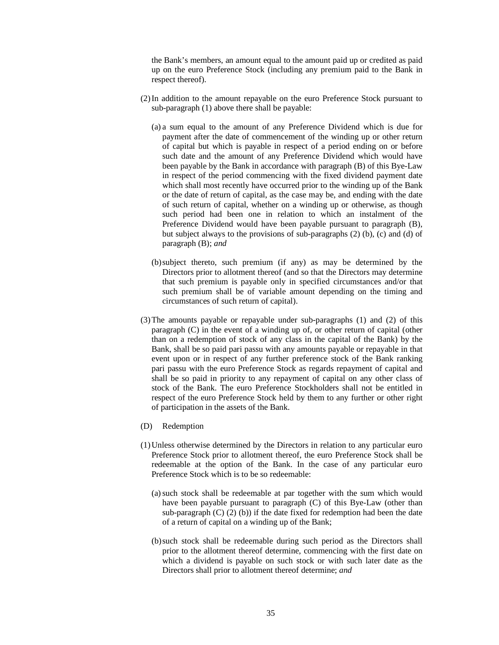the Bank's members, an amount equal to the amount paid up or credited as paid up on the euro Preference Stock (including any premium paid to the Bank in respect thereof).

- (2)In addition to the amount repayable on the euro Preference Stock pursuant to sub-paragraph (1) above there shall be payable:
	- (a) a sum equal to the amount of any Preference Dividend which is due for payment after the date of commencement of the winding up or other return of capital but which is payable in respect of a period ending on or before such date and the amount of any Preference Dividend which would have been payable by the Bank in accordance with paragraph (B) of this Bye-Law in respect of the period commencing with the fixed dividend payment date which shall most recently have occurred prior to the winding up of the Bank or the date of return of capital, as the case may be, and ending with the date of such return of capital, whether on a winding up or otherwise, as though such period had been one in relation to which an instalment of the Preference Dividend would have been payable pursuant to paragraph (B), but subject always to the provisions of sub-paragraphs (2) (b), (c) and (d) of paragraph (B); *and*
	- (b)subject thereto, such premium (if any) as may be determined by the Directors prior to allotment thereof (and so that the Directors may determine that such premium is payable only in specified circumstances and/or that such premium shall be of variable amount depending on the timing and circumstances of such return of capital).
- (3)The amounts payable or repayable under sub-paragraphs (1) and (2) of this paragraph (C) in the event of a winding up of, or other return of capital (other than on a redemption of stock of any class in the capital of the Bank) by the Bank, shall be so paid pari passu with any amounts payable or repayable in that event upon or in respect of any further preference stock of the Bank ranking pari passu with the euro Preference Stock as regards repayment of capital and shall be so paid in priority to any repayment of capital on any other class of stock of the Bank. The euro Preference Stockholders shall not be entitled in respect of the euro Preference Stock held by them to any further or other right of participation in the assets of the Bank.
- (D) Redemption
- (1)Unless otherwise determined by the Directors in relation to any particular euro Preference Stock prior to allotment thereof, the euro Preference Stock shall be redeemable at the option of the Bank. In the case of any particular euro Preference Stock which is to be so redeemable:
	- (a)such stock shall be redeemable at par together with the sum which would have been payable pursuant to paragraph (C) of this Bye-Law (other than sub-paragraph  $(C)$   $(2)$   $(b)$ ) if the date fixed for redemption had been the date of a return of capital on a winding up of the Bank;
	- (b)such stock shall be redeemable during such period as the Directors shall prior to the allotment thereof determine, commencing with the first date on which a dividend is payable on such stock or with such later date as the Directors shall prior to allotment thereof determine; *and*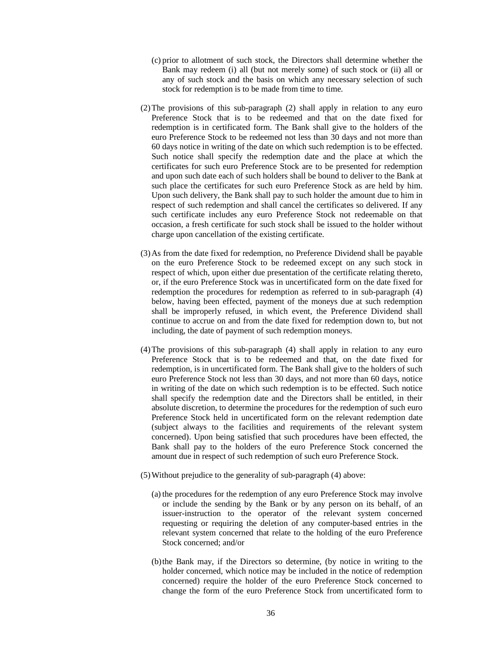- (c) prior to allotment of such stock, the Directors shall determine whether the Bank may redeem (i) all (but not merely some) of such stock or (ii) all or any of such stock and the basis on which any necessary selection of such stock for redemption is to be made from time to time.
- (2)The provisions of this sub-paragraph (2) shall apply in relation to any euro Preference Stock that is to be redeemed and that on the date fixed for redemption is in certificated form. The Bank shall give to the holders of the euro Preference Stock to be redeemed not less than 30 days and not more than 60 days notice in writing of the date on which such redemption is to be effected. Such notice shall specify the redemption date and the place at which the certificates for such euro Preference Stock are to be presented for redemption and upon such date each of such holders shall be bound to deliver to the Bank at such place the certificates for such euro Preference Stock as are held by him. Upon such delivery, the Bank shall pay to such holder the amount due to him in respect of such redemption and shall cancel the certificates so delivered. If any such certificate includes any euro Preference Stock not redeemable on that occasion, a fresh certificate for such stock shall be issued to the holder without charge upon cancellation of the existing certificate.
- (3)As from the date fixed for redemption, no Preference Dividend shall be payable on the euro Preference Stock to be redeemed except on any such stock in respect of which, upon either due presentation of the certificate relating thereto, or, if the euro Preference Stock was in uncertificated form on the date fixed for redemption the procedures for redemption as referred to in sub-paragraph (4) below, having been effected, payment of the moneys due at such redemption shall be improperly refused, in which event, the Preference Dividend shall continue to accrue on and from the date fixed for redemption down to, but not including, the date of payment of such redemption moneys.
- (4)The provisions of this sub-paragraph (4) shall apply in relation to any euro Preference Stock that is to be redeemed and that, on the date fixed for redemption, is in uncertificated form. The Bank shall give to the holders of such euro Preference Stock not less than 30 days, and not more than 60 days, notice in writing of the date on which such redemption is to be effected. Such notice shall specify the redemption date and the Directors shall be entitled, in their absolute discretion, to determine the procedures for the redemption of such euro Preference Stock held in uncertificated form on the relevant redemption date (subject always to the facilities and requirements of the relevant system concerned). Upon being satisfied that such procedures have been effected, the Bank shall pay to the holders of the euro Preference Stock concerned the amount due in respect of such redemption of such euro Preference Stock.
- (5)Without prejudice to the generality of sub-paragraph (4) above:
	- (a)the procedures for the redemption of any euro Preference Stock may involve or include the sending by the Bank or by any person on its behalf, of an issuer-instruction to the operator of the relevant system concerned requesting or requiring the deletion of any computer-based entries in the relevant system concerned that relate to the holding of the euro Preference Stock concerned; and/or
	- (b)the Bank may, if the Directors so determine, (by notice in writing to the holder concerned, which notice may be included in the notice of redemption concerned) require the holder of the euro Preference Stock concerned to change the form of the euro Preference Stock from uncertificated form to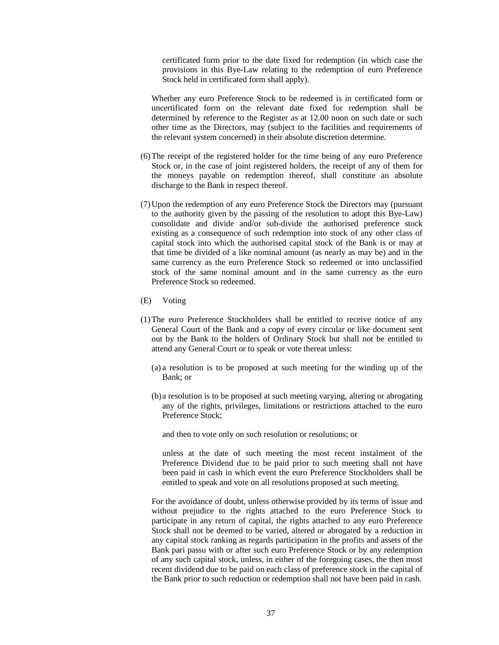certificated form prior to the date fixed for redemption (in which case the provisions in this Bye-Law relating to the redemption of euro Preference Stock held in certificated form shall apply).

Whether any euro Preference Stock to be redeemed is in certificated form or uncertificated form on the relevant date fixed for redemption shall be determined by reference to the Register as at 12.00 noon on such date or such other time as the Directors, may (subject to the facilities and requirements of the relevant system concerned) in their absolute discretion determine.

- (6)The receipt of the registered holder for the time being of any euro Preference Stock or, in the case of joint registered holders, the receipt of any of them for the moneys payable on redemption thereof, shall constitute an absolute discharge to the Bank in respect thereof.
- (7)Upon the redemption of any euro Preference Stock the Directors may (pursuant to the authority given by the passing of the resolution to adopt this Bye-Law) consolidate and divide and/or sub-divide the authorised preference stock existing as a consequence of such redemption into stock of any other class of capital stock into which the authorised capital stock of the Bank is or may at that time be divided of a like nominal amount (as nearly as may be) and in the same currency as the euro Preference Stock so redeemed or into unclassified stock of the same nominal amount and in the same currency as the euro Preference Stock so redeemed.
- (E) Voting
- (1)The euro Preference Stockholders shall be entitled to receive notice of any General Court of the Bank and a copy of every circular or like document sent out by the Bank to the holders of Ordinary Stock but shall not be entitled to attend any General Court or to speak or vote thereat unless:
	- (a) a resolution is to be proposed at such meeting for the winding up of the Bank; or
	- (b)a resolution is to be proposed at such meeting varying, altering or abrogating any of the rights, privileges, limitations or restrictions attached to the euro Preference Stock;
		- and then to vote only on such resolution or resolutions; or

unless at the date of such meeting the most recent instalment of the Preference Dividend due to be paid prior to such meeting shall not have been paid in cash in which event the euro Preference Stockholders shall be entitled to speak and vote on all resolutions proposed at such meeting.

For the avoidance of doubt, unless otherwise provided by its terms of issue and without prejudice to the rights attached to the euro Preference Stock to participate in any return of capital, the rights attached to any euro Preference Stock shall not be deemed to be varied, altered or abrogated by a reduction in any capital stock ranking as regards participation in the profits and assets of the Bank pari passu with or after such euro Preference Stock or by any redemption of any such capital stock, unless, in either of the foregoing cases, the then most recent dividend due to be paid on each class of preference stock in the capital of the Bank prior to such reduction or redemption shall not have been paid in cash.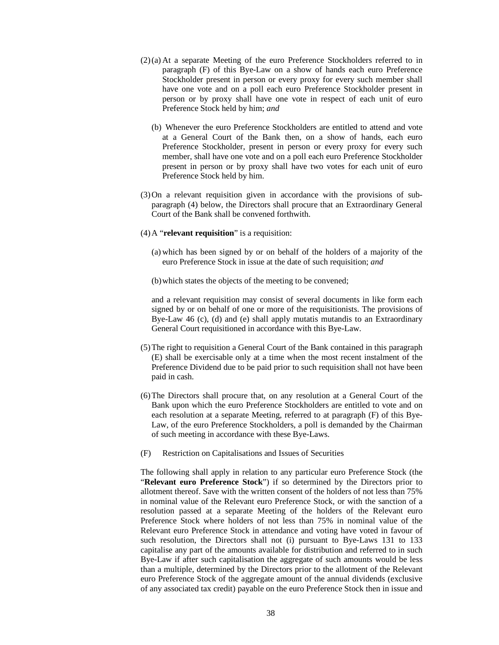- (2)(a) At a separate Meeting of the euro Preference Stockholders referred to in paragraph (F) of this Bye-Law on a show of hands each euro Preference Stockholder present in person or every proxy for every such member shall have one vote and on a poll each euro Preference Stockholder present in person or by proxy shall have one vote in respect of each unit of euro Preference Stock held by him; *and*
	- (b) Whenever the euro Preference Stockholders are entitled to attend and vote at a General Court of the Bank then, on a show of hands, each euro Preference Stockholder, present in person or every proxy for every such member, shall have one vote and on a poll each euro Preference Stockholder present in person or by proxy shall have two votes for each unit of euro Preference Stock held by him.
- (3)On a relevant requisition given in accordance with the provisions of subparagraph (4) below, the Directors shall procure that an Extraordinary General Court of the Bank shall be convened forthwith.
- (4)A "**relevant requisition**" is a requisition:
	- (a) which has been signed by or on behalf of the holders of a majority of the euro Preference Stock in issue at the date of such requisition; *and*

(b)which states the objects of the meeting to be convened;

and a relevant requisition may consist of several documents in like form each signed by or on behalf of one or more of the requisitionists. The provisions of Bye-Law 46 (c), (d) and (e) shall apply mutatis mutandis to an Extraordinary General Court requisitioned in accordance with this Bye-Law.

- (5)The right to requisition a General Court of the Bank contained in this paragraph (E) shall be exercisable only at a time when the most recent instalment of the Preference Dividend due to be paid prior to such requisition shall not have been paid in cash.
- (6)The Directors shall procure that, on any resolution at a General Court of the Bank upon which the euro Preference Stockholders are entitled to vote and on each resolution at a separate Meeting, referred to at paragraph (F) of this Bye-Law, of the euro Preference Stockholders, a poll is demanded by the Chairman of such meeting in accordance with these Bye-Laws.
- (F) Restriction on Capitalisations and Issues of Securities

The following shall apply in relation to any particular euro Preference Stock (the "**Relevant euro Preference Stock**") if so determined by the Directors prior to allotment thereof. Save with the written consent of the holders of not less than 75% in nominal value of the Relevant euro Preference Stock, or with the sanction of a resolution passed at a separate Meeting of the holders of the Relevant euro Preference Stock where holders of not less than 75% in nominal value of the Relevant euro Preference Stock in attendance and voting have voted in favour of such resolution, the Directors shall not (i) pursuant to Bye-Laws 131 to 133 capitalise any part of the amounts available for distribution and referred to in such Bye-Law if after such capitalisation the aggregate of such amounts would be less than a multiple, determined by the Directors prior to the allotment of the Relevant euro Preference Stock of the aggregate amount of the annual dividends (exclusive of any associated tax credit) payable on the euro Preference Stock then in issue and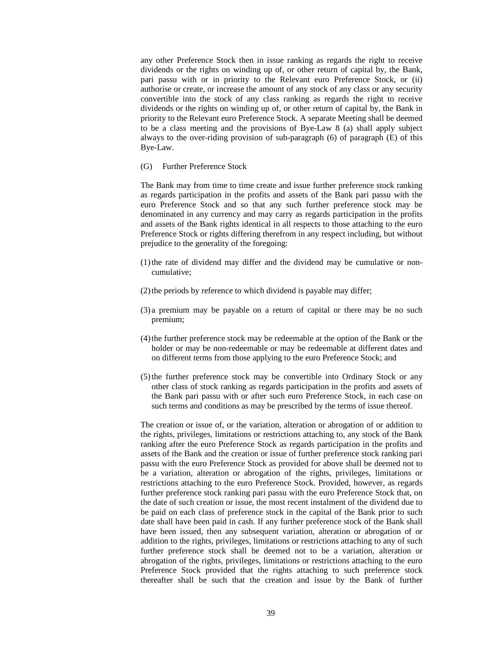any other Preference Stock then in issue ranking as regards the right to receive dividends or the rights on winding up of, or other return of capital by, the Bank, pari passu with or in priority to the Relevant euro Preference Stock, or (ii) authorise or create, or increase the amount of any stock of any class or any security convertible into the stock of any class ranking as regards the right to receive dividends or the rights on winding up of, or other return of capital by, the Bank in priority to the Relevant euro Preference Stock. A separate Meeting shall be deemed to be a class meeting and the provisions of Bye-Law 8 (a) shall apply subject always to the over-riding provision of sub-paragraph (6) of paragraph (E) of this Bye-Law.

(G) Further Preference Stock

The Bank may from time to time create and issue further preference stock ranking as regards participation in the profits and assets of the Bank pari passu with the euro Preference Stock and so that any such further preference stock may be denominated in any currency and may carry as regards participation in the profits and assets of the Bank rights identical in all respects to those attaching to the euro Preference Stock or rights differing therefrom in any respect including, but without prejudice to the generality of the foregoing:

- (1)the rate of dividend may differ and the dividend may be cumulative or noncumulative;
- (2)the periods by reference to which dividend is payable may differ;
- (3) a premium may be payable on a return of capital or there may be no such premium;
- (4)the further preference stock may be redeemable at the option of the Bank or the holder or may be non-redeemable or may be redeemable at different dates and on different terms from those applying to the euro Preference Stock; and
- (5)the further preference stock may be convertible into Ordinary Stock or any other class of stock ranking as regards participation in the profits and assets of the Bank pari passu with or after such euro Preference Stock, in each case on such terms and conditions as may be prescribed by the terms of issue thereof.

The creation or issue of, or the variation, alteration or abrogation of or addition to the rights, privileges, limitations or restrictions attaching to, any stock of the Bank ranking after the euro Preference Stock as regards participation in the profits and assets of the Bank and the creation or issue of further preference stock ranking pari passu with the euro Preference Stock as provided for above shall be deemed not to be a variation, alteration or abrogation of the rights, privileges, limitations or restrictions attaching to the euro Preference Stock. Provided, however, as regards further preference stock ranking pari passu with the euro Preference Stock that, on the date of such creation or issue, the most recent instalment of the dividend due to be paid on each class of preference stock in the capital of the Bank prior to such date shall have been paid in cash. If any further preference stock of the Bank shall have been issued, then any subsequent variation, alteration or abrogation of or addition to the rights, privileges, limitations or restrictions attaching to any of such further preference stock shall be deemed not to be a variation, alteration or abrogation of the rights, privileges, limitations or restrictions attaching to the euro Preference Stock provided that the rights attaching to such preference stock thereafter shall be such that the creation and issue by the Bank of further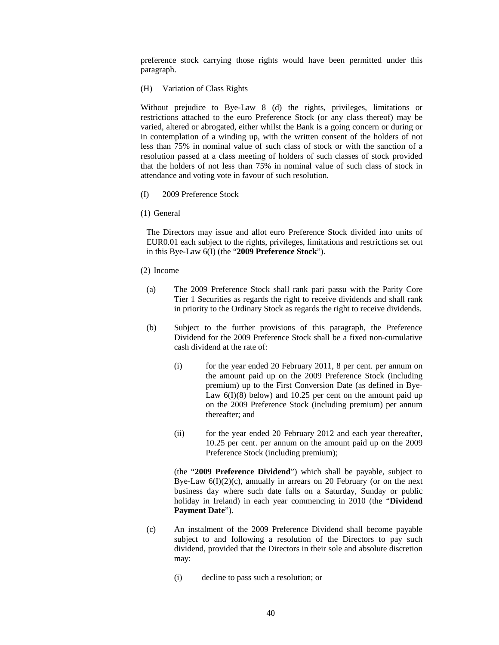preference stock carrying those rights would have been permitted under this paragraph.

(H) Variation of Class Rights

Without prejudice to Bye-Law 8 (d) the rights, privileges, limitations or restrictions attached to the euro Preference Stock (or any class thereof) may be varied, altered or abrogated, either whilst the Bank is a going concern or during or in contemplation of a winding up, with the written consent of the holders of not less than 75% in nominal value of such class of stock or with the sanction of a resolution passed at a class meeting of holders of such classes of stock provided that the holders of not less than 75% in nominal value of such class of stock in attendance and voting vote in favour of such resolution.

- (I) 2009 Preference Stock
- (1) General

The Directors may issue and allot euro Preference Stock divided into units of EUR0.01 each subject to the rights, privileges, limitations and restrictions set out in this Bye-Law 6(I) (the "**2009 Preference Stock**").

- (2) Income
	- (a) The 2009 Preference Stock shall rank pari passu with the Parity Core Tier 1 Securities as regards the right to receive dividends and shall rank in priority to the Ordinary Stock as regards the right to receive dividends.
	- (b) Subject to the further provisions of this paragraph, the Preference Dividend for the 2009 Preference Stock shall be a fixed non-cumulative cash dividend at the rate of:
		- (i) for the year ended 20 February 2011, 8 per cent. per annum on the amount paid up on the 2009 Preference Stock (including premium) up to the First Conversion Date (as defined in Bye-Law  $6(1)(8)$  below) and 10.25 per cent on the amount paid up on the 2009 Preference Stock (including premium) per annum thereafter; and
		- (ii) for the year ended 20 February 2012 and each year thereafter, 10.25 per cent. per annum on the amount paid up on the 2009 Preference Stock (including premium);

(the "**2009 Preference Dividend**") which shall be payable, subject to Bye-Law  $6(I)(2)(c)$ , annually in arrears on 20 February (or on the next business day where such date falls on a Saturday, Sunday or public holiday in Ireland) in each year commencing in 2010 (the "**Dividend Payment Date**").

- (c) An instalment of the 2009 Preference Dividend shall become payable subject to and following a resolution of the Directors to pay such dividend, provided that the Directors in their sole and absolute discretion may:
	- (i) decline to pass such a resolution; or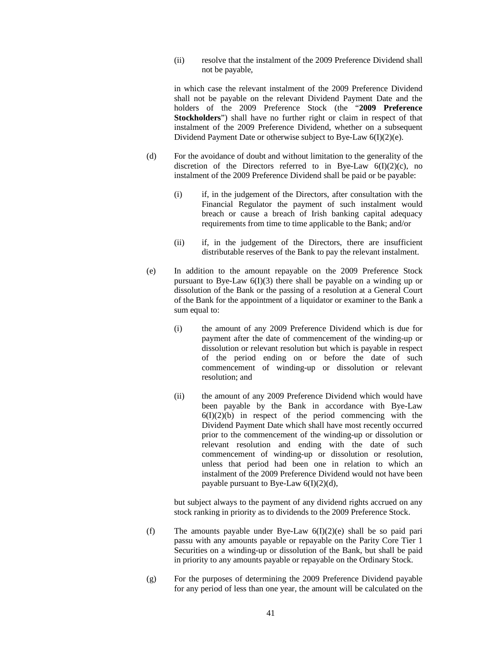(ii) resolve that the instalment of the 2009 Preference Dividend shall not be payable,

in which case the relevant instalment of the 2009 Preference Dividend shall not be payable on the relevant Dividend Payment Date and the holders of the 2009 Preference Stock (the "**2009 Preference Stockholders**") shall have no further right or claim in respect of that instalment of the 2009 Preference Dividend, whether on a subsequent Dividend Payment Date or otherwise subject to Bye-Law 6(I)(2)(e).

- (d) For the avoidance of doubt and without limitation to the generality of the discretion of the Directors referred to in Bye-Law  $6(I)(2)(c)$ , no instalment of the 2009 Preference Dividend shall be paid or be payable:
	- (i) if, in the judgement of the Directors, after consultation with the Financial Regulator the payment of such instalment would breach or cause a breach of Irish banking capital adequacy requirements from time to time applicable to the Bank; and/or
	- (ii) if, in the judgement of the Directors, there are insufficient distributable reserves of the Bank to pay the relevant instalment.
- (e) In addition to the amount repayable on the 2009 Preference Stock pursuant to Bye-Law 6(I)(3) there shall be payable on a winding up or dissolution of the Bank or the passing of a resolution at a General Court of the Bank for the appointment of a liquidator or examiner to the Bank a sum equal to:
	- (i) the amount of any 2009 Preference Dividend which is due for payment after the date of commencement of the winding-up or dissolution or relevant resolution but which is payable in respect of the period ending on or before the date of such commencement of winding-up or dissolution or relevant resolution; and
	- (ii) the amount of any 2009 Preference Dividend which would have been payable by the Bank in accordance with Bye-Law  $6(I)(2)(b)$  in respect of the period commencing with the Dividend Payment Date which shall have most recently occurred prior to the commencement of the winding-up or dissolution or relevant resolution and ending with the date of such commencement of winding-up or dissolution or resolution, unless that period had been one in relation to which an instalment of the 2009 Preference Dividend would not have been payable pursuant to Bye-Law  $6(I)(2)(d)$ ,

but subject always to the payment of any dividend rights accrued on any stock ranking in priority as to dividends to the 2009 Preference Stock.

- (f) The amounts payable under Bye-Law  $6(I)(2)(e)$  shall be so paid pari passu with any amounts payable or repayable on the Parity Core Tier 1 Securities on a winding-up or dissolution of the Bank, but shall be paid in priority to any amounts payable or repayable on the Ordinary Stock.
- (g) For the purposes of determining the 2009 Preference Dividend payable for any period of less than one year, the amount will be calculated on the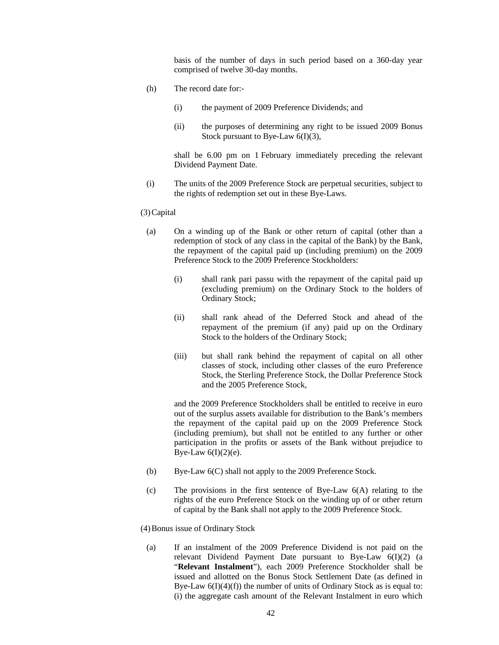basis of the number of days in such period based on a 360-day year comprised of twelve 30-day months.

- (h) The record date for:-
	- (i) the payment of 2009 Preference Dividends; and
	- (ii) the purposes of determining any right to be issued 2009 Bonus Stock pursuant to Bye-Law 6(I)(3),

shall be 6.00 pm on 1 February immediately preceding the relevant Dividend Payment Date.

(i) The units of the 2009 Preference Stock are perpetual securities, subject to the rights of redemption set out in these Bye-Laws.

(3)Capital

- (a) On a winding up of the Bank or other return of capital (other than a redemption of stock of any class in the capital of the Bank) by the Bank, the repayment of the capital paid up (including premium) on the 2009 Preference Stock to the 2009 Preference Stockholders:
	- (i) shall rank pari passu with the repayment of the capital paid up (excluding premium) on the Ordinary Stock to the holders of Ordinary Stock;
	- (ii) shall rank ahead of the Deferred Stock and ahead of the repayment of the premium (if any) paid up on the Ordinary Stock to the holders of the Ordinary Stock;
	- (iii) but shall rank behind the repayment of capital on all other classes of stock, including other classes of the euro Preference Stock, the Sterling Preference Stock, the Dollar Preference Stock and the 2005 Preference Stock,

and the 2009 Preference Stockholders shall be entitled to receive in euro out of the surplus assets available for distribution to the Bank's members the repayment of the capital paid up on the 2009 Preference Stock (including premium), but shall not be entitled to any further or other participation in the profits or assets of the Bank without prejudice to Bye-Law  $6(I)(2)(e)$ .

- (b) Bye-Law 6(C) shall not apply to the 2009 Preference Stock.
- (c) The provisions in the first sentence of Bye-Law 6(A) relating to the rights of the euro Preference Stock on the winding up of or other return of capital by the Bank shall not apply to the 2009 Preference Stock.

(4)Bonus issue of Ordinary Stock

(a) If an instalment of the 2009 Preference Dividend is not paid on the relevant Dividend Payment Date pursuant to Bye-Law 6(I)(2) (a "**Relevant Instalment**"), each 2009 Preference Stockholder shall be issued and allotted on the Bonus Stock Settlement Date (as defined in Bye-Law  $6(I)(4)(f)$  the number of units of Ordinary Stock as is equal to: (i) the aggregate cash amount of the Relevant Instalment in euro which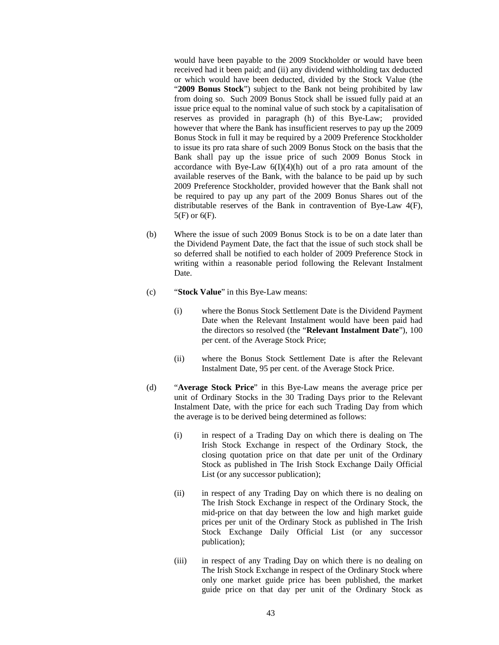would have been payable to the 2009 Stockholder or would have been received had it been paid; and (ii) any dividend withholding tax deducted or which would have been deducted, divided by the Stock Value (the "**2009 Bonus Stock**") subject to the Bank not being prohibited by law from doing so. Such 2009 Bonus Stock shall be issued fully paid at an issue price equal to the nominal value of such stock by a capitalisation of reserves as provided in paragraph (h) of this Bye-Law; provided however that where the Bank has insufficient reserves to pay up the 2009 Bonus Stock in full it may be required by a 2009 Preference Stockholder to issue its pro rata share of such 2009 Bonus Stock on the basis that the Bank shall pay up the issue price of such 2009 Bonus Stock in accordance with Bye-Law  $6(I)(4)(h)$  out of a pro rata amount of the available reserves of the Bank, with the balance to be paid up by such 2009 Preference Stockholder, provided however that the Bank shall not be required to pay up any part of the 2009 Bonus Shares out of the distributable reserves of the Bank in contravention of Bye-Law 4(F), 5(F) or 6(F).

- (b) Where the issue of such 2009 Bonus Stock is to be on a date later than the Dividend Payment Date, the fact that the issue of such stock shall be so deferred shall be notified to each holder of 2009 Preference Stock in writing within a reasonable period following the Relevant Instalment Date.
- (c) "**Stock Value**" in this Bye-Law means:
	- (i) where the Bonus Stock Settlement Date is the Dividend Payment Date when the Relevant Instalment would have been paid had the directors so resolved (the "**Relevant Instalment Date**"), 100 per cent. of the Average Stock Price;
	- (ii) where the Bonus Stock Settlement Date is after the Relevant Instalment Date, 95 per cent. of the Average Stock Price.
- (d) "**Average Stock Price**" in this Bye-Law means the average price per unit of Ordinary Stocks in the 30 Trading Days prior to the Relevant Instalment Date, with the price for each such Trading Day from which the average is to be derived being determined as follows:
	- (i) in respect of a Trading Day on which there is dealing on The Irish Stock Exchange in respect of the Ordinary Stock, the closing quotation price on that date per unit of the Ordinary Stock as published in The Irish Stock Exchange Daily Official List (or any successor publication);
	- (ii) in respect of any Trading Day on which there is no dealing on The Irish Stock Exchange in respect of the Ordinary Stock, the mid-price on that day between the low and high market guide prices per unit of the Ordinary Stock as published in The Irish Stock Exchange Daily Official List (or any successor publication);
	- (iii) in respect of any Trading Day on which there is no dealing on The Irish Stock Exchange in respect of the Ordinary Stock where only one market guide price has been published, the market guide price on that day per unit of the Ordinary Stock as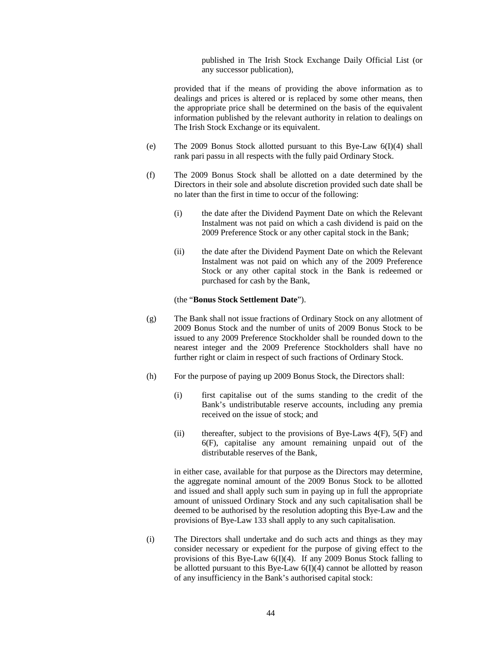published in The Irish Stock Exchange Daily Official List (or any successor publication),

provided that if the means of providing the above information as to dealings and prices is altered or is replaced by some other means, then the appropriate price shall be determined on the basis of the equivalent information published by the relevant authority in relation to dealings on The Irish Stock Exchange or its equivalent.

- (e) The 2009 Bonus Stock allotted pursuant to this Bye-Law  $6(I)(4)$  shall rank pari passu in all respects with the fully paid Ordinary Stock.
- (f) The 2009 Bonus Stock shall be allotted on a date determined by the Directors in their sole and absolute discretion provided such date shall be no later than the first in time to occur of the following:
	- (i) the date after the Dividend Payment Date on which the Relevant Instalment was not paid on which a cash dividend is paid on the 2009 Preference Stock or any other capital stock in the Bank;
	- (ii) the date after the Dividend Payment Date on which the Relevant Instalment was not paid on which any of the 2009 Preference Stock or any other capital stock in the Bank is redeemed or purchased for cash by the Bank,

#### (the "**Bonus Stock Settlement Date**").

- (g) The Bank shall not issue fractions of Ordinary Stock on any allotment of 2009 Bonus Stock and the number of units of 2009 Bonus Stock to be issued to any 2009 Preference Stockholder shall be rounded down to the nearest integer and the 2009 Preference Stockholders shall have no further right or claim in respect of such fractions of Ordinary Stock.
- (h) For the purpose of paying up 2009 Bonus Stock, the Directors shall:
	- (i) first capitalise out of the sums standing to the credit of the Bank's undistributable reserve accounts, including any premia received on the issue of stock; and
	- (ii) thereafter, subject to the provisions of Bye-Laws  $4(F)$ ,  $5(F)$  and 6(F), capitalise any amount remaining unpaid out of the distributable reserves of the Bank,

in either case, available for that purpose as the Directors may determine, the aggregate nominal amount of the 2009 Bonus Stock to be allotted and issued and shall apply such sum in paying up in full the appropriate amount of unissued Ordinary Stock and any such capitalisation shall be deemed to be authorised by the resolution adopting this Bye-Law and the provisions of Bye-Law 133 shall apply to any such capitalisation.

(i) The Directors shall undertake and do such acts and things as they may consider necessary or expedient for the purpose of giving effect to the provisions of this Bye-Law 6(I)(4). If any 2009 Bonus Stock falling to be allotted pursuant to this Bye-Law 6(I)(4) cannot be allotted by reason of any insufficiency in the Bank's authorised capital stock: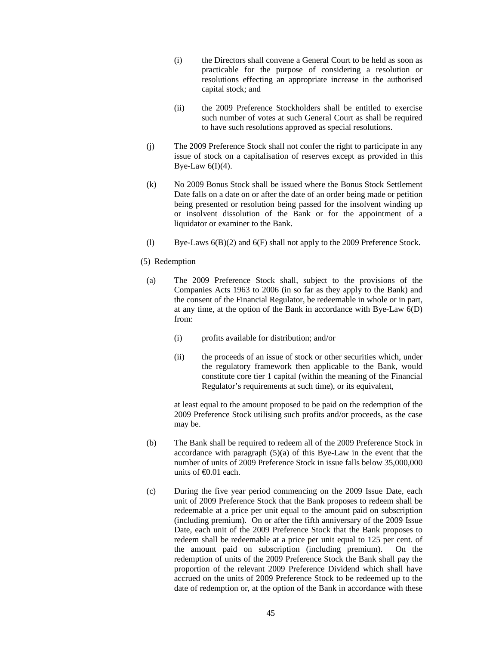- (i) the Directors shall convene a General Court to be held as soon as practicable for the purpose of considering a resolution or resolutions effecting an appropriate increase in the authorised capital stock; and
- (ii) the 2009 Preference Stockholders shall be entitled to exercise such number of votes at such General Court as shall be required to have such resolutions approved as special resolutions.
- (j) The 2009 Preference Stock shall not confer the right to participate in any issue of stock on a capitalisation of reserves except as provided in this Bye-Law  $6(I)(4)$ .
- (k) No 2009 Bonus Stock shall be issued where the Bonus Stock Settlement Date falls on a date on or after the date of an order being made or petition being presented or resolution being passed for the insolvent winding up or insolvent dissolution of the Bank or for the appointment of a liquidator or examiner to the Bank.
- (l) Bye-Laws  $6(B)(2)$  and  $6(F)$  shall not apply to the 2009 Preference Stock.

## (5) Redemption

- (a) The 2009 Preference Stock shall, subject to the provisions of the Companies Acts 1963 to 2006 (in so far as they apply to the Bank) and the consent of the Financial Regulator, be redeemable in whole or in part, at any time, at the option of the Bank in accordance with Bye-Law 6(D) from:
	- (i) profits available for distribution; and/or
	- (ii) the proceeds of an issue of stock or other securities which, under the regulatory framework then applicable to the Bank, would constitute core tier 1 capital (within the meaning of the Financial Regulator's requirements at such time), or its equivalent,

at least equal to the amount proposed to be paid on the redemption of the 2009 Preference Stock utilising such profits and/or proceeds, as the case may be.

- (b) The Bank shall be required to redeem all of the 2009 Preference Stock in accordance with paragraph (5)(a) of this Bye-Law in the event that the number of units of 2009 Preference Stock in issue falls below 35,000,000 units of  $\text{\textsterling}0.01$  each.
- (c) During the five year period commencing on the 2009 Issue Date, each unit of 2009 Preference Stock that the Bank proposes to redeem shall be redeemable at a price per unit equal to the amount paid on subscription (including premium). On or after the fifth anniversary of the 2009 Issue Date, each unit of the 2009 Preference Stock that the Bank proposes to redeem shall be redeemable at a price per unit equal to 125 per cent. of the amount paid on subscription (including premium). On the redemption of units of the 2009 Preference Stock the Bank shall pay the proportion of the relevant 2009 Preference Dividend which shall have accrued on the units of 2009 Preference Stock to be redeemed up to the date of redemption or, at the option of the Bank in accordance with these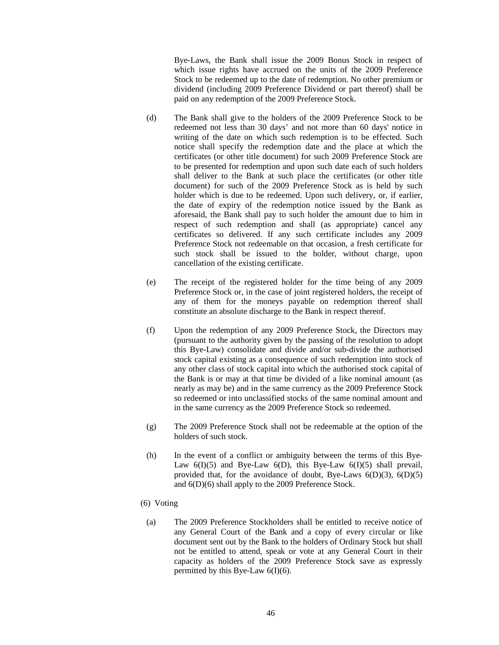Bye-Laws, the Bank shall issue the 2009 Bonus Stock in respect of which issue rights have accrued on the units of the 2009 Preference Stock to be redeemed up to the date of redemption. No other premium or dividend (including 2009 Preference Dividend or part thereof) shall be paid on any redemption of the 2009 Preference Stock.

- (d) The Bank shall give to the holders of the 2009 Preference Stock to be redeemed not less than 30 days' and not more than 60 days' notice in writing of the date on which such redemption is to be effected. Such notice shall specify the redemption date and the place at which the certificates (or other title document) for such 2009 Preference Stock are to be presented for redemption and upon such date each of such holders shall deliver to the Bank at such place the certificates (or other title document) for such of the 2009 Preference Stock as is held by such holder which is due to be redeemed. Upon such delivery, or, if earlier, the date of expiry of the redemption notice issued by the Bank as aforesaid, the Bank shall pay to such holder the amount due to him in respect of such redemption and shall (as appropriate) cancel any certificates so delivered. If any such certificate includes any 2009 Preference Stock not redeemable on that occasion, a fresh certificate for such stock shall be issued to the holder, without charge, upon cancellation of the existing certificate.
- (e) The receipt of the registered holder for the time being of any 2009 Preference Stock or, in the case of joint registered holders, the receipt of any of them for the moneys payable on redemption thereof shall constitute an absolute discharge to the Bank in respect thereof.
- (f) Upon the redemption of any 2009 Preference Stock, the Directors may (pursuant to the authority given by the passing of the resolution to adopt this Bye-Law) consolidate and divide and/or sub-divide the authorised stock capital existing as a consequence of such redemption into stock of any other class of stock capital into which the authorised stock capital of the Bank is or may at that time be divided of a like nominal amount (as nearly as may be) and in the same currency as the 2009 Preference Stock so redeemed or into unclassified stocks of the same nominal amount and in the same currency as the 2009 Preference Stock so redeemed.
- (g) The 2009 Preference Stock shall not be redeemable at the option of the holders of such stock.
- (h) In the event of a conflict or ambiguity between the terms of this Bye-Law  $6(I)(5)$  and Bye-Law  $6(D)$ , this Bye-Law  $6(I)(5)$  shall prevail, provided that, for the avoidance of doubt, Bye-Laws  $6(D)(3)$ ,  $6(D)(5)$ and 6(D)(6) shall apply to the 2009 Preference Stock.
- (6) Voting
	- (a) The 2009 Preference Stockholders shall be entitled to receive notice of any General Court of the Bank and a copy of every circular or like document sent out by the Bank to the holders of Ordinary Stock but shall not be entitled to attend, speak or vote at any General Court in their capacity as holders of the 2009 Preference Stock save as expressly permitted by this Bye-Law  $6(I)(6)$ .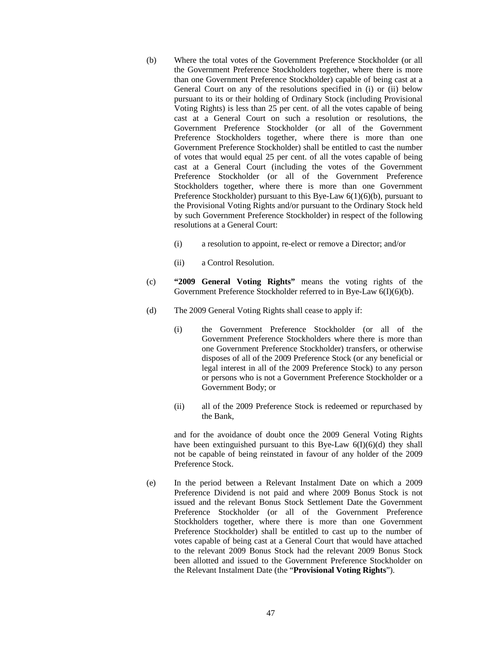- (b) Where the total votes of the Government Preference Stockholder (or all the Government Preference Stockholders together, where there is more than one Government Preference Stockholder) capable of being cast at a General Court on any of the resolutions specified in (i) or (ii) below pursuant to its or their holding of Ordinary Stock (including Provisional Voting Rights) is less than 25 per cent. of all the votes capable of being cast at a General Court on such a resolution or resolutions, the Government Preference Stockholder (or all of the Government Preference Stockholders together, where there is more than one Government Preference Stockholder) shall be entitled to cast the number of votes that would equal 25 per cent. of all the votes capable of being cast at a General Court (including the votes of the Government Preference Stockholder (or all of the Government Preference Stockholders together, where there is more than one Government Preference Stockholder) pursuant to this Bye-Law  $6(1)(6)(b)$ , pursuant to the Provisional Voting Rights and/or pursuant to the Ordinary Stock held by such Government Preference Stockholder) in respect of the following resolutions at a General Court:
	- (i) a resolution to appoint, re-elect or remove a Director; and/or
	- (ii) a Control Resolution.
- (c) **"2009 General Voting Rights"** means the voting rights of the Government Preference Stockholder referred to in Bye-Law 6(I)(6)(b).
- (d) The 2009 General Voting Rights shall cease to apply if:
	- (i) the Government Preference Stockholder (or all of the Government Preference Stockholders where there is more than one Government Preference Stockholder) transfers, or otherwise disposes of all of the 2009 Preference Stock (or any beneficial or legal interest in all of the 2009 Preference Stock) to any person or persons who is not a Government Preference Stockholder or a Government Body; or
	- (ii) all of the 2009 Preference Stock is redeemed or repurchased by the Bank,

and for the avoidance of doubt once the 2009 General Voting Rights have been extinguished pursuant to this Bye-Law  $6(I)(6)(d)$  they shall not be capable of being reinstated in favour of any holder of the 2009 Preference Stock.

(e) In the period between a Relevant Instalment Date on which a 2009 Preference Dividend is not paid and where 2009 Bonus Stock is not issued and the relevant Bonus Stock Settlement Date the Government Preference Stockholder (or all of the Government Preference Stockholders together, where there is more than one Government Preference Stockholder) shall be entitled to cast up to the number of votes capable of being cast at a General Court that would have attached to the relevant 2009 Bonus Stock had the relevant 2009 Bonus Stock been allotted and issued to the Government Preference Stockholder on the Relevant Instalment Date (the "**Provisional Voting Rights**").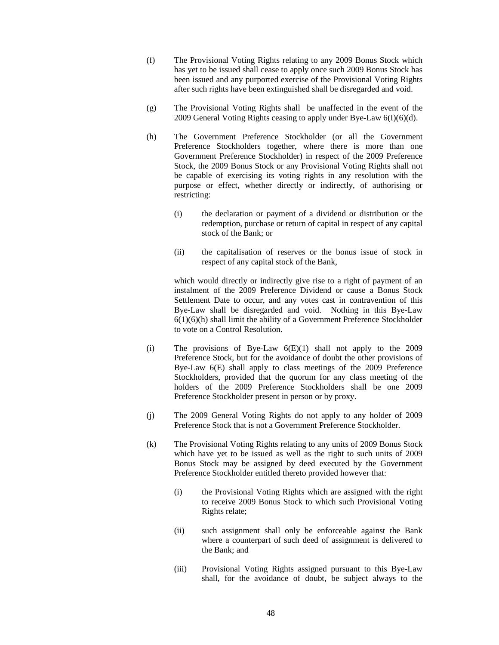- (f) The Provisional Voting Rights relating to any 2009 Bonus Stock which has yet to be issued shall cease to apply once such 2009 Bonus Stock has been issued and any purported exercise of the Provisional Voting Rights after such rights have been extinguished shall be disregarded and void.
- (g) The Provisional Voting Rights shall be unaffected in the event of the 2009 General Voting Rights ceasing to apply under Bye-Law 6(I)(6)(d).
- (h) The Government Preference Stockholder (or all the Government Preference Stockholders together, where there is more than one Government Preference Stockholder) in respect of the 2009 Preference Stock, the 2009 Bonus Stock or any Provisional Voting Rights shall not be capable of exercising its voting rights in any resolution with the purpose or effect, whether directly or indirectly, of authorising or restricting:
	- (i) the declaration or payment of a dividend or distribution or the redemption, purchase or return of capital in respect of any capital stock of the Bank; or
	- (ii) the capitalisation of reserves or the bonus issue of stock in respect of any capital stock of the Bank,

which would directly or indirectly give rise to a right of payment of an instalment of the 2009 Preference Dividend or cause a Bonus Stock Settlement Date to occur, and any votes cast in contravention of this Bye-Law shall be disregarded and void. Nothing in this Bye-Law 6(1)(6)(h) shall limit the ability of a Government Preference Stockholder to vote on a Control Resolution.

- (i) The provisions of Bye-Law  $6(E)(1)$  shall not apply to the 2009 Preference Stock, but for the avoidance of doubt the other provisions of Bye-Law 6(E) shall apply to class meetings of the 2009 Preference Stockholders, provided that the quorum for any class meeting of the holders of the 2009 Preference Stockholders shall be one 2009 Preference Stockholder present in person or by proxy.
- (j) The 2009 General Voting Rights do not apply to any holder of 2009 Preference Stock that is not a Government Preference Stockholder.
- (k) The Provisional Voting Rights relating to any units of 2009 Bonus Stock which have yet to be issued as well as the right to such units of 2009 Bonus Stock may be assigned by deed executed by the Government Preference Stockholder entitled thereto provided however that:
	- (i) the Provisional Voting Rights which are assigned with the right to receive 2009 Bonus Stock to which such Provisional Voting Rights relate;
	- (ii) such assignment shall only be enforceable against the Bank where a counterpart of such deed of assignment is delivered to the Bank; and
	- (iii) Provisional Voting Rights assigned pursuant to this Bye-Law shall, for the avoidance of doubt, be subject always to the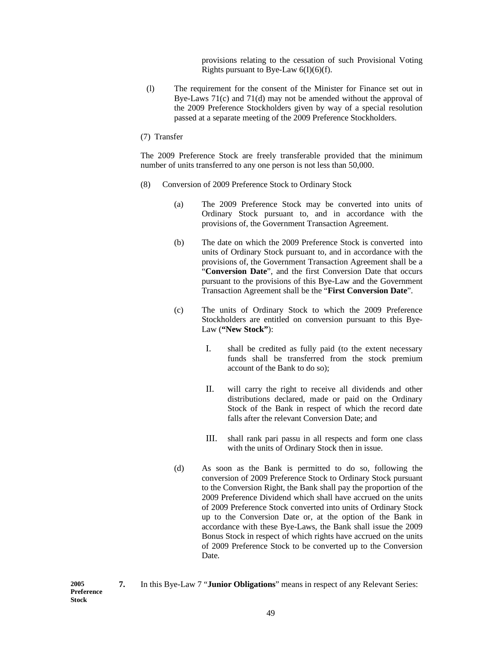provisions relating to the cessation of such Provisional Voting Rights pursuant to Bye-Law  $6(I)(6)(f)$ .

- (l) The requirement for the consent of the Minister for Finance set out in Bye-Laws 71(c) and 71(d) may not be amended without the approval of the 2009 Preference Stockholders given by way of a special resolution passed at a separate meeting of the 2009 Preference Stockholders.
- (7) Transfer

The 2009 Preference Stock are freely transferable provided that the minimum number of units transferred to any one person is not less than 50,000.

- (8) Conversion of 2009 Preference Stock to Ordinary Stock
	- (a) The 2009 Preference Stock may be converted into units of Ordinary Stock pursuant to, and in accordance with the provisions of, the Government Transaction Agreement.
	- (b) The date on which the 2009 Preference Stock is converted into units of Ordinary Stock pursuant to, and in accordance with the provisions of, the Government Transaction Agreement shall be a "**Conversion Date**", and the first Conversion Date that occurs pursuant to the provisions of this Bye-Law and the Government Transaction Agreement shall be the "**First Conversion Date**".
	- (c) The units of Ordinary Stock to which the 2009 Preference Stockholders are entitled on conversion pursuant to this Bye-Law (**"New Stock"**):
		- I. shall be credited as fully paid (to the extent necessary funds shall be transferred from the stock premium account of the Bank to do so);
		- II. will carry the right to receive all dividends and other distributions declared, made or paid on the Ordinary Stock of the Bank in respect of which the record date falls after the relevant Conversion Date; and
		- III. shall rank pari passu in all respects and form one class with the units of Ordinary Stock then in issue.
	- (d) As soon as the Bank is permitted to do so, following the conversion of 2009 Preference Stock to Ordinary Stock pursuant to the Conversion Right, the Bank shall pay the proportion of the 2009 Preference Dividend which shall have accrued on the units of 2009 Preference Stock converted into units of Ordinary Stock up to the Conversion Date or, at the option of the Bank in accordance with these Bye-Laws, the Bank shall issue the 2009 Bonus Stock in respect of which rights have accrued on the units of 2009 Preference Stock to be converted up to the Conversion Date.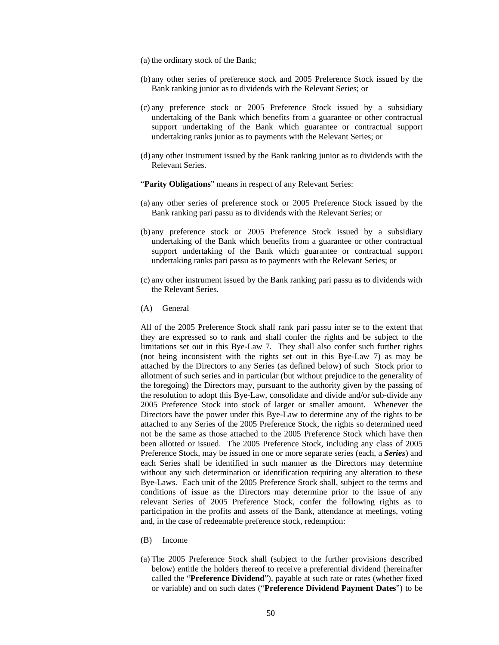- (a) the ordinary stock of the Bank;
- (b) any other series of preference stock and 2005 Preference Stock issued by the Bank ranking junior as to dividends with the Relevant Series; or
- (c) any preference stock or 2005 Preference Stock issued by a subsidiary undertaking of the Bank which benefits from a guarantee or other contractual support undertaking of the Bank which guarantee or contractual support undertaking ranks junior as to payments with the Relevant Series; or
- (d) any other instrument issued by the Bank ranking junior as to dividends with the Relevant Series.

"Parity Obligations" means in respect of any Relevant Series:

- (a) any other series of preference stock or 2005 Preference Stock issued by the Bank ranking pari passu as to dividends with the Relevant Series; or
- (b) any preference stock or 2005 Preference Stock issued by a subsidiary undertaking of the Bank which benefits from a guarantee or other contractual support undertaking of the Bank which guarantee or contractual support undertaking ranks pari passu as to payments with the Relevant Series; or
- (c) any other instrument issued by the Bank ranking pari passu as to dividends with the Relevant Series.
- (A) General

All of the 2005 Preference Stock shall rank pari passu inter se to the extent that they are expressed so to rank and shall confer the rights and be subject to the limitations set out in this Bye-Law 7. They shall also confer such further rights (not being inconsistent with the rights set out in this Bye-Law 7) as may be attached by the Directors to any Series (as defined below) of such Stock prior to allotment of such series and in particular (but without prejudice to the generality of the foregoing) the Directors may, pursuant to the authority given by the passing of the resolution to adopt this Bye-Law, consolidate and divide and/or sub-divide any 2005 Preference Stock into stock of larger or smaller amount. Whenever the Directors have the power under this Bye-Law to determine any of the rights to be attached to any Series of the 2005 Preference Stock, the rights so determined need not be the same as those attached to the 2005 Preference Stock which have then been allotted or issued. The 2005 Preference Stock, including any class of 2005 Preference Stock, may be issued in one or more separate series (each, a *Series*) and each Series shall be identified in such manner as the Directors may determine without any such determination or identification requiring any alteration to these Bye-Laws. Each unit of the 2005 Preference Stock shall, subject to the terms and conditions of issue as the Directors may determine prior to the issue of any relevant Series of 2005 Preference Stock, confer the following rights as to participation in the profits and assets of the Bank, attendance at meetings, voting and, in the case of redeemable preference stock, redemption:

- (B) Income
- (a) The 2005 Preference Stock shall (subject to the further provisions described below) entitle the holders thereof to receive a preferential dividend (hereinafter called the "**Preference Dividend**"), payable at such rate or rates (whether fixed or variable) and on such dates ("**Preference Dividend Payment Dates**") to be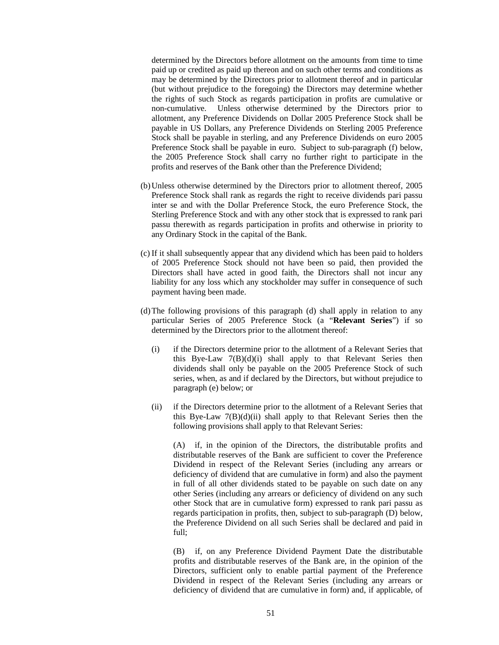determined by the Directors before allotment on the amounts from time to time paid up or credited as paid up thereon and on such other terms and conditions as may be determined by the Directors prior to allotment thereof and in particular (but without prejudice to the foregoing) the Directors may determine whether the rights of such Stock as regards participation in profits are cumulative or non-cumulative. Unless otherwise determined by the Directors prior to allotment, any Preference Dividends on Dollar 2005 Preference Stock shall be payable in US Dollars, any Preference Dividends on Sterling 2005 Preference Stock shall be payable in sterling, and any Preference Dividends on euro 2005 Preference Stock shall be payable in euro. Subject to sub-paragraph (f) below, the 2005 Preference Stock shall carry no further right to participate in the profits and reserves of the Bank other than the Preference Dividend;

- (b)Unless otherwise determined by the Directors prior to allotment thereof, 2005 Preference Stock shall rank as regards the right to receive dividends pari passu inter se and with the Dollar Preference Stock, the euro Preference Stock, the Sterling Preference Stock and with any other stock that is expressed to rank pari passu therewith as regards participation in profits and otherwise in priority to any Ordinary Stock in the capital of the Bank.
- (c) If it shall subsequently appear that any dividend which has been paid to holders of 2005 Preference Stock should not have been so paid, then provided the Directors shall have acted in good faith, the Directors shall not incur any liability for any loss which any stockholder may suffer in consequence of such payment having been made.
- (d)The following provisions of this paragraph (d) shall apply in relation to any particular Series of 2005 Preference Stock (a "**Relevant Series**") if so determined by the Directors prior to the allotment thereof:
	- (i) if the Directors determine prior to the allotment of a Relevant Series that this Bye-Law 7(B)(d)(i) shall apply to that Relevant Series then dividends shall only be payable on the 2005 Preference Stock of such series, when, as and if declared by the Directors, but without prejudice to paragraph (e) below; or
	- (ii) if the Directors determine prior to the allotment of a Relevant Series that this Bye-Law  $7(B)(d)(ii)$  shall apply to that Relevant Series then the following provisions shall apply to that Relevant Series:

(A) if, in the opinion of the Directors, the distributable profits and distributable reserves of the Bank are sufficient to cover the Preference Dividend in respect of the Relevant Series (including any arrears or deficiency of dividend that are cumulative in form) and also the payment in full of all other dividends stated to be payable on such date on any other Series (including any arrears or deficiency of dividend on any such other Stock that are in cumulative form) expressed to rank pari passu as regards participation in profits, then, subject to sub-paragraph (D) below, the Preference Dividend on all such Series shall be declared and paid in full;

(B) if, on any Preference Dividend Payment Date the distributable profits and distributable reserves of the Bank are, in the opinion of the Directors, sufficient only to enable partial payment of the Preference Dividend in respect of the Relevant Series (including any arrears or deficiency of dividend that are cumulative in form) and, if applicable, of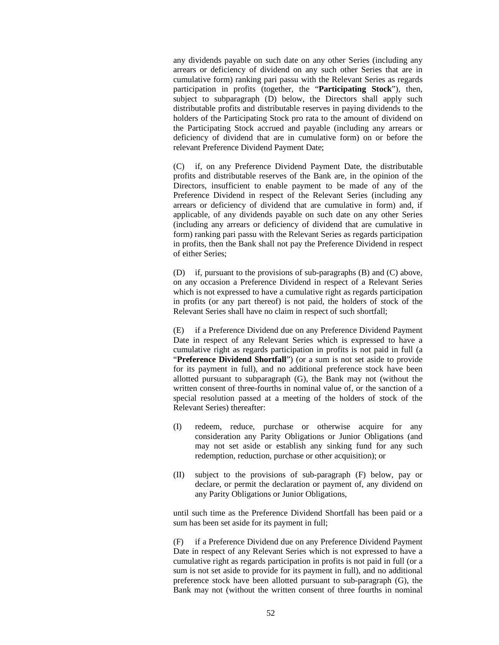any dividends payable on such date on any other Series (including any arrears or deficiency of dividend on any such other Series that are in cumulative form) ranking pari passu with the Relevant Series as regards participation in profits (together, the "**Participating Stock**"), then, subject to subparagraph (D) below, the Directors shall apply such distributable profits and distributable reserves in paying dividends to the holders of the Participating Stock pro rata to the amount of dividend on the Participating Stock accrued and payable (including any arrears or deficiency of dividend that are in cumulative form) on or before the relevant Preference Dividend Payment Date;

(C) if, on any Preference Dividend Payment Date, the distributable profits and distributable reserves of the Bank are, in the opinion of the Directors, insufficient to enable payment to be made of any of the Preference Dividend in respect of the Relevant Series (including any arrears or deficiency of dividend that are cumulative in form) and, if applicable, of any dividends payable on such date on any other Series (including any arrears or deficiency of dividend that are cumulative in form) ranking pari passu with the Relevant Series as regards participation in profits, then the Bank shall not pay the Preference Dividend in respect of either Series;

(D) if, pursuant to the provisions of sub-paragraphs (B) and (C) above, on any occasion a Preference Dividend in respect of a Relevant Series which is not expressed to have a cumulative right as regards participation in profits (or any part thereof) is not paid, the holders of stock of the Relevant Series shall have no claim in respect of such shortfall;

(E) if a Preference Dividend due on any Preference Dividend Payment Date in respect of any Relevant Series which is expressed to have a cumulative right as regards participation in profits is not paid in full (a "**Preference Dividend Shortfall**") (or a sum is not set aside to provide for its payment in full), and no additional preference stock have been allotted pursuant to subparagraph (G), the Bank may not (without the written consent of three-fourths in nominal value of, or the sanction of a special resolution passed at a meeting of the holders of stock of the Relevant Series) thereafter:

- (I) redeem, reduce, purchase or otherwise acquire for any consideration any Parity Obligations or Junior Obligations (and may not set aside or establish any sinking fund for any such redemption, reduction, purchase or other acquisition); or
- (II) subject to the provisions of sub-paragraph (F) below, pay or declare, or permit the declaration or payment of, any dividend on any Parity Obligations or Junior Obligations,

until such time as the Preference Dividend Shortfall has been paid or a sum has been set aside for its payment in full;

(F) if a Preference Dividend due on any Preference Dividend Payment Date in respect of any Relevant Series which is not expressed to have a cumulative right as regards participation in profits is not paid in full (or a sum is not set aside to provide for its payment in full), and no additional preference stock have been allotted pursuant to sub-paragraph (G), the Bank may not (without the written consent of three fourths in nominal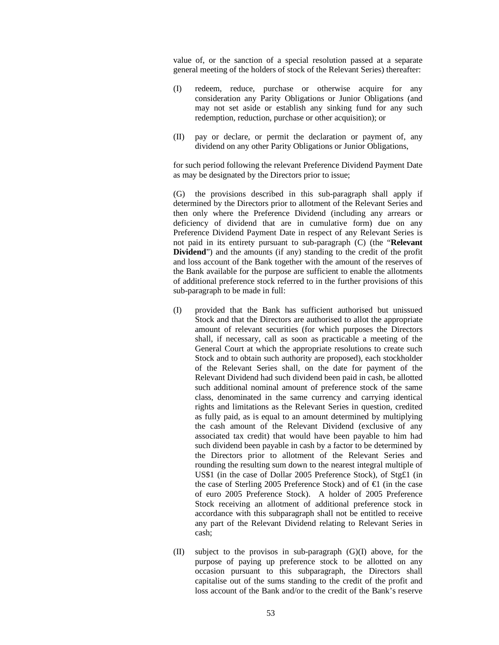value of, or the sanction of a special resolution passed at a separate general meeting of the holders of stock of the Relevant Series) thereafter:

- (I) redeem, reduce, purchase or otherwise acquire for any consideration any Parity Obligations or Junior Obligations (and may not set aside or establish any sinking fund for any such redemption, reduction, purchase or other acquisition); or
- (II) pay or declare, or permit the declaration or payment of, any dividend on any other Parity Obligations or Junior Obligations,

for such period following the relevant Preference Dividend Payment Date as may be designated by the Directors prior to issue;

(G) the provisions described in this sub-paragraph shall apply if determined by the Directors prior to allotment of the Relevant Series and then only where the Preference Dividend (including any arrears or deficiency of dividend that are in cumulative form) due on any Preference Dividend Payment Date in respect of any Relevant Series is not paid in its entirety pursuant to sub-paragraph (C) (the "**Relevant Dividend**") and the amounts (if any) standing to the credit of the profit and loss account of the Bank together with the amount of the reserves of the Bank available for the purpose are sufficient to enable the allotments of additional preference stock referred to in the further provisions of this sub-paragraph to be made in full:

- (I) provided that the Bank has sufficient authorised but unissued Stock and that the Directors are authorised to allot the appropriate amount of relevant securities (for which purposes the Directors shall, if necessary, call as soon as practicable a meeting of the General Court at which the appropriate resolutions to create such Stock and to obtain such authority are proposed), each stockholder of the Relevant Series shall, on the date for payment of the Relevant Dividend had such dividend been paid in cash, be allotted such additional nominal amount of preference stock of the same class, denominated in the same currency and carrying identical rights and limitations as the Relevant Series in question, credited as fully paid, as is equal to an amount determined by multiplying the cash amount of the Relevant Dividend (exclusive of any associated tax credit) that would have been payable to him had such dividend been payable in cash by a factor to be determined by the Directors prior to allotment of the Relevant Series and rounding the resulting sum down to the nearest integral multiple of US\$1 (in the case of Dollar 2005 Preference Stock), of Stg£1 (in the case of Sterling 2005 Preference Stock) and of  $\epsilon$ 1 (in the case of euro 2005 Preference Stock). A holder of 2005 Preference Stock receiving an allotment of additional preference stock in accordance with this subparagraph shall not be entitled to receive any part of the Relevant Dividend relating to Relevant Series in cash;
- (II) subject to the provisos in sub-paragraph (G)(I) above, for the purpose of paying up preference stock to be allotted on any occasion pursuant to this subparagraph, the Directors shall capitalise out of the sums standing to the credit of the profit and loss account of the Bank and/or to the credit of the Bank's reserve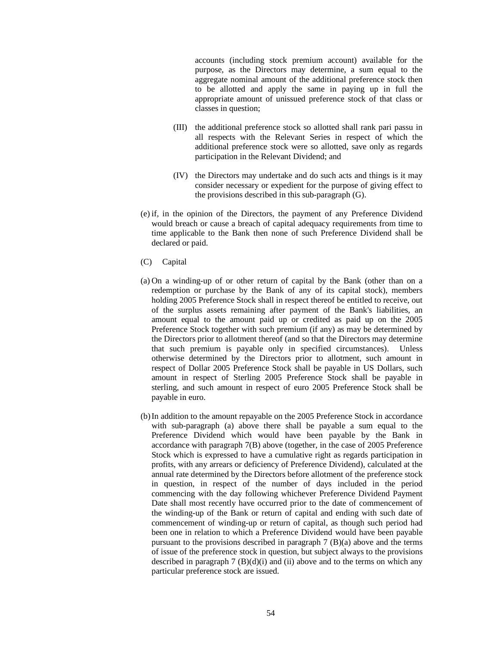accounts (including stock premium account) available for the purpose, as the Directors may determine, a sum equal to the aggregate nominal amount of the additional preference stock then to be allotted and apply the same in paying up in full the appropriate amount of unissued preference stock of that class or classes in question;

- (III) the additional preference stock so allotted shall rank pari passu in all respects with the Relevant Series in respect of which the additional preference stock were so allotted, save only as regards participation in the Relevant Dividend; and
- (IV) the Directors may undertake and do such acts and things is it may consider necessary or expedient for the purpose of giving effect to the provisions described in this sub-paragraph (G).
- (e) if, in the opinion of the Directors, the payment of any Preference Dividend would breach or cause a breach of capital adequacy requirements from time to time applicable to the Bank then none of such Preference Dividend shall be declared or paid.
- (C) Capital
- (a) On a winding-up of or other return of capital by the Bank (other than on a redemption or purchase by the Bank of any of its capital stock), members holding 2005 Preference Stock shall in respect thereof be entitled to receive, out of the surplus assets remaining after payment of the Bank's liabilities, an amount equal to the amount paid up or credited as paid up on the 2005 Preference Stock together with such premium (if any) as may be determined by the Directors prior to allotment thereof (and so that the Directors may determine that such premium is payable only in specified circumstances). Unless otherwise determined by the Directors prior to allotment, such amount in respect of Dollar 2005 Preference Stock shall be payable in US Dollars, such amount in respect of Sterling 2005 Preference Stock shall be payable in sterling, and such amount in respect of euro 2005 Preference Stock shall be payable in euro.
- (b)In addition to the amount repayable on the 2005 Preference Stock in accordance with sub-paragraph (a) above there shall be payable a sum equal to the Preference Dividend which would have been payable by the Bank in accordance with paragraph 7(B) above (together, in the case of 2005 Preference Stock which is expressed to have a cumulative right as regards participation in profits, with any arrears or deficiency of Preference Dividend), calculated at the annual rate determined by the Directors before allotment of the preference stock in question, in respect of the number of days included in the period commencing with the day following whichever Preference Dividend Payment Date shall most recently have occurred prior to the date of commencement of the winding-up of the Bank or return of capital and ending with such date of commencement of winding-up or return of capital, as though such period had been one in relation to which a Preference Dividend would have been payable pursuant to the provisions described in paragraph 7 (B)(a) above and the terms of issue of the preference stock in question, but subject always to the provisions described in paragraph  $7 \times (B)(d)(i)$  and (ii) above and to the terms on which any particular preference stock are issued.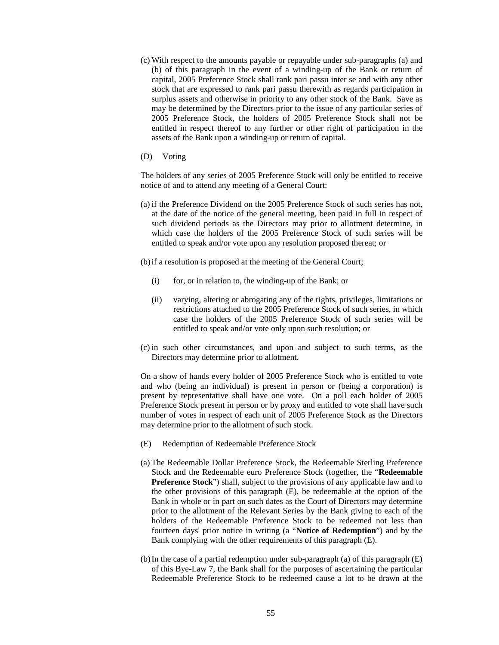- (c) With respect to the amounts payable or repayable under sub-paragraphs (a) and (b) of this paragraph in the event of a winding-up of the Bank or return of capital, 2005 Preference Stock shall rank pari passu inter se and with any other stock that are expressed to rank pari passu therewith as regards participation in surplus assets and otherwise in priority to any other stock of the Bank. Save as may be determined by the Directors prior to the issue of any particular series of 2005 Preference Stock, the holders of 2005 Preference Stock shall not be entitled in respect thereof to any further or other right of participation in the assets of the Bank upon a winding-up or return of capital.
- (D) Voting

The holders of any series of 2005 Preference Stock will only be entitled to receive notice of and to attend any meeting of a General Court:

- (a) if the Preference Dividend on the 2005 Preference Stock of such series has not, at the date of the notice of the general meeting, been paid in full in respect of such dividend periods as the Directors may prior to allotment determine, in which case the holders of the 2005 Preference Stock of such series will be entitled to speak and/or vote upon any resolution proposed thereat; or
- (b)if a resolution is proposed at the meeting of the General Court;
	- (i) for, or in relation to, the winding-up of the Bank; or
	- (ii) varying, altering or abrogating any of the rights, privileges, limitations or restrictions attached to the 2005 Preference Stock of such series, in which case the holders of the 2005 Preference Stock of such series will be entitled to speak and/or vote only upon such resolution; or
- (c) in such other circumstances, and upon and subject to such terms, as the Directors may determine prior to allotment.

On a show of hands every holder of 2005 Preference Stock who is entitled to vote and who (being an individual) is present in person or (being a corporation) is present by representative shall have one vote. On a poll each holder of 2005 Preference Stock present in person or by proxy and entitled to vote shall have such number of votes in respect of each unit of 2005 Preference Stock as the Directors may determine prior to the allotment of such stock.

- (E) Redemption of Redeemable Preference Stock
- (a) The Redeemable Dollar Preference Stock, the Redeemable Sterling Preference Stock and the Redeemable euro Preference Stock (together, the "**Redeemable Preference Stock**") shall, subject to the provisions of any applicable law and to the other provisions of this paragraph (E), be redeemable at the option of the Bank in whole or in part on such dates as the Court of Directors may determine prior to the allotment of the Relevant Series by the Bank giving to each of the holders of the Redeemable Preference Stock to be redeemed not less than fourteen days' prior notice in writing (a "**Notice of Redemption**") and by the Bank complying with the other requirements of this paragraph (E).
- (b)In the case of a partial redemption under sub-paragraph (a) of this paragraph (E) of this Bye-Law 7, the Bank shall for the purposes of ascertaining the particular Redeemable Preference Stock to be redeemed cause a lot to be drawn at the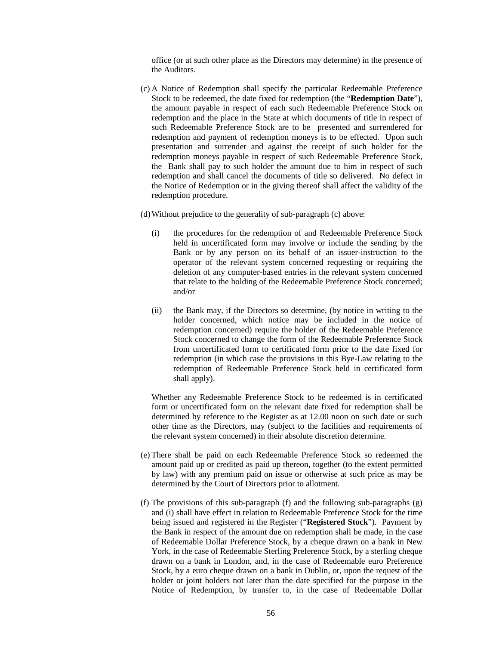office (or at such other place as the Directors may determine) in the presence of the Auditors.

(c) A Notice of Redemption shall specify the particular Redeemable Preference Stock to be redeemed, the date fixed for redemption (the "**Redemption Date**"), the amount payable in respect of each such Redeemable Preference Stock on redemption and the place in the State at which documents of title in respect of such Redeemable Preference Stock are to be presented and surrendered for redemption and payment of redemption moneys is to be effected. Upon such presentation and surrender and against the receipt of such holder for the redemption moneys payable in respect of such Redeemable Preference Stock, the Bank shall pay to such holder the amount due to him in respect of such redemption and shall cancel the documents of title so delivered. No defect in the Notice of Redemption or in the giving thereof shall affect the validity of the redemption procedure.

(d)Without prejudice to the generality of sub-paragraph (c) above:

- (i) the procedures for the redemption of and Redeemable Preference Stock held in uncertificated form may involve or include the sending by the Bank or by any person on its behalf of an issuer-instruction to the operator of the relevant system concerned requesting or requiring the deletion of any computer-based entries in the relevant system concerned that relate to the holding of the Redeemable Preference Stock concerned; and/or
- (ii) the Bank may, if the Directors so determine, (by notice in writing to the holder concerned, which notice may be included in the notice of redemption concerned) require the holder of the Redeemable Preference Stock concerned to change the form of the Redeemable Preference Stock from uncertificated form to certificated form prior to the date fixed for redemption (in which case the provisions in this Bye-Law relating to the redemption of Redeemable Preference Stock held in certificated form shall apply).

Whether any Redeemable Preference Stock to be redeemed is in certificated form or uncertificated form on the relevant date fixed for redemption shall be determined by reference to the Register as at 12.00 noon on such date or such other time as the Directors, may (subject to the facilities and requirements of the relevant system concerned) in their absolute discretion determine.

- (e) There shall be paid on each Redeemable Preference Stock so redeemed the amount paid up or credited as paid up thereon, together (to the extent permitted by law) with any premium paid on issue or otherwise at such price as may be determined by the Court of Directors prior to allotment.
- (f) The provisions of this sub-paragraph (f) and the following sub-paragraphs (g) and (i) shall have effect in relation to Redeemable Preference Stock for the time being issued and registered in the Register ("**Registered Stock**"). Payment by the Bank in respect of the amount due on redemption shall be made, in the case of Redeemable Dollar Preference Stock, by a cheque drawn on a bank in New York, in the case of Redeemable Sterling Preference Stock, by a sterling cheque drawn on a bank in London, and, in the case of Redeemable euro Preference Stock, by a euro cheque drawn on a bank in Dublin, or, upon the request of the holder or joint holders not later than the date specified for the purpose in the Notice of Redemption, by transfer to, in the case of Redeemable Dollar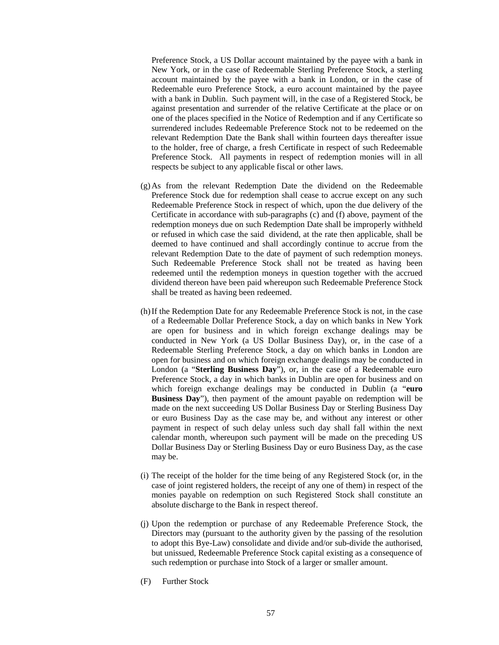Preference Stock, a US Dollar account maintained by the payee with a bank in New York, or in the case of Redeemable Sterling Preference Stock, a sterling account maintained by the payee with a bank in London, or in the case of Redeemable euro Preference Stock, a euro account maintained by the payee with a bank in Dublin. Such payment will, in the case of a Registered Stock, be against presentation and surrender of the relative Certificate at the place or on one of the places specified in the Notice of Redemption and if any Certificate so surrendered includes Redeemable Preference Stock not to be redeemed on the relevant Redemption Date the Bank shall within fourteen days thereafter issue to the holder, free of charge, a fresh Certificate in respect of such Redeemable Preference Stock. All payments in respect of redemption monies will in all respects be subject to any applicable fiscal or other laws.

- (g)As from the relevant Redemption Date the dividend on the Redeemable Preference Stock due for redemption shall cease to accrue except on any such Redeemable Preference Stock in respect of which, upon the due delivery of the Certificate in accordance with sub-paragraphs (c) and (f) above, payment of the redemption moneys due on such Redemption Date shall be improperly withheld or refused in which case the said dividend, at the rate then applicable, shall be deemed to have continued and shall accordingly continue to accrue from the relevant Redemption Date to the date of payment of such redemption moneys. Such Redeemable Preference Stock shall not be treated as having been redeemed until the redemption moneys in question together with the accrued dividend thereon have been paid whereupon such Redeemable Preference Stock shall be treated as having been redeemed.
- (h)If the Redemption Date for any Redeemable Preference Stock is not, in the case of a Redeemable Dollar Preference Stock, a day on which banks in New York are open for business and in which foreign exchange dealings may be conducted in New York (a US Dollar Business Day), or, in the case of a Redeemable Sterling Preference Stock, a day on which banks in London are open for business and on which foreign exchange dealings may be conducted in London (a "**Sterling Business Day**"), or, in the case of a Redeemable euro Preference Stock, a day in which banks in Dublin are open for business and on which foreign exchange dealings may be conducted in Dublin (a "**euro Business Day**"), then payment of the amount payable on redemption will be made on the next succeeding US Dollar Business Day or Sterling Business Day or euro Business Day as the case may be, and without any interest or other payment in respect of such delay unless such day shall fall within the next calendar month, whereupon such payment will be made on the preceding US Dollar Business Day or Sterling Business Day or euro Business Day, as the case may be.
- (i) The receipt of the holder for the time being of any Registered Stock (or, in the case of joint registered holders, the receipt of any one of them) in respect of the monies payable on redemption on such Registered Stock shall constitute an absolute discharge to the Bank in respect thereof.
- (j) Upon the redemption or purchase of any Redeemable Preference Stock, the Directors may (pursuant to the authority given by the passing of the resolution to adopt this Bye-Law) consolidate and divide and/or sub-divide the authorised, but unissued, Redeemable Preference Stock capital existing as a consequence of such redemption or purchase into Stock of a larger or smaller amount.
- (F) Further Stock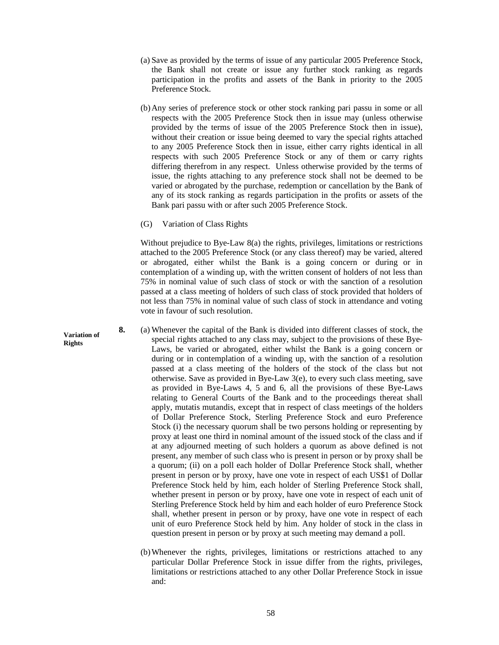- (a) Save as provided by the terms of issue of any particular 2005 Preference Stock, the Bank shall not create or issue any further stock ranking as regards participation in the profits and assets of the Bank in priority to the 2005 Preference Stock.
- (b)Any series of preference stock or other stock ranking pari passu in some or all respects with the 2005 Preference Stock then in issue may (unless otherwise provided by the terms of issue of the 2005 Preference Stock then in issue), without their creation or issue being deemed to vary the special rights attached to any 2005 Preference Stock then in issue, either carry rights identical in all respects with such 2005 Preference Stock or any of them or carry rights differing therefrom in any respect. Unless otherwise provided by the terms of issue, the rights attaching to any preference stock shall not be deemed to be varied or abrogated by the purchase, redemption or cancellation by the Bank of any of its stock ranking as regards participation in the profits or assets of the Bank pari passu with or after such 2005 Preference Stock.
- (G) Variation of Class Rights

Without prejudice to Bye-Law 8(a) the rights, privileges, limitations or restrictions attached to the 2005 Preference Stock (or any class thereof) may be varied, altered or abrogated, either whilst the Bank is a going concern or during or in contemplation of a winding up, with the written consent of holders of not less than 75% in nominal value of such class of stock or with the sanction of a resolution passed at a class meeting of holders of such class of stock provided that holders of not less than 75% in nominal value of such class of stock in attendance and voting vote in favour of such resolution.

- **8.** (a) Whenever the capital of the Bank is divided into different classes of stock, the special rights attached to any class may, subject to the provisions of these Bye-Laws, be varied or abrogated, either whilst the Bank is a going concern or during or in contemplation of a winding up, with the sanction of a resolution passed at a class meeting of the holders of the stock of the class but not otherwise. Save as provided in Bye-Law 3(e), to every such class meeting, save as provided in Bye-Laws 4, 5 and 6, all the provisions of these Bye-Laws relating to General Courts of the Bank and to the proceedings thereat shall apply, mutatis mutandis, except that in respect of class meetings of the holders of Dollar Preference Stock, Sterling Preference Stock and euro Preference Stock (i) the necessary quorum shall be two persons holding or representing by proxy at least one third in nominal amount of the issued stock of the class and if at any adjourned meeting of such holders a quorum as above defined is not present, any member of such class who is present in person or by proxy shall be a quorum; (ii) on a poll each holder of Dollar Preference Stock shall, whether present in person or by proxy, have one vote in respect of each US\$1 of Dollar Preference Stock held by him, each holder of Sterling Preference Stock shall, whether present in person or by proxy, have one vote in respect of each unit of Sterling Preference Stock held by him and each holder of euro Preference Stock shall, whether present in person or by proxy, have one vote in respect of each unit of euro Preference Stock held by him. Any holder of stock in the class in question present in person or by proxy at such meeting may demand a poll.
	- (b)Whenever the rights, privileges, limitations or restrictions attached to any particular Dollar Preference Stock in issue differ from the rights, privileges, limitations or restrictions attached to any other Dollar Preference Stock in issue and:

**Variation of Rights**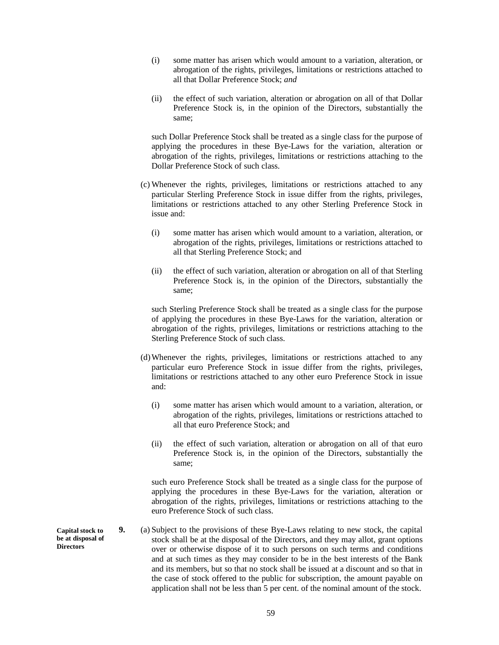- (i) some matter has arisen which would amount to a variation, alteration, or abrogation of the rights, privileges, limitations or restrictions attached to all that Dollar Preference Stock; *and*
- (ii) the effect of such variation, alteration or abrogation on all of that Dollar Preference Stock is, in the opinion of the Directors, substantially the same;

such Dollar Preference Stock shall be treated as a single class for the purpose of applying the procedures in these Bye-Laws for the variation, alteration or abrogation of the rights, privileges, limitations or restrictions attaching to the Dollar Preference Stock of such class.

- (c) Whenever the rights, privileges, limitations or restrictions attached to any particular Sterling Preference Stock in issue differ from the rights, privileges, limitations or restrictions attached to any other Sterling Preference Stock in issue and:
	- (i) some matter has arisen which would amount to a variation, alteration, or abrogation of the rights, privileges, limitations or restrictions attached to all that Sterling Preference Stock; and
	- (ii) the effect of such variation, alteration or abrogation on all of that Sterling Preference Stock is, in the opinion of the Directors, substantially the same;

such Sterling Preference Stock shall be treated as a single class for the purpose of applying the procedures in these Bye-Laws for the variation, alteration or abrogation of the rights, privileges, limitations or restrictions attaching to the Sterling Preference Stock of such class.

- (d)Whenever the rights, privileges, limitations or restrictions attached to any particular euro Preference Stock in issue differ from the rights, privileges, limitations or restrictions attached to any other euro Preference Stock in issue and:
	- (i) some matter has arisen which would amount to a variation, alteration, or abrogation of the rights, privileges, limitations or restrictions attached to all that euro Preference Stock; and
	- (ii) the effect of such variation, alteration or abrogation on all of that euro Preference Stock is, in the opinion of the Directors, substantially the same;

such euro Preference Stock shall be treated as a single class for the purpose of applying the procedures in these Bye-Laws for the variation, alteration or abrogation of the rights, privileges, limitations or restrictions attaching to the euro Preference Stock of such class.

**9.** (a) Subject to the provisions of these Bye-Laws relating to new stock, the capital stock shall be at the disposal of the Directors, and they may allot, grant options over or otherwise dispose of it to such persons on such terms and conditions and at such times as they may consider to be in the best interests of the Bank and its members, but so that no stock shall be issued at a discount and so that in the case of stock offered to the public for subscription, the amount payable on application shall not be less than 5 per cent. of the nominal amount of the stock.

**Capital stock to be at disposal of Directors**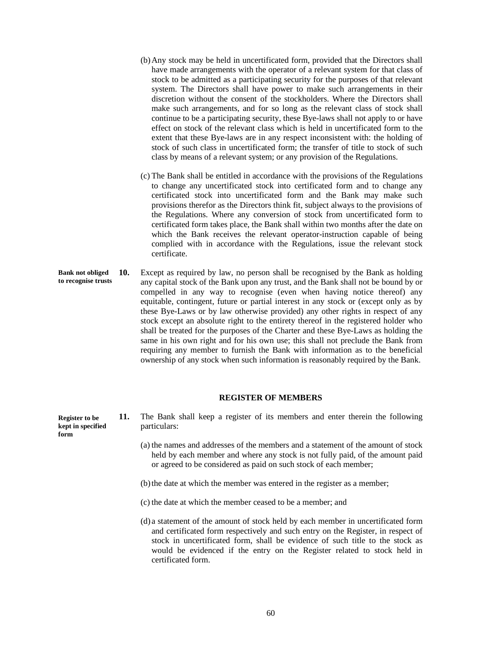- (b)Any stock may be held in uncertificated form, provided that the Directors shall have made arrangements with the operator of a relevant system for that class of stock to be admitted as a participating security for the purposes of that relevant system. The Directors shall have power to make such arrangements in their discretion without the consent of the stockholders. Where the Directors shall make such arrangements, and for so long as the relevant class of stock shall continue to be a participating security, these Bye-laws shall not apply to or have effect on stock of the relevant class which is held in uncertificated form to the extent that these Bye-laws are in any respect inconsistent with: the holding of stock of such class in uncertificated form; the transfer of title to stock of such class by means of a relevant system; or any provision of the Regulations.
- (c) The Bank shall be entitled in accordance with the provisions of the Regulations to change any uncertificated stock into certificated form and to change any certificated stock into uncertificated form and the Bank may make such provisions therefor as the Directors think fit, subject always to the provisions of the Regulations. Where any conversion of stock from uncertificated form to certificated form takes place, the Bank shall within two months after the date on which the Bank receives the relevant operator-instruction capable of being complied with in accordance with the Regulations, issue the relevant stock certificate.
- **10.** Except as required by law, no person shall be recognised by the Bank as holding any capital stock of the Bank upon any trust, and the Bank shall not be bound by or compelled in any way to recognise (even when having notice thereof) any equitable, contingent, future or partial interest in any stock or (except only as by these Bye-Laws or by law otherwise provided) any other rights in respect of any stock except an absolute right to the entirety thereof in the registered holder who shall be treated for the purposes of the Charter and these Bye-Laws as holding the same in his own right and for his own use; this shall not preclude the Bank from requiring any member to furnish the Bank with information as to the beneficial ownership of any stock when such information is reasonably required by the Bank. **Bank not obliged to recognise trusts**

#### **REGISTER OF MEMBERS**

**11.** The Bank shall keep a register of its members and enter therein the following particulars:

- (a) the names and addresses of the members and a statement of the amount of stock held by each member and where any stock is not fully paid, of the amount paid or agreed to be considered as paid on such stock of each member;
- (b)the date at which the member was entered in the register as a member;
- (c) the date at which the member ceased to be a member; and
- (d) a statement of the amount of stock held by each member in uncertificated form and certificated form respectively and such entry on the Register, in respect of stock in uncertificated form, shall be evidence of such title to the stock as would be evidenced if the entry on the Register related to stock held in certificated form.

**Register to be kept in specified form**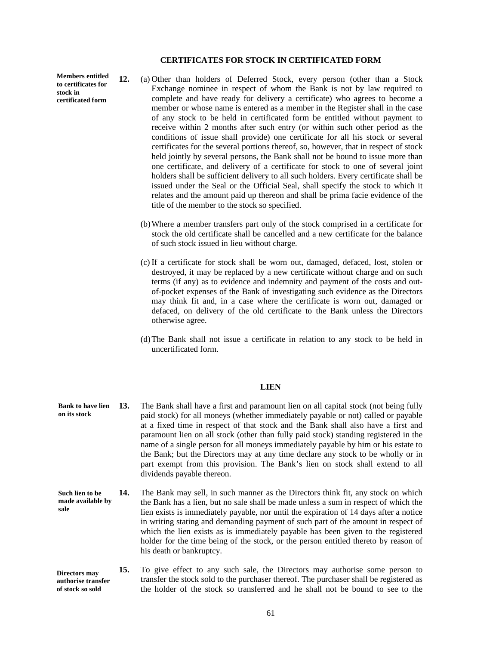## **CERTIFICATES FOR STOCK IN CERTIFICATED FORM**

**Members entitled to certificates for stock in certificated form** 

- **12.** (a) Other than holders of Deferred Stock, every person (other than a Stock Exchange nominee in respect of whom the Bank is not by law required to complete and have ready for delivery a certificate) who agrees to become a member or whose name is entered as a member in the Register shall in the case of any stock to be held in certificated form be entitled without payment to receive within 2 months after such entry (or within such other period as the conditions of issue shall provide) one certificate for all his stock or several certificates for the several portions thereof, so, however, that in respect of stock held jointly by several persons, the Bank shall not be bound to issue more than one certificate, and delivery of a certificate for stock to one of several joint holders shall be sufficient delivery to all such holders. Every certificate shall be issued under the Seal or the Official Seal, shall specify the stock to which it relates and the amount paid up thereon and shall be prima facie evidence of the title of the member to the stock so specified.
	- (b)Where a member transfers part only of the stock comprised in a certificate for stock the old certificate shall be cancelled and a new certificate for the balance of such stock issued in lieu without charge.
	- (c) If a certificate for stock shall be worn out, damaged, defaced, lost, stolen or destroyed, it may be replaced by a new certificate without charge and on such terms (if any) as to evidence and indemnity and payment of the costs and outof-pocket expenses of the Bank of investigating such evidence as the Directors may think fit and, in a case where the certificate is worn out, damaged or defaced, on delivery of the old certificate to the Bank unless the Directors otherwise agree.
	- (d)The Bank shall not issue a certificate in relation to any stock to be held in uncertificated form.

#### **LIEN**

- **13.** The Bank shall have a first and paramount lien on all capital stock (not being fully paid stock) for all moneys (whether immediately payable or not) called or payable at a fixed time in respect of that stock and the Bank shall also have a first and paramount lien on all stock (other than fully paid stock) standing registered in the name of a single person for all moneys immediately payable by him or his estate to the Bank; but the Directors may at any time declare any stock to be wholly or in part exempt from this provision. The Bank's lien on stock shall extend to all dividends payable thereon. **14.** The Bank may sell, in such manner as the Directors think fit, any stock on which the Bank has a lien, but no sale shall be made unless a sum in respect of which the lien exists is immediately payable, nor until the expiration of 14 days after a notice in writing stating and demanding payment of such part of the amount in respect of **Bank to have lien on its stock Such lien to be made available by sale** 
	- which the lien exists as is immediately payable has been given to the registered holder for the time being of the stock, or the person entitled thereto by reason of his death or bankruptcy.

**15.** To give effect to any such sale, the Directors may authorise some person to transfer the stock sold to the purchaser thereof. The purchaser shall be registered as the holder of the stock so transferred and he shall not be bound to see to the **Directors may authorise transfer of stock so sold**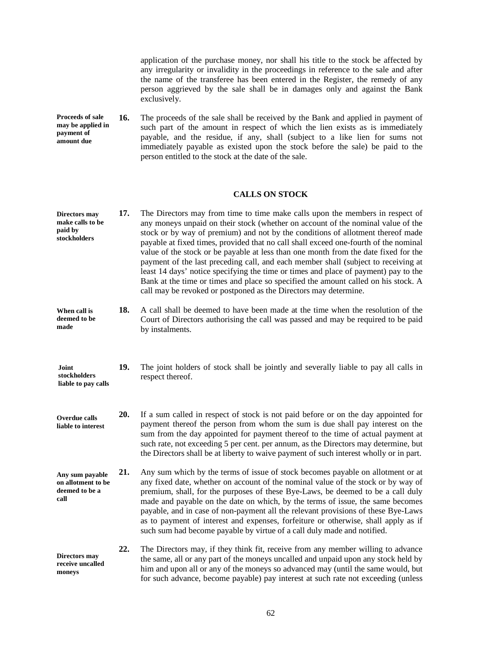application of the purchase money, nor shall his title to the stock be affected by any irregularity or invalidity in the proceedings in reference to the sale and after the name of the transferee has been entered in the Register, the remedy of any person aggrieved by the sale shall be in damages only and against the Bank exclusively.

**16.** The proceeds of the sale shall be received by the Bank and applied in payment of such part of the amount in respect of which the lien exists as is immediately payable, and the residue, if any, shall (subject to a like lien for sums not immediately payable as existed upon the stock before the sale) be paid to the person entitled to the stock at the date of the sale. **Proceeds of sale may be applied in payment of amount due** 

# **CALLS ON STOCK**

| <b>Directors</b> may<br>make calls to be<br>paid by<br>stockholders | 17. | The Directors may from time to time make calls upon the members in respect of<br>any moneys unpaid on their stock (whether on account of the nominal value of the<br>stock or by way of premium) and not by the conditions of allotment thereof made<br>payable at fixed times, provided that no call shall exceed one-fourth of the nominal<br>value of the stock or be payable at less than one month from the date fixed for the<br>payment of the last preceding call, and each member shall (subject to receiving at<br>least 14 days' notice specifying the time or times and place of payment) pay to the<br>Bank at the time or times and place so specified the amount called on his stock. A<br>call may be revoked or postponed as the Directors may determine. |
|---------------------------------------------------------------------|-----|----------------------------------------------------------------------------------------------------------------------------------------------------------------------------------------------------------------------------------------------------------------------------------------------------------------------------------------------------------------------------------------------------------------------------------------------------------------------------------------------------------------------------------------------------------------------------------------------------------------------------------------------------------------------------------------------------------------------------------------------------------------------------|
| When call is<br>deemed to be<br>made                                | 18. | A call shall be deemed to have been made at the time when the resolution of the<br>Court of Directors authorising the call was passed and may be required to be paid<br>by instalments.                                                                                                                                                                                                                                                                                                                                                                                                                                                                                                                                                                                    |
| Joint<br>stockholders<br>liable to pay calls                        | 19. | The joint holders of stock shall be jointly and severally liable to pay all calls in<br>respect thereof.                                                                                                                                                                                                                                                                                                                                                                                                                                                                                                                                                                                                                                                                   |
| <b>Overdue calls</b><br>liable to interest                          | 20. | If a sum called in respect of stock is not paid before or on the day appointed for<br>payment thereof the person from whom the sum is due shall pay interest on the<br>sum from the day appointed for payment thereof to the time of actual payment at<br>such rate, not exceeding 5 per cent. per annum, as the Directors may determine, but<br>the Directors shall be at liberty to waive payment of such interest wholly or in part.                                                                                                                                                                                                                                                                                                                                    |
| Any sum payable<br>on allotment to be<br>deemed to be a<br>call     | 21. | Any sum which by the terms of issue of stock becomes payable on allotment or at<br>any fixed date, whether on account of the nominal value of the stock or by way of<br>premium, shall, for the purposes of these Bye-Laws, be deemed to be a call duly<br>made and payable on the date on which, by the terms of issue, the same becomes<br>payable, and in case of non-payment all the relevant provisions of these Bye-Laws<br>as to payment of interest and expenses, forfeiture or otherwise, shall apply as if<br>such sum had become payable by virtue of a call duly made and notified.                                                                                                                                                                            |
| <b>Directors</b> may<br>receive uncalled<br>moneys                  | 22. | The Directors may, if they think fit, receive from any member willing to advance<br>the same, all or any part of the moneys uncalled and unpaid upon any stock held by<br>him and upon all or any of the moneys so advanced may (until the same would, but<br>for such advance, become payable) pay interest at such rate not exceeding (unless                                                                                                                                                                                                                                                                                                                                                                                                                            |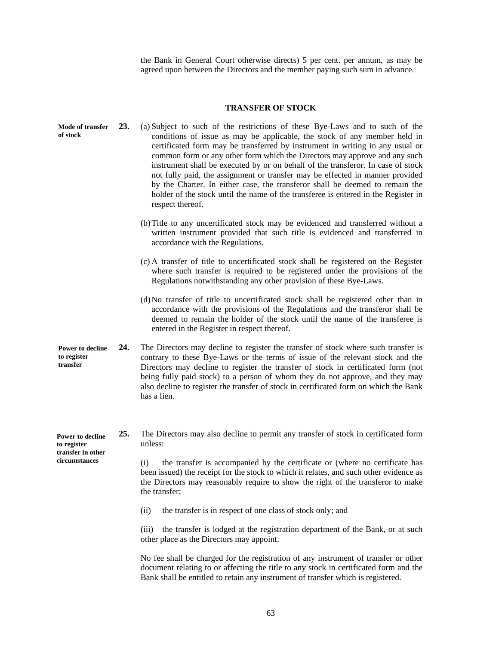the Bank in General Court otherwise directs) 5 per cent. per annum, as may be agreed upon between the Directors and the member paying such sum in advance.

# **TRANSFER OF STOCK**

| Mode of transfer<br>of stock                                | 23. | (a) Subject to such of the restrictions of these Bye-Laws and to such of the<br>conditions of issue as may be applicable, the stock of any member held in<br>certificated form may be transferred by instrument in writing in any usual or<br>common form or any other form which the Directors may approve and any such<br>instrument shall be executed by or on behalf of the transferor. In case of stock<br>not fully paid, the assignment or transfer may be effected in manner provided<br>by the Charter. In either case, the transferor shall be deemed to remain the<br>holder of the stock until the name of the transferee is entered in the Register in<br>respect thereof. |
|-------------------------------------------------------------|-----|-----------------------------------------------------------------------------------------------------------------------------------------------------------------------------------------------------------------------------------------------------------------------------------------------------------------------------------------------------------------------------------------------------------------------------------------------------------------------------------------------------------------------------------------------------------------------------------------------------------------------------------------------------------------------------------------|
|                                                             |     | (b) Title to any uncertificated stock may be evidenced and transferred without a<br>written instrument provided that such title is evidenced and transferred in<br>accordance with the Regulations.                                                                                                                                                                                                                                                                                                                                                                                                                                                                                     |
|                                                             |     | (c) A transfer of title to uncertificated stock shall be registered on the Register<br>where such transfer is required to be registered under the provisions of the<br>Regulations notwithstanding any other provision of these Bye-Laws.                                                                                                                                                                                                                                                                                                                                                                                                                                               |
|                                                             |     | (d) No transfer of title to uncertificated stock shall be registered other than in<br>accordance with the provisions of the Regulations and the transferor shall be<br>deemed to remain the holder of the stock until the name of the transferee is<br>entered in the Register in respect thereof.                                                                                                                                                                                                                                                                                                                                                                                      |
| Power to decline<br>to register<br>transfer                 | 24. | The Directors may decline to register the transfer of stock where such transfer is<br>contrary to these Bye-Laws or the terms of issue of the relevant stock and the<br>Directors may decline to register the transfer of stock in certificated form (not<br>being fully paid stock) to a person of whom they do not approve, and they may<br>also decline to register the transfer of stock in certificated form on which the Bank<br>has a lien.                                                                                                                                                                                                                                      |
| <b>Power to decline</b><br>to register<br>transfer in other | 25. | The Directors may also decline to permit any transfer of stock in certificated form<br>unless:                                                                                                                                                                                                                                                                                                                                                                                                                                                                                                                                                                                          |
| circumstances                                               |     | the transfer is accompanied by the certificate or (where no certificate has<br>(i)<br>been issued) the receipt for the stock to which it relates, and such other evidence as<br>the Directors may reasonably require to show the right of the transferor to make<br>the transfer;                                                                                                                                                                                                                                                                                                                                                                                                       |
|                                                             |     | the transfer is in respect of one class of stock only; and<br>(ii)                                                                                                                                                                                                                                                                                                                                                                                                                                                                                                                                                                                                                      |
|                                                             |     | the transfer is lodged at the registration department of the Bank, or at such<br>(iii)<br>other place as the Directors may appoint.                                                                                                                                                                                                                                                                                                                                                                                                                                                                                                                                                     |
|                                                             |     | No fee shall be charged for the registration of any instrument of transfer or other<br>document relating to or affecting the title to any stock in certificated form and the                                                                                                                                                                                                                                                                                                                                                                                                                                                                                                            |

Bank shall be entitled to retain any instrument of transfer which is registered.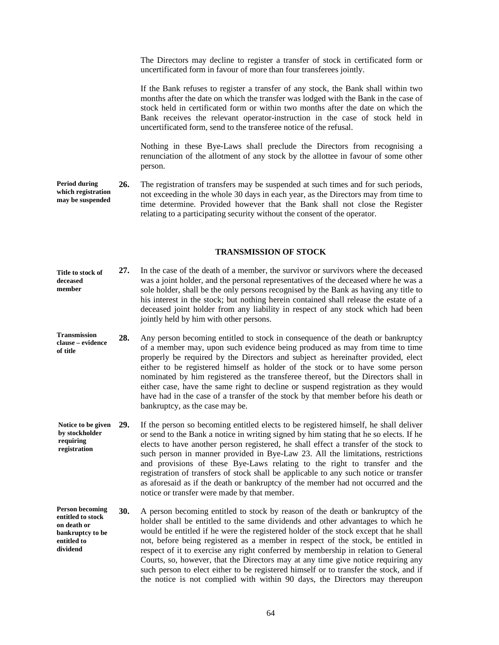The Directors may decline to register a transfer of stock in certificated form or uncertificated form in favour of more than four transferees jointly.

If the Bank refuses to register a transfer of any stock, the Bank shall within two months after the date on which the transfer was lodged with the Bank in the case of stock held in certificated form or within two months after the date on which the Bank receives the relevant operator-instruction in the case of stock held in uncertificated form, send to the transferee notice of the refusal.

Nothing in these Bye-Laws shall preclude the Directors from recognising a renunciation of the allotment of any stock by the allottee in favour of some other person.

**26.** The registration of transfers may be suspended at such times and for such periods, not exceeding in the whole 30 days in each year, as the Directors may from time to time determine. Provided however that the Bank shall not close the Register relating to a participating security without the consent of the operator. **Period during which registration may be suspended**

#### **TRANSMISSION OF STOCK**

| Title to stock of<br>deceased<br>member              | 27. | In the case of the death of a member, the survivor or survivors where the deceased<br>was a joint holder, and the personal representatives of the deceased where he was a<br>sole holder, shall be the only persons recognised by the Bank as having any title to<br>his interest in the stock; but nothing herein contained shall release the estate of a<br>deceased joint holder from any liability in respect of any stock which had been<br>jointly held by him with other persons.                                                                                                                                               |
|------------------------------------------------------|-----|----------------------------------------------------------------------------------------------------------------------------------------------------------------------------------------------------------------------------------------------------------------------------------------------------------------------------------------------------------------------------------------------------------------------------------------------------------------------------------------------------------------------------------------------------------------------------------------------------------------------------------------|
| <b>Transmission</b><br>clause – evidence<br>of title | 28. | Any person becoming entitled to stock in consequence of the death or bankruptcy<br>of a member may, upon such evidence being produced as may from time to time<br>properly be required by the Directors and subject as hereinafter provided, elect<br>either to be registered himself as holder of the stock or to have some person<br>nominated by him registered as the transferee thereof, but the Directors shall in<br>either case, have the same right to decline or suspend registration as they would<br>have had in the case of a transfer of the stock by that member before his death or<br>bankruptcy, as the case may be. |

- **29.** If the person so becoming entitled elects to be registered himself, he shall deliver or send to the Bank a notice in writing signed by him stating that he so elects. If he elects to have another person registered, he shall effect a transfer of the stock to such person in manner provided in Bye-Law 23. All the limitations, restrictions and provisions of these Bye-Laws relating to the right to transfer and the registration of transfers of stock shall be applicable to any such notice or transfer as aforesaid as if the death or bankruptcy of the member had not occurred and the notice or transfer were made by that member. **Notice to be given by stockholder requiring registration**
- **30.** A person becoming entitled to stock by reason of the death or bankruptcy of the holder shall be entitled to the same dividends and other advantages to which he would be entitled if he were the registered holder of the stock except that he shall not, before being registered as a member in respect of the stock, be entitled in respect of it to exercise any right conferred by membership in relation to General Courts, so, however, that the Directors may at any time give notice requiring any such person to elect either to be registered himself or to transfer the stock, and if the notice is not complied with within 90 days, the Directors may thereupon **Person becoming entitled to stock on death or bankruptcy to be entitled to dividend**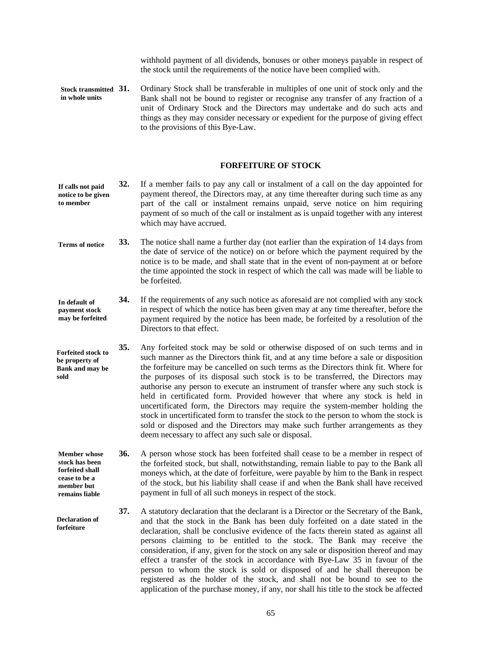withhold payment of all dividends, bonuses or other moneys payable in respect of the stock until the requirements of the notice have been complied with.

**31.** Ordinary Stock shall be transferable in multiples of one unit of stock only and the Bank shall not be bound to register or recognise any transfer of any fraction of a unit of Ordinary Stock and the Directors may undertake and do such acts and things as they may consider necessary or expedient for the purpose of giving effect to the provisions of this Bye-Law. **Stock transmitted in whole units** 

#### **FORFEITURE OF STOCK**

- **32.** If a member fails to pay any call or instalment of a call on the day appointed for payment thereof, the Directors may, at any time thereafter during such time as any part of the call or instalment remains unpaid, serve notice on him requiring payment of so much of the call or instalment as is unpaid together with any interest which may have accrued. **If calls not paid notice to be given to member**
- **33.** The notice shall name a further day (not earlier than the expiration of 14 days from the date of service of the notice) on or before which the payment required by the notice is to be made, and shall state that in the event of non-payment at or before the time appointed the stock in respect of which the call was made will be liable to be forfeited. **Terms of notice**
- **34.** If the requirements of any such notice as aforesaid are not complied with any stock in respect of which the notice has been given may at any time thereafter, before the payment required by the notice has been made, be forfeited by a resolution of the Directors to that effect. **In default of payment stock may be forfeited**
- **35.** Any forfeited stock may be sold or otherwise disposed of on such terms and in such manner as the Directors think fit, and at any time before a sale or disposition the forfeiture may be cancelled on such terms as the Directors think fit. Where for the purposes of its disposal such stock is to be transferred, the Directors may authorise any person to execute an instrument of transfer where any such stock is held in certificated form. Provided however that where any stock is held in uncertificated form, the Directors may require the system-member holding the stock in uncertificated form to transfer the stock to the person to whom the stock is sold or disposed and the Directors may make such further arrangements as they deem necessary to affect any such sale or disposal. **Forfeited stock to be property of Bank and may be sold**
- **36.** A person whose stock has been forfeited shall cease to be a member in respect of the forfeited stock, but shall, notwithstanding, remain liable to pay to the Bank all moneys which, at the date of forfeiture, were payable by him to the Bank in respect of the stock, but his liability shall cease if and when the Bank shall have received payment in full of all such moneys in respect of the stock. **Member whose stock has been forfeited shall cease to be a member but remains liable**

**Declaration of forfeiture** 

**37.** A statutory declaration that the declarant is a Director or the Secretary of the Bank, and that the stock in the Bank has been duly forfeited on a date stated in the declaration, shall be conclusive evidence of the facts therein stated as against all persons claiming to be entitled to the stock. The Bank may receive the consideration, if any, given for the stock on any sale or disposition thereof and may effect a transfer of the stock in accordance with Bye-Law 35 in favour of the person to whom the stock is sold or disposed of and he shall thereupon be registered as the holder of the stock, and shall not be bound to see to the application of the purchase money, if any, nor shall his title to the stock be affected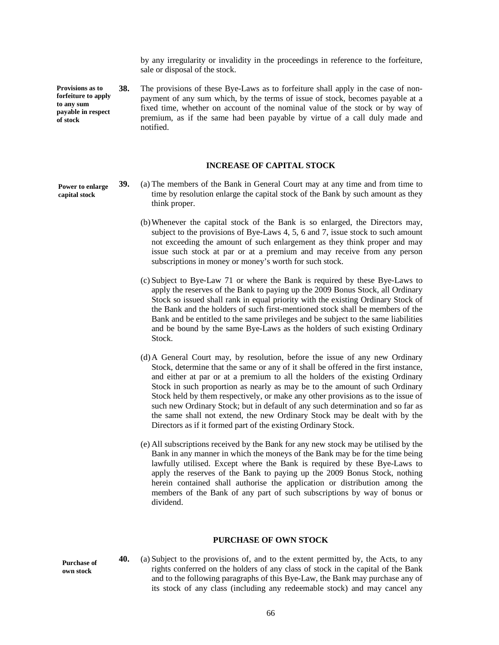by any irregularity or invalidity in the proceedings in reference to the forfeiture, sale or disposal of the stock.

**38.** The provisions of these Bye-Laws as to forfeiture shall apply in the case of nonpayment of any sum which, by the terms of issue of stock, becomes payable at a fixed time, whether on account of the nominal value of the stock or by way of premium, as if the same had been payable by virtue of a call duly made and notified. **Provisions as to forfeiture to apply to any sum payable in respect of stock** 

#### **INCREASE OF CAPITAL STOCK**

**Power to enlarge capital stock** 

- **39.** (a) The members of the Bank in General Court may at any time and from time to time by resolution enlarge the capital stock of the Bank by such amount as they think proper.
	- (b)Whenever the capital stock of the Bank is so enlarged, the Directors may, subject to the provisions of Bye-Laws 4, 5, 6 and 7, issue stock to such amount not exceeding the amount of such enlargement as they think proper and may issue such stock at par or at a premium and may receive from any person subscriptions in money or money's worth for such stock.
	- (c) Subject to Bye-Law 71 or where the Bank is required by these Bye-Laws to apply the reserves of the Bank to paying up the 2009 Bonus Stock, all Ordinary Stock so issued shall rank in equal priority with the existing Ordinary Stock of the Bank and the holders of such first-mentioned stock shall be members of the Bank and be entitled to the same privileges and be subject to the same liabilities and be bound by the same Bye-Laws as the holders of such existing Ordinary Stock.
	- (d)A General Court may, by resolution, before the issue of any new Ordinary Stock, determine that the same or any of it shall be offered in the first instance, and either at par or at a premium to all the holders of the existing Ordinary Stock in such proportion as nearly as may be to the amount of such Ordinary Stock held by them respectively, or make any other provisions as to the issue of such new Ordinary Stock; but in default of any such determination and so far as the same shall not extend, the new Ordinary Stock may be dealt with by the Directors as if it formed part of the existing Ordinary Stock.
	- (e) All subscriptions received by the Bank for any new stock may be utilised by the Bank in any manner in which the moneys of the Bank may be for the time being lawfully utilised. Except where the Bank is required by these Bye-Laws to apply the reserves of the Bank to paying up the 2009 Bonus Stock, nothing herein contained shall authorise the application or distribution among the members of the Bank of any part of such subscriptions by way of bonus or dividend.

#### **PURCHASE OF OWN STOCK**

**Purchase of own stock** 

**40.** (a) Subject to the provisions of, and to the extent permitted by, the Acts, to any rights conferred on the holders of any class of stock in the capital of the Bank and to the following paragraphs of this Bye-Law, the Bank may purchase any of its stock of any class (including any redeemable stock) and may cancel any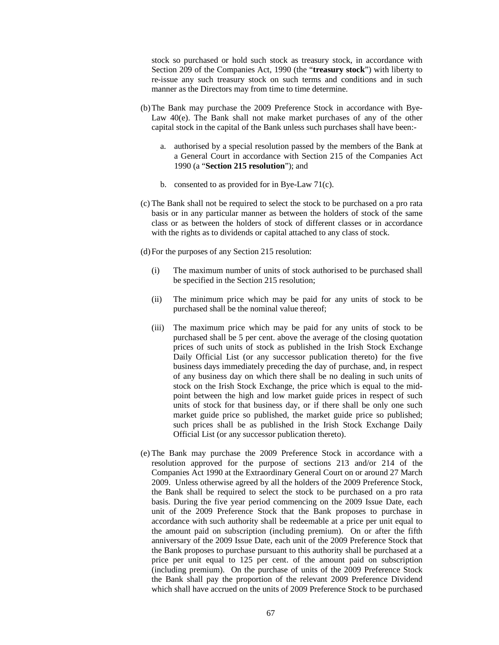stock so purchased or hold such stock as treasury stock, in accordance with Section 209 of the Companies Act, 1990 (the "**treasury stock**") with liberty to re-issue any such treasury stock on such terms and conditions and in such manner as the Directors may from time to time determine.

- (b)The Bank may purchase the 2009 Preference Stock in accordance with Bye-Law 40(e). The Bank shall not make market purchases of any of the other capital stock in the capital of the Bank unless such purchases shall have been:
	- a. authorised by a special resolution passed by the members of the Bank at a General Court in accordance with Section 215 of the Companies Act 1990 (a "**Section 215 resolution**"); and
	- b. consented to as provided for in Bye-Law 71(c).
- (c) The Bank shall not be required to select the stock to be purchased on a pro rata basis or in any particular manner as between the holders of stock of the same class or as between the holders of stock of different classes or in accordance with the rights as to dividends or capital attached to any class of stock.

(d)For the purposes of any Section 215 resolution:

- (i) The maximum number of units of stock authorised to be purchased shall be specified in the Section 215 resolution;
- (ii) The minimum price which may be paid for any units of stock to be purchased shall be the nominal value thereof;
- (iii) The maximum price which may be paid for any units of stock to be purchased shall be 5 per cent. above the average of the closing quotation prices of such units of stock as published in the Irish Stock Exchange Daily Official List (or any successor publication thereto) for the five business days immediately preceding the day of purchase, and, in respect of any business day on which there shall be no dealing in such units of stock on the Irish Stock Exchange, the price which is equal to the midpoint between the high and low market guide prices in respect of such units of stock for that business day, or if there shall be only one such market guide price so published, the market guide price so published; such prices shall be as published in the Irish Stock Exchange Daily Official List (or any successor publication thereto).
- (e) The Bank may purchase the 2009 Preference Stock in accordance with a resolution approved for the purpose of sections 213 and/or 214 of the Companies Act 1990 at the Extraordinary General Court on or around 27 March 2009. Unless otherwise agreed by all the holders of the 2009 Preference Stock, the Bank shall be required to select the stock to be purchased on a pro rata basis. During the five year period commencing on the 2009 Issue Date, each unit of the 2009 Preference Stock that the Bank proposes to purchase in accordance with such authority shall be redeemable at a price per unit equal to the amount paid on subscription (including premium). On or after the fifth anniversary of the 2009 Issue Date, each unit of the 2009 Preference Stock that the Bank proposes to purchase pursuant to this authority shall be purchased at a price per unit equal to 125 per cent. of the amount paid on subscription (including premium). On the purchase of units of the 2009 Preference Stock the Bank shall pay the proportion of the relevant 2009 Preference Dividend which shall have accrued on the units of 2009 Preference Stock to be purchased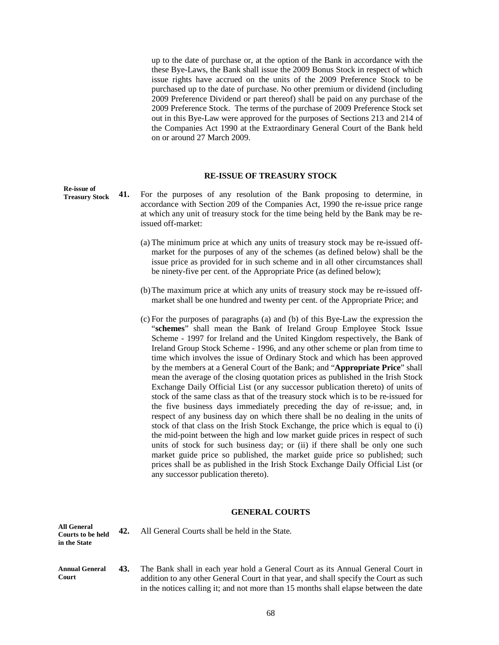up to the date of purchase or, at the option of the Bank in accordance with the these Bye-Laws, the Bank shall issue the 2009 Bonus Stock in respect of which issue rights have accrued on the units of the 2009 Preference Stock to be purchased up to the date of purchase. No other premium or dividend (including 2009 Preference Dividend or part thereof) shall be paid on any purchase of the 2009 Preference Stock. The terms of the purchase of 2009 Preference Stock set out in this Bye-Law were approved for the purposes of Sections 213 and 214 of the Companies Act 1990 at the Extraordinary General Court of the Bank held on or around 27 March 2009.

#### **RE-ISSUE OF TREASURY STOCK**

- **41.** For the purposes of any resolution of the Bank proposing to determine, in accordance with Section 209 of the Companies Act, 1990 the re-issue price range at which any unit of treasury stock for the time being held by the Bank may be reissued off-market: **Re-issue of Treasury Stock** 
	- (a) The minimum price at which any units of treasury stock may be re-issued offmarket for the purposes of any of the schemes (as defined below) shall be the issue price as provided for in such scheme and in all other circumstances shall be ninety-five per cent. of the Appropriate Price (as defined below);
	- (b)The maximum price at which any units of treasury stock may be re-issued offmarket shall be one hundred and twenty per cent. of the Appropriate Price; and
	- (c) For the purposes of paragraphs (a) and (b) of this Bye-Law the expression the "**schemes**" shall mean the Bank of Ireland Group Employee Stock Issue Scheme - 1997 for Ireland and the United Kingdom respectively, the Bank of Ireland Group Stock Scheme - 1996, and any other scheme or plan from time to time which involves the issue of Ordinary Stock and which has been approved by the members at a General Court of the Bank; and "**Appropriate Price**" shall mean the average of the closing quotation prices as published in the Irish Stock Exchange Daily Official List (or any successor publication thereto) of units of stock of the same class as that of the treasury stock which is to be re-issued for the five business days immediately preceding the day of re-issue; and, in respect of any business day on which there shall be no dealing in the units of stock of that class on the Irish Stock Exchange, the price which is equal to (i) the mid-point between the high and low market guide prices in respect of such units of stock for such business day; or (ii) if there shall be only one such market guide price so published, the market guide price so published; such prices shall be as published in the Irish Stock Exchange Daily Official List (or any successor publication thereto).

#### **GENERAL COURTS**

| <b>All General</b><br><b>Courts to be held</b><br>in the State | 42. | All General Courts shall be held in the State.                                                                                                                                                                                                                   |
|----------------------------------------------------------------|-----|------------------------------------------------------------------------------------------------------------------------------------------------------------------------------------------------------------------------------------------------------------------|
| Annual General<br>Court                                        | 43. | The Bank shall in each year hold a General Court as its Annual General Court in<br>addition to any other General Court in that year, and shall specify the Court as such<br>in the notices calling it; and not more than 15 months shall elapse between the date |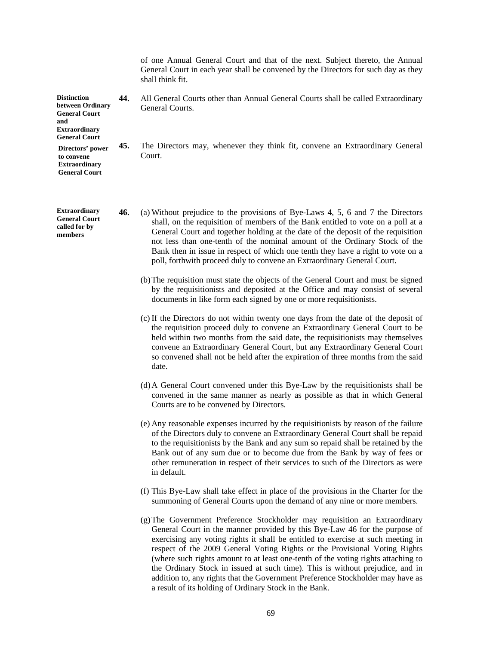|                                                                                                                       |     | of one Annual General Court and that of the next. Subject thereto, the Annual<br>General Court in each year shall be convened by the Directors for such day as they<br>shall think fit.                                                                                                                                                                                                                                                                                                                                                                                            |
|-----------------------------------------------------------------------------------------------------------------------|-----|------------------------------------------------------------------------------------------------------------------------------------------------------------------------------------------------------------------------------------------------------------------------------------------------------------------------------------------------------------------------------------------------------------------------------------------------------------------------------------------------------------------------------------------------------------------------------------|
| <b>Distinction</b><br>between Ordinary<br><b>General Court</b><br>and<br><b>Extraordinary</b><br><b>General Court</b> | 44. | All General Courts other than Annual General Courts shall be called Extraordinary<br>General Courts.                                                                                                                                                                                                                                                                                                                                                                                                                                                                               |
| Directors' power<br>to convene<br><b>Extraordinary</b><br><b>General Court</b>                                        | 45. | The Directors may, whenever they think fit, convene an Extraordinary General<br>Court.                                                                                                                                                                                                                                                                                                                                                                                                                                                                                             |
| <b>Extraordinary</b><br><b>General Court</b><br>called for by<br>members                                              | 46. | (a) Without prejudice to the provisions of Bye-Laws 4, 5, 6 and 7 the Directors<br>shall, on the requisition of members of the Bank entitled to vote on a poll at a<br>General Court and together holding at the date of the deposit of the requisition<br>not less than one-tenth of the nominal amount of the Ordinary Stock of the<br>Bank then in issue in respect of which one tenth they have a right to vote on a<br>poll, forthwith proceed duly to convene an Extraordinary General Court.                                                                                |
|                                                                                                                       |     | (b) The requisition must state the objects of the General Court and must be signed<br>by the requisitionists and deposited at the Office and may consist of several<br>documents in like form each signed by one or more requisitionists.                                                                                                                                                                                                                                                                                                                                          |
|                                                                                                                       |     | (c) If the Directors do not within twenty one days from the date of the deposit of<br>the requisition proceed duly to convene an Extraordinary General Court to be<br>held within two months from the said date, the requisitionists may themselves<br>convene an Extraordinary General Court, but any Extraordinary General Court<br>so convened shall not be held after the expiration of three months from the said<br>date.                                                                                                                                                    |
|                                                                                                                       |     | (d) A General Court convened under this Bye-Law by the requisitionists shall be<br>convened in the same manner as nearly as possible as that in which General<br>Courts are to be convened by Directors.                                                                                                                                                                                                                                                                                                                                                                           |
|                                                                                                                       |     | (e) Any reasonable expenses incurred by the requisitionists by reason of the failure<br>of the Directors duly to convene an Extraordinary General Court shall be repaid<br>to the requisitionists by the Bank and any sum so repaid shall be retained by the<br>Bank out of any sum due or to become due from the Bank by way of fees or<br>other remuneration in respect of their services to such of the Directors as were<br>in default.                                                                                                                                        |
|                                                                                                                       |     | (f) This Bye-Law shall take effect in place of the provisions in the Charter for the<br>summoning of General Courts upon the demand of any nine or more members.                                                                                                                                                                                                                                                                                                                                                                                                                   |
|                                                                                                                       |     | (g) The Government Preference Stockholder may requisition an Extraordinary<br>General Court in the manner provided by this Bye-Law 46 for the purpose of<br>exercising any voting rights it shall be entitled to exercise at such meeting in<br>respect of the 2009 General Voting Rights or the Provisional Voting Rights<br>(where such rights amount to at least one-tenth of the voting rights attaching to<br>the Ordinary Stock in issued at such time). This is without prejudice, and in<br>addition to, any rights that the Government Preference Stockholder may have as |

a result of its holding of Ordinary Stock in the Bank.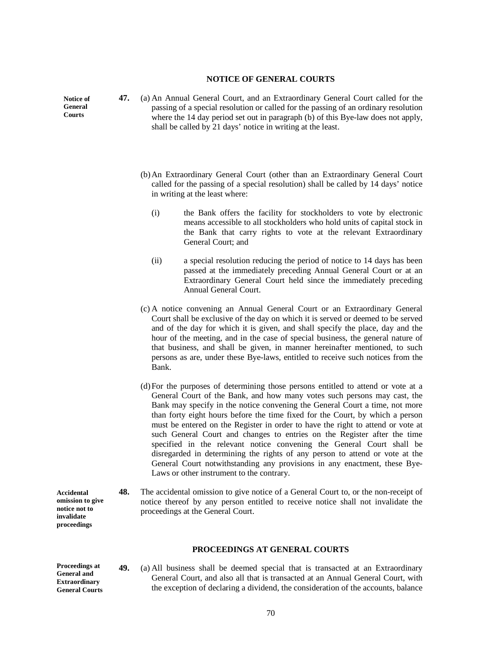### **NOTICE OF GENERAL COURTS**

**Notice of General Courts** 

- **47.** (a) An Annual General Court, and an Extraordinary General Court called for the passing of a special resolution or called for the passing of an ordinary resolution where the 14 day period set out in paragraph (b) of this Bye-law does not apply, shall be called by 21 days' notice in writing at the least.
	- (b)An Extraordinary General Court (other than an Extraordinary General Court called for the passing of a special resolution) shall be called by 14 days' notice in writing at the least where:
		- (i) the Bank offers the facility for stockholders to vote by electronic means accessible to all stockholders who hold units of capital stock in the Bank that carry rights to vote at the relevant Extraordinary General Court; and
		- (ii) a special resolution reducing the period of notice to 14 days has been passed at the immediately preceding Annual General Court or at an Extraordinary General Court held since the immediately preceding Annual General Court.
	- (c) A notice convening an Annual General Court or an Extraordinary General Court shall be exclusive of the day on which it is served or deemed to be served and of the day for which it is given, and shall specify the place, day and the hour of the meeting, and in the case of special business, the general nature of that business, and shall be given, in manner hereinafter mentioned, to such persons as are, under these Bye-laws, entitled to receive such notices from the Bank.
	- (d)For the purposes of determining those persons entitled to attend or vote at a General Court of the Bank, and how many votes such persons may cast, the Bank may specify in the notice convening the General Court a time, not more than forty eight hours before the time fixed for the Court, by which a person must be entered on the Register in order to have the right to attend or vote at such General Court and changes to entries on the Register after the time specified in the relevant notice convening the General Court shall be disregarded in determining the rights of any person to attend or vote at the General Court notwithstanding any provisions in any enactment, these Bye-Laws or other instrument to the contrary.
- **48.** The accidental omission to give notice of a General Court to, or the non-receipt of notice thereof by any person entitled to receive notice shall not invalidate the proceedings at the General Court. **Accidental omission to give notice not to invalidate**

### **PROCEEDINGS AT GENERAL COURTS**

**Proceedings at General and Extraordinary General Courts** 

**proceedings** 

**49.** (a) All business shall be deemed special that is transacted at an Extraordinary General Court, and also all that is transacted at an Annual General Court, with the exception of declaring a dividend, the consideration of the accounts, balance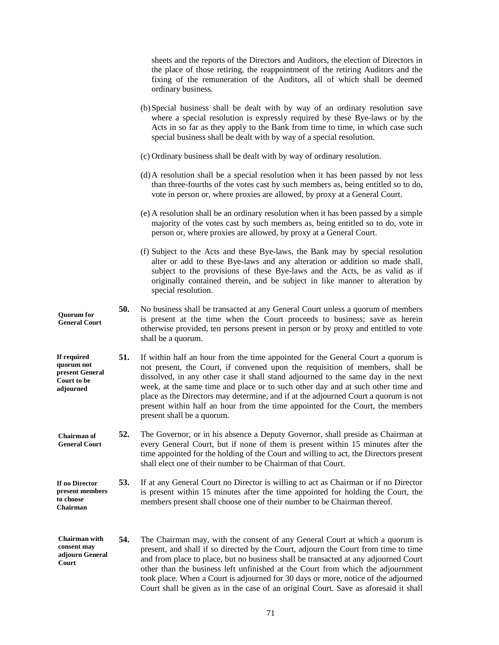|                                                                          |     | sheets and the reports of the Directors and Auditors, the election of Directors in<br>the place of those retiring, the reappointment of the retiring Auditors and the<br>fixing of the remuneration of the Auditors, all of which shall be deemed<br>ordinary business.                                                                                                                                                                                                                                                                           |
|--------------------------------------------------------------------------|-----|---------------------------------------------------------------------------------------------------------------------------------------------------------------------------------------------------------------------------------------------------------------------------------------------------------------------------------------------------------------------------------------------------------------------------------------------------------------------------------------------------------------------------------------------------|
|                                                                          |     | (b) Special business shall be dealt with by way of an ordinary resolution save<br>where a special resolution is expressly required by these Bye-laws or by the<br>Acts in so far as they apply to the Bank from time to time, in which case such<br>special business shall be dealt with by way of a special resolution.                                                                                                                                                                                                                          |
|                                                                          |     | (c) Ordinary business shall be dealt with by way of ordinary resolution.                                                                                                                                                                                                                                                                                                                                                                                                                                                                          |
|                                                                          |     | (d) A resolution shall be a special resolution when it has been passed by not less<br>than three-fourths of the votes cast by such members as, being entitled so to do,<br>vote in person or, where proxies are allowed, by proxy at a General Court.                                                                                                                                                                                                                                                                                             |
|                                                                          |     | (e) A resolution shall be an ordinary resolution when it has been passed by a simple<br>majority of the votes cast by such members as, being entitled so to do, vote in<br>person or, where proxies are allowed, by proxy at a General Court.                                                                                                                                                                                                                                                                                                     |
|                                                                          |     | (f) Subject to the Acts and these Bye-laws, the Bank may by special resolution<br>alter or add to these Bye-laws and any alteration or addition so made shall,<br>subject to the provisions of these Bye-laws and the Acts, be as valid as if<br>originally contained therein, and be subject in like manner to alteration by<br>special resolution.                                                                                                                                                                                              |
| <b>Quorum</b> for<br><b>General Court</b>                                | 50. | No business shall be transacted at any General Court unless a quorum of members<br>is present at the time when the Court proceeds to business; save as herein<br>otherwise provided, ten persons present in person or by proxy and entitled to vote<br>shall be a quorum.                                                                                                                                                                                                                                                                         |
| If required<br>quorum not<br>present General<br>Court to be<br>adjourned | 51. | If within half an hour from the time appointed for the General Court a quorum is<br>not present, the Court, if convened upon the requisition of members, shall be<br>dissolved, in any other case it shall stand adjourned to the same day in the next<br>week, at the same time and place or to such other day and at such other time and<br>place as the Directors may determine, and if at the adjourned Court a quorum is not<br>present within half an hour from the time appointed for the Court, the members<br>present shall be a quorum. |
| <b>Chairman</b> of<br><b>General Court</b>                               | 52. | The Governor, or in his absence a Deputy Governor, shall preside as Chairman at<br>every General Court, but if none of them is present within 15 minutes after the<br>time appointed for the holding of the Court and willing to act, the Directors present<br>shall elect one of their number to be Chairman of that Court.                                                                                                                                                                                                                      |
| If no Director<br>present members<br>to choose<br>Chairman               | 53. | If at any General Court no Director is willing to act as Chairman or if no Director<br>is present within 15 minutes after the time appointed for holding the Court, the<br>members present shall choose one of their number to be Chairman thereof.                                                                                                                                                                                                                                                                                               |
| Chairman with<br>consent may<br>adjourn General<br>Court                 | 54. | The Chairman may, with the consent of any General Court at which a quorum is<br>present, and shall if so directed by the Court, adjourn the Court from time to time<br>and from place to place, but no business shall be transacted at any adjourned Court<br>other than the business left unfinished at the Court from which the adjournment<br>took place. When a Court is adjourned for 30 days or more, notice of the adjourned<br>Court shall be given as in the case of an original Court. Save as aforesaid it shall                       |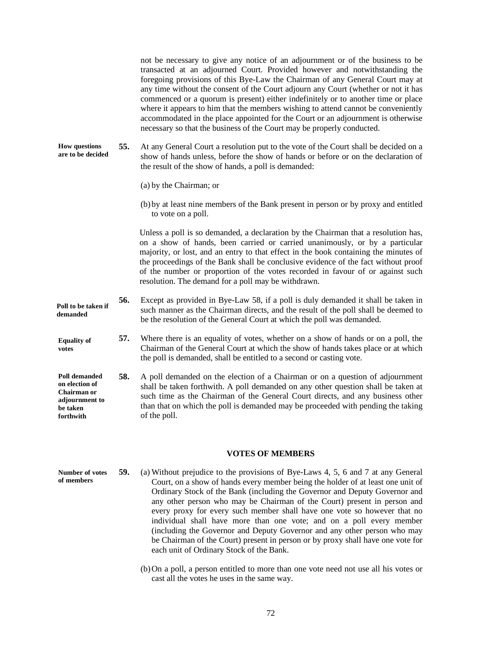not be necessary to give any notice of an adjournment or of the business to be transacted at an adjourned Court. Provided however and notwithstanding the foregoing provisions of this Bye-Law the Chairman of any General Court may at any time without the consent of the Court adjourn any Court (whether or not it has commenced or a quorum is present) either indefinitely or to another time or place where it appears to him that the members wishing to attend cannot be conveniently accommodated in the place appointed for the Court or an adjournment is otherwise necessary so that the business of the Court may be properly conducted.

**55.** At any General Court a resolution put to the vote of the Court shall be decided on a show of hands unless, before the show of hands or before or on the declaration of the result of the show of hands, a poll is demanded: **How questions are to be decided**

(a) by the Chairman; or

(b)by at least nine members of the Bank present in person or by proxy and entitled to vote on a poll.

Unless a poll is so demanded, a declaration by the Chairman that a resolution has, on a show of hands, been carried or carried unanimously, or by a particular majority, or lost, and an entry to that effect in the book containing the minutes of the proceedings of the Bank shall be conclusive evidence of the fact without proof of the number or proportion of the votes recorded in favour of or against such resolution. The demand for a poll may be withdrawn.

- **56.** Except as provided in Bye-Law 58, if a poll is duly demanded it shall be taken in such manner as the Chairman directs, and the result of the poll shall be deemed to be the resolution of the General Court at which the poll was demanded. **Poll to be taken if demanded**
- **57.** Where there is an equality of votes, whether on a show of hands or on a poll, the Chairman of the General Court at which the show of hands takes place or at which the poll is demanded, shall be entitled to a second or casting vote. **Equality of votes**
- **58.** A poll demanded on the election of a Chairman or on a question of adjournment shall be taken forthwith. A poll demanded on any other question shall be taken at such time as the Chairman of the General Court directs, and any business other than that on which the poll is demanded may be proceeded with pending the taking of the poll. **Poll demanded on election of Chairman or adjournment to be taken forthwith**

#### **VOTES OF MEMBERS**

**59.** (a) Without prejudice to the provisions of Bye-Laws 4, 5, 6 and 7 at any General Court, on a show of hands every member being the holder of at least one unit of Ordinary Stock of the Bank (including the Governor and Deputy Governor and any other person who may be Chairman of the Court) present in person and every proxy for every such member shall have one vote so however that no individual shall have more than one vote; and on a poll every member (including the Governor and Deputy Governor and any other person who may be Chairman of the Court) present in person or by proxy shall have one vote for each unit of Ordinary Stock of the Bank. **Number of votes of members** 

> (b)On a poll, a person entitled to more than one vote need not use all his votes or cast all the votes he uses in the same way.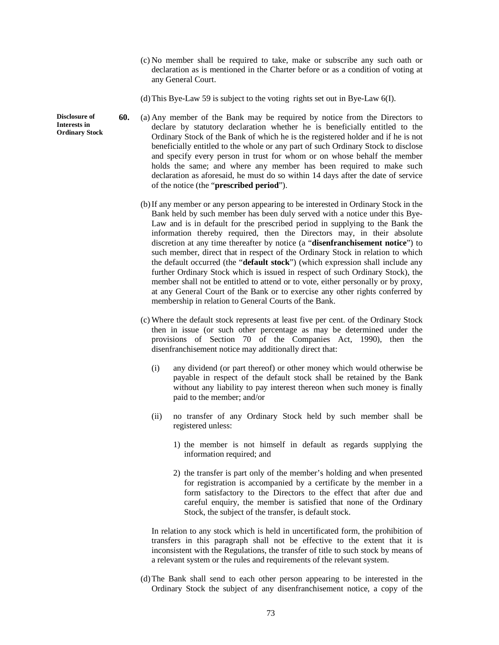- (c) No member shall be required to take, make or subscribe any such oath or declaration as is mentioned in the Charter before or as a condition of voting at any General Court.
- (d)This Bye-Law 59 is subject to the voting rights set out in Bye-Law 6(I).
- **60.** (a) Any member of the Bank may be required by notice from the Directors to declare by statutory declaration whether he is beneficially entitled to the Ordinary Stock of the Bank of which he is the registered holder and if he is not beneficially entitled to the whole or any part of such Ordinary Stock to disclose and specify every person in trust for whom or on whose behalf the member holds the same; and where any member has been required to make such declaration as aforesaid, he must do so within 14 days after the date of service of the notice (the "**prescribed period**").
	- (b)If any member or any person appearing to be interested in Ordinary Stock in the Bank held by such member has been duly served with a notice under this Bye-Law and is in default for the prescribed period in supplying to the Bank the information thereby required, then the Directors may, in their absolute discretion at any time thereafter by notice (a "**disenfranchisement notice**") to such member, direct that in respect of the Ordinary Stock in relation to which the default occurred (the "**default stock**") (which expression shall include any further Ordinary Stock which is issued in respect of such Ordinary Stock), the member shall not be entitled to attend or to vote, either personally or by proxy, at any General Court of the Bank or to exercise any other rights conferred by membership in relation to General Courts of the Bank.
	- (c) Where the default stock represents at least five per cent. of the Ordinary Stock then in issue (or such other percentage as may be determined under the provisions of Section 70 of the Companies Act, 1990), then the disenfranchisement notice may additionally direct that:
		- (i) any dividend (or part thereof) or other money which would otherwise be payable in respect of the default stock shall be retained by the Bank without any liability to pay interest thereon when such money is finally paid to the member; and/or
		- (ii) no transfer of any Ordinary Stock held by such member shall be registered unless:
			- 1) the member is not himself in default as regards supplying the information required; and
			- 2) the transfer is part only of the member's holding and when presented for registration is accompanied by a certificate by the member in a form satisfactory to the Directors to the effect that after due and careful enquiry, the member is satisfied that none of the Ordinary Stock, the subject of the transfer, is default stock.

In relation to any stock which is held in uncertificated form, the prohibition of transfers in this paragraph shall not be effective to the extent that it is inconsistent with the Regulations, the transfer of title to such stock by means of a relevant system or the rules and requirements of the relevant system.

(d)The Bank shall send to each other person appearing to be interested in the Ordinary Stock the subject of any disenfranchisement notice, a copy of the

**Disclosure of Interests in Ordinary Stock**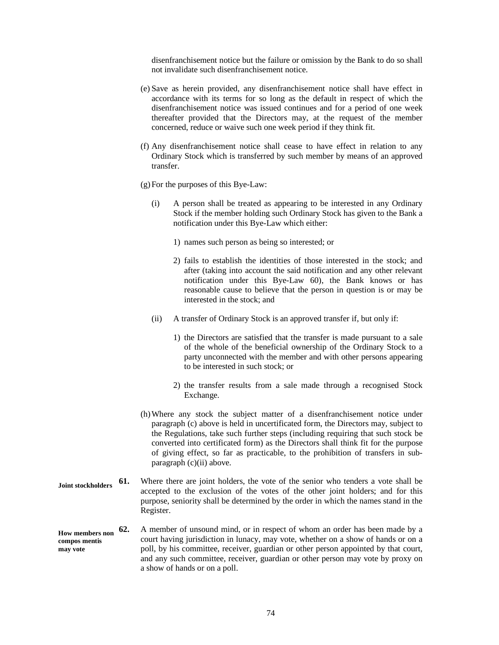disenfranchisement notice but the failure or omission by the Bank to do so shall not invalidate such disenfranchisement notice.

- (e) Save as herein provided, any disenfranchisement notice shall have effect in accordance with its terms for so long as the default in respect of which the disenfranchisement notice was issued continues and for a period of one week thereafter provided that the Directors may, at the request of the member concerned, reduce or waive such one week period if they think fit.
- (f) Any disenfranchisement notice shall cease to have effect in relation to any Ordinary Stock which is transferred by such member by means of an approved transfer.
- (g)For the purposes of this Bye-Law:
	- (i) A person shall be treated as appearing to be interested in any Ordinary Stock if the member holding such Ordinary Stock has given to the Bank a notification under this Bye-Law which either:
		- 1) names such person as being so interested; or
		- 2) fails to establish the identities of those interested in the stock; and after (taking into account the said notification and any other relevant notification under this Bye-Law 60), the Bank knows or has reasonable cause to believe that the person in question is or may be interested in the stock; and
	- (ii) A transfer of Ordinary Stock is an approved transfer if, but only if:
		- 1) the Directors are satisfied that the transfer is made pursuant to a sale of the whole of the beneficial ownership of the Ordinary Stock to a party unconnected with the member and with other persons appearing to be interested in such stock; or
		- 2) the transfer results from a sale made through a recognised Stock Exchange.
- (h)Where any stock the subject matter of a disenfranchisement notice under paragraph (c) above is held in uncertificated form, the Directors may, subject to the Regulations, take such further steps (including requiring that such stock be converted into certificated form) as the Directors shall think fit for the purpose of giving effect, so far as practicable, to the prohibition of transfers in subparagraph (c)(ii) above.
- **61.** Where there are joint holders, the vote of the senior who tenders a vote shall be accepted to the exclusion of the votes of the other joint holders; and for this purpose, seniority shall be determined by the order in which the names stand in the Register. **Joint stockholders**

#### **62.** A member of unsound mind, or in respect of whom an order has been made by a court having jurisdiction in lunacy, may vote, whether on a show of hands or on a poll, by his committee, receiver, guardian or other person appointed by that court, and any such committee, receiver, guardian or other person may vote by proxy on a show of hands or on a poll. **How members non compos mentis may vote**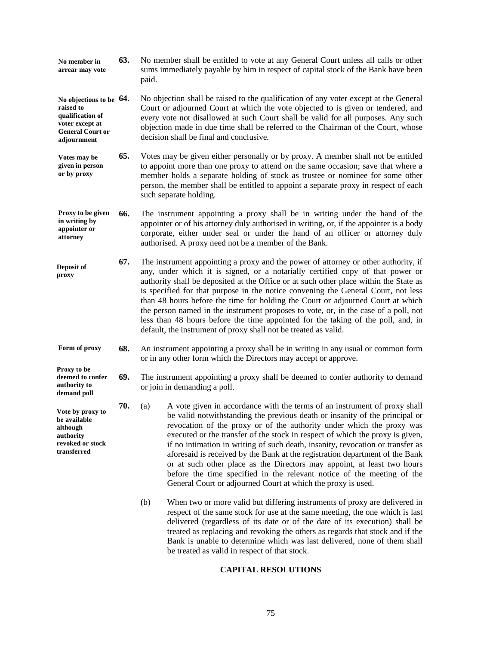- **63.** No member shall be entitled to vote at any General Court unless all calls or other sums immediately payable by him in respect of capital stock of the Bank have been paid. **No member in arrear may vote**
- **64.** No objection shall be raised to the qualification of any voter except at the General Court or adjourned Court at which the vote objected to is given or tendered, and every vote not disallowed at such Court shall be valid for all purposes. Any such objection made in due time shall be referred to the Chairman of the Court, whose decision shall be final and conclusive. **No objections to be raised to qualification of voter except at General Court or adjournment**
- **65.** Votes may be given either personally or by proxy. A member shall not be entitled to appoint more than one proxy to attend on the same occasion; save that where a member holds a separate holding of stock as trustee or nominee for some other person, the member shall be entitled to appoint a separate proxy in respect of each such separate holding. **Votes may be given in person or by proxy**
- **66.** The instrument appointing a proxy shall be in writing under the hand of the appointer or of his attorney duly authorised in writing, or, if the appointer is a body corporate, either under seal or under the hand of an officer or attorney duly authorised. A proxy need not be a member of the Bank. **Proxy to be given in writing by appointer or attorney**
- **67.** The instrument appointing a proxy and the power of attorney or other authority, if any, under which it is signed, or a notarially certified copy of that power or authority shall be deposited at the Office or at such other place within the State as is specified for that purpose in the notice convening the General Court, not less than 48 hours before the time for holding the Court or adjourned Court at which the person named in the instrument proposes to vote, or, in the case of a poll, not less than 48 hours before the time appointed for the taking of the poll, and, in default, the instrument of proxy shall not be treated as valid. **Deposit of proxy**
- **68.** An instrument appointing a proxy shall be in writing in any usual or common form or in any other form which the Directors may accept or approve. **Form of proxy**

**Proxy to be** 

**authority to demand poll** 

**Vote by proxy to be available although authority revoked or stock transferred** 

- **69.** The instrument appointing a proxy shall be deemed to confer authority to demand or join in demanding a poll. **deemed to confer** 
	- **70.** (a) A vote given in accordance with the terms of an instrument of proxy shall be valid notwithstanding the previous death or insanity of the principal or revocation of the proxy or of the authority under which the proxy was executed or the transfer of the stock in respect of which the proxy is given, if no intimation in writing of such death, insanity, revocation or transfer as aforesaid is received by the Bank at the registration department of the Bank or at such other place as the Directors may appoint, at least two hours before the time specified in the relevant notice of the meeting of the General Court or adjourned Court at which the proxy is used.
		- (b) When two or more valid but differing instruments of proxy are delivered in respect of the same stock for use at the same meeting, the one which is last delivered (regardless of its date or of the date of its execution) shall be treated as replacing and revoking the others as regards that stock and if the Bank is unable to determine which was last delivered, none of them shall be treated as valid in respect of that stock.

# **CAPITAL RESOLUTIONS**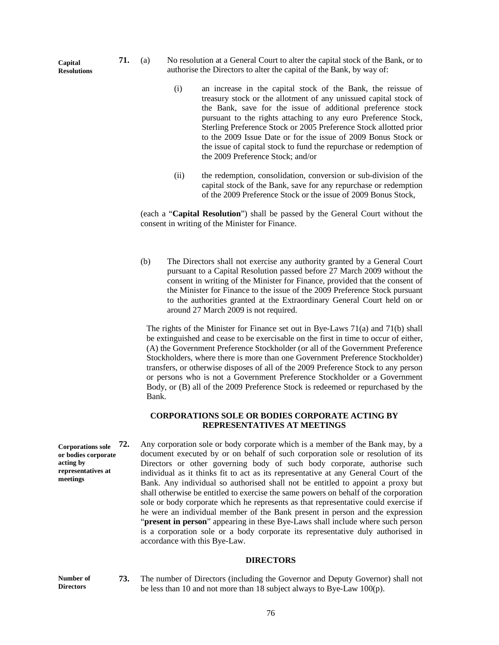- **71.** (a) No resolution at a General Court to alter the capital stock of the Bank, or to authorise the Directors to alter the capital of the Bank, by way of:
	- (i) an increase in the capital stock of the Bank, the reissue of treasury stock or the allotment of any unissued capital stock of the Bank, save for the issue of additional preference stock pursuant to the rights attaching to any euro Preference Stock, Sterling Preference Stock or 2005 Preference Stock allotted prior to the 2009 Issue Date or for the issue of 2009 Bonus Stock or the issue of capital stock to fund the repurchase or redemption of the 2009 Preference Stock; and/or
	- (ii) the redemption, consolidation, conversion or sub-division of the capital stock of the Bank, save for any repurchase or redemption of the 2009 Preference Stock or the issue of 2009 Bonus Stock,

(each a "**Capital Resolution**") shall be passed by the General Court without the consent in writing of the Minister for Finance.

(b) The Directors shall not exercise any authority granted by a General Court pursuant to a Capital Resolution passed before 27 March 2009 without the consent in writing of the Minister for Finance, provided that the consent of the Minister for Finance to the issue of the 2009 Preference Stock pursuant to the authorities granted at the Extraordinary General Court held on or around 27 March 2009 is not required.

The rights of the Minister for Finance set out in Bye-Laws 71(a) and 71(b) shall be extinguished and cease to be exercisable on the first in time to occur of either, (A) the Government Preference Stockholder (or all of the Government Preference Stockholders, where there is more than one Government Preference Stockholder) transfers, or otherwise disposes of all of the 2009 Preference Stock to any person or persons who is not a Government Preference Stockholder or a Government Body, or (B) all of the 2009 Preference Stock is redeemed or repurchased by the Bank.

# **CORPORATIONS SOLE OR BODIES CORPORATE ACTING BY REPRESENTATIVES AT MEETINGS**

**72.** Any corporation sole or body corporate which is a member of the Bank may, by a document executed by or on behalf of such corporation sole or resolution of its Directors or other governing body of such body corporate, authorise such individual as it thinks fit to act as its representative at any General Court of the Bank. Any individual so authorised shall not be entitled to appoint a proxy but shall otherwise be entitled to exercise the same powers on behalf of the corporation sole or body corporate which he represents as that representative could exercise if he were an individual member of the Bank present in person and the expression "**present in person**" appearing in these Bye-Laws shall include where such person is a corporation sole or a body corporate its representative duly authorised in accordance with this Bye-Law. **Corporations sole or bodies corporate representatives at** 

## **DIRECTORS**

**Number of Directors** 

**acting by** 

**meetings** 

**73.** The number of Directors (including the Governor and Deputy Governor) shall not be less than 10 and not more than 18 subject always to Bye-Law 100(p).

76

**Capital Resolutions**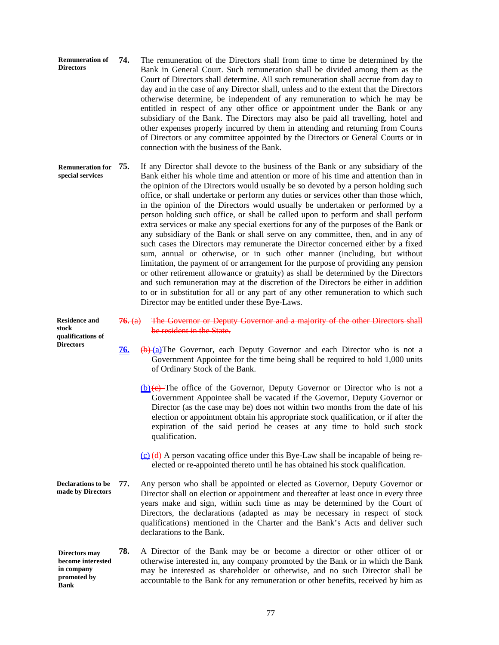| <b>Remuneration of</b><br><b>Directors</b> | 74. | The remuneration of the Directors shall from time to time be determined by the         |
|--------------------------------------------|-----|----------------------------------------------------------------------------------------|
|                                            |     | Bank in General Court. Such remuneration shall be divided among them as the            |
|                                            |     | Court of Directors shall determine. All such remuneration shall accrue from day to     |
|                                            |     | day and in the case of any Director shall, unless and to the extent that the Directors |
|                                            |     | otherwise determine, be independent of any remuneration to which he may be             |
|                                            |     | entitled in respect of any other office or appointment under the Bank or any           |
|                                            |     | subsidiary of the Bank. The Directors may also be paid all travelling, hotel and       |
|                                            |     | other expenses properly incurred by them in attending and returning from Courts        |
|                                            |     | of Directors or any committee appointed by the Directors or General Courts or in       |
|                                            |     | connection with the business of the Bank.                                              |

**75.** If any Director shall devote to the business of the Bank or any subsidiary of the Bank either his whole time and attention or more of his time and attention than in the opinion of the Directors would usually be so devoted by a person holding such office, or shall undertake or perform any duties or services other than those which, in the opinion of the Directors would usually be undertaken or performed by a person holding such office, or shall be called upon to perform and shall perform extra services or make any special exertions for any of the purposes of the Bank or any subsidiary of the Bank or shall serve on any committee, then, and in any of such cases the Directors may remunerate the Director concerned either by a fixed sum, annual or otherwise, or in such other manner (including, but without limitation, the payment of or arrangement for the purpose of providing any pension or other retirement allowance or gratuity) as shall be determined by the Directors and such remuneration may at the discretion of the Directors be either in addition to or in substitution for all or any part of any other remuneration to which such Director may be entitled under these Bye-Laws. **Remuneration for special services** 

**Residence and stock qualifications of Directors** 

- **76.** (a) The Governor or Deputy Governor and a majority of the other Directors shall be resident in the State.
- **76.** (b) (a) The Governor, each Deputy Governor and each Director who is not a Government Appointee for the time being shall be required to hold 1,000 units of Ordinary Stock of the Bank.
	- $(b)(e)$ -The office of the Governor, Deputy Governor or Director who is not a Government Appointee shall be vacated if the Governor, Deputy Governor or Director (as the case may be) does not within two months from the date of his election or appointment obtain his appropriate stock qualification, or if after the expiration of the said period he ceases at any time to hold such stock qualification.
	- $(c)$  (d) A person vacating office under this Bye-Law shall be incapable of being reelected or re-appointed thereto until he has obtained his stock qualification.
- **77.** Any person who shall be appointed or elected as Governor, Deputy Governor or Director shall on election or appointment and thereafter at least once in every three years make and sign, within such time as may be determined by the Court of Directors, the declarations (adapted as may be necessary in respect of stock qualifications) mentioned in the Charter and the Bank's Acts and deliver such declarations to the Bank. **Declarations to be made by Directors**
- **78.** A Director of the Bank may be or become a director or other officer of or otherwise interested in, any company promoted by the Bank or in which the Bank may be interested as shareholder or otherwise, and no such Director shall be accountable to the Bank for any remuneration or other benefits, received by him as **Directors may become interested in company promoted by Bank**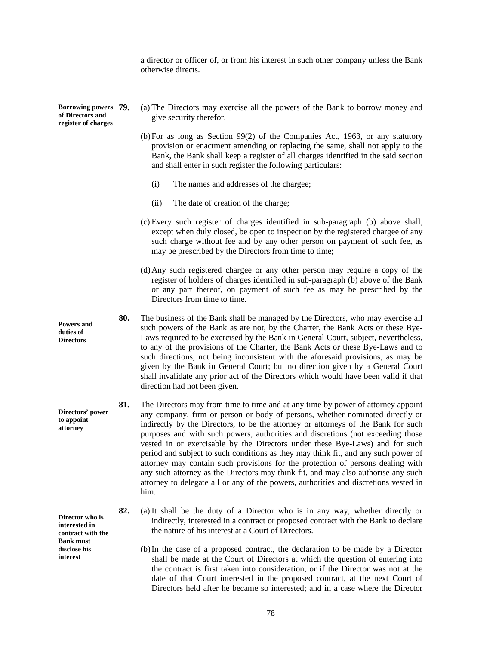a director or officer of, or from his interest in such other company unless the Bank otherwise directs.

**Borrowing powers of Directors and register of charges**

- **79.** (a) The Directors may exercise all the powers of the Bank to borrow money and give security therefor.
- (b)For as long as Section 99(2) of the Companies Act, 1963, or any statutory provision or enactment amending or replacing the same, shall not apply to the Bank, the Bank shall keep a register of all charges identified in the said section and shall enter in such register the following particulars:
	- (i) The names and addresses of the chargee;
	- (ii) The date of creation of the charge;
- (c) Every such register of charges identified in sub-paragraph (b) above shall, except when duly closed, be open to inspection by the registered chargee of any such charge without fee and by any other person on payment of such fee, as may be prescribed by the Directors from time to time;
- (d)Any such registered chargee or any other person may require a copy of the register of holders of charges identified in sub-paragraph (b) above of the Bank or any part thereof, on payment of such fee as may be prescribed by the Directors from time to time.
- **80.** The business of the Bank shall be managed by the Directors, who may exercise all such powers of the Bank as are not, by the Charter, the Bank Acts or these Bye-Laws required to be exercised by the Bank in General Court, subject, nevertheless, to any of the provisions of the Charter, the Bank Acts or these Bye-Laws and to such directions, not being inconsistent with the aforesaid provisions, as may be given by the Bank in General Court; but no direction given by a General Court shall invalidate any prior act of the Directors which would have been valid if that direction had not been given.
- **81.** The Directors may from time to time and at any time by power of attorney appoint any company, firm or person or body of persons, whether nominated directly or indirectly by the Directors, to be the attorney or attorneys of the Bank for such purposes and with such powers, authorities and discretions (not exceeding those vested in or exercisable by the Directors under these Bye-Laws) and for such period and subject to such conditions as they may think fit, and any such power of attorney may contain such provisions for the protection of persons dealing with any such attorney as the Directors may think fit, and may also authorise any such attorney to delegate all or any of the powers, authorities and discretions vested in him.
- **82.** (a) It shall be the duty of a Director who is in any way, whether directly or indirectly, interested in a contract or proposed contract with the Bank to declare the nature of his interest at a Court of Directors.
	- (b)In the case of a proposed contract, the declaration to be made by a Director shall be made at the Court of Directors at which the question of entering into the contract is first taken into consideration, or if the Director was not at the date of that Court interested in the proposed contract, at the next Court of Directors held after he became so interested; and in a case where the Director

**Powers and duties of Directors** 

**Directors' power to appoint attorney** 

**Director who is interested in contract with the Bank must disclose his interest**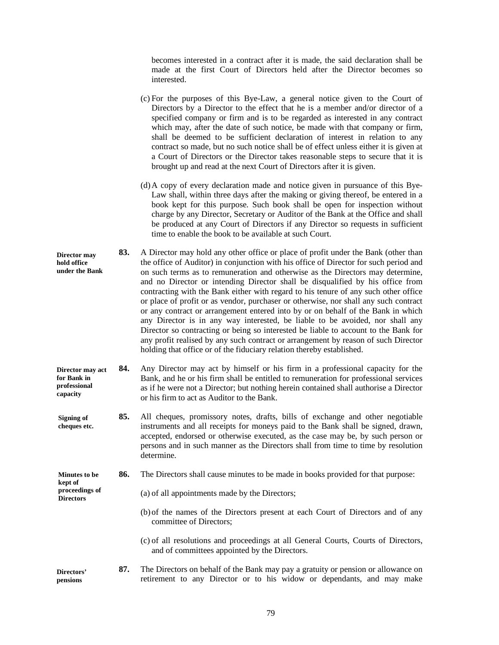becomes interested in a contract after it is made, the said declaration shall be made at the first Court of Directors held after the Director becomes so interested.

(c) For the purposes of this Bye-Law, a general notice given to the Court of Directors by a Director to the effect that he is a member and/or director of a specified company or firm and is to be regarded as interested in any contract which may, after the date of such notice, be made with that company or firm, shall be deemed to be sufficient declaration of interest in relation to any contract so made, but no such notice shall be of effect unless either it is given at a Court of Directors or the Director takes reasonable steps to secure that it is brought up and read at the next Court of Directors after it is given. (d)A copy of every declaration made and notice given in pursuance of this Bye-Law shall, within three days after the making or giving thereof, be entered in a book kept for this purpose. Such book shall be open for inspection without charge by any Director, Secretary or Auditor of the Bank at the Office and shall be produced at any Court of Directors if any Director so requests in sufficient time to enable the book to be available at such Court. **83.** A Director may hold any other office or place of profit under the Bank (other than the office of Auditor) in conjunction with his office of Director for such period and on such terms as to remuneration and otherwise as the Directors may determine, and no Director or intending Director shall be disqualified by his office from contracting with the Bank either with regard to his tenure of any such other office or place of profit or as vendor, purchaser or otherwise, nor shall any such contract or any contract or arrangement entered into by or on behalf of the Bank in which any Director is in any way interested, be liable to be avoided, nor shall any Director so contracting or being so interested be liable to account to the Bank for any profit realised by any such contract or arrangement by reason of such Director holding that office or of the fiduciary relation thereby established. **84.** Any Director may act by himself or his firm in a professional capacity for the Bank, and he or his firm shall be entitled to remuneration for professional services as if he were not a Director; but nothing herein contained shall authorise a Director or his firm to act as Auditor to the Bank. **85.** All cheques, promissory notes, drafts, bills of exchange and other negotiable instruments and all receipts for moneys paid to the Bank shall be signed, drawn, accepted, endorsed or otherwise executed, as the case may be, by such person or persons and in such manner as the Directors shall from time to time by resolution **Director may hold office under the Bank Director may act for Bank in professional capacity Signing of cheques etc.** 

**86.** The Directors shall cause minutes to be made in books provided for that purpose: **Minutes to be kept of** 

(a) of all appointments made by the Directors;

determine.

**proceedings of Directors** 

- (b)of the names of the Directors present at each Court of Directors and of any committee of Directors;
- (c) of all resolutions and proceedings at all General Courts, Courts of Directors, and of committees appointed by the Directors.

**87.** The Directors on behalf of the Bank may pay a gratuity or pension or allowance on retirement to any Director or to his widow or dependants, and may make **Directors' pensions** 

79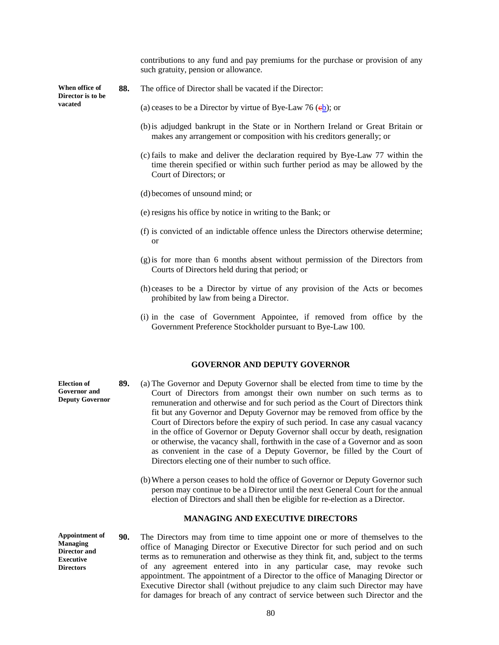contributions to any fund and pay premiums for the purchase or provision of any such gratuity, pension or allowance.

**When office of Director is to be vacated** 

- **88.** The office of Director shall be vacated if the Director:
	- (a) ceases to be a Director by virtue of Bye-Law 76  $(eb)$ ; or
	- (b)is adjudged bankrupt in the State or in Northern Ireland or Great Britain or makes any arrangement or composition with his creditors generally; or
	- (c) fails to make and deliver the declaration required by Bye-Law 77 within the time therein specified or within such further period as may be allowed by the Court of Directors; or
	- (d)becomes of unsound mind; or
	- (e) resigns his office by notice in writing to the Bank; or
	- (f) is convicted of an indictable offence unless the Directors otherwise determine; or
	- (g)is for more than 6 months absent without permission of the Directors from Courts of Directors held during that period; or
	- (h) ceases to be a Director by virtue of any provision of the Acts or becomes prohibited by law from being a Director.
	- (i) in the case of Government Appointee, if removed from office by the Government Preference Stockholder pursuant to Bye-Law 100.

#### **GOVERNOR AND DEPUTY GOVERNOR**

- **89.** (a) The Governor and Deputy Governor shall be elected from time to time by the Court of Directors from amongst their own number on such terms as to remuneration and otherwise and for such period as the Court of Directors think fit but any Governor and Deputy Governor may be removed from office by the Court of Directors before the expiry of such period. In case any casual vacancy in the office of Governor or Deputy Governor shall occur by death, resignation or otherwise, the vacancy shall, forthwith in the case of a Governor and as soon as convenient in the case of a Deputy Governor, be filled by the Court of Directors electing one of their number to such office.
	- (b)Where a person ceases to hold the office of Governor or Deputy Governor such person may continue to be a Director until the next General Court for the annual election of Directors and shall then be eligible for re-election as a Director.

#### **MANAGING AND EXECUTIVE DIRECTORS**

**90.** The Directors may from time to time appoint one or more of themselves to the office of Managing Director or Executive Director for such period and on such terms as to remuneration and otherwise as they think fit, and, subject to the terms of any agreement entered into in any particular case, may revoke such appointment. The appointment of a Director to the office of Managing Director or Executive Director shall (without prejudice to any claim such Director may have for damages for breach of any contract of service between such Director and the **Appointment of Managing Director and Executive Directors** 

**Election of Governor and Deputy Governor**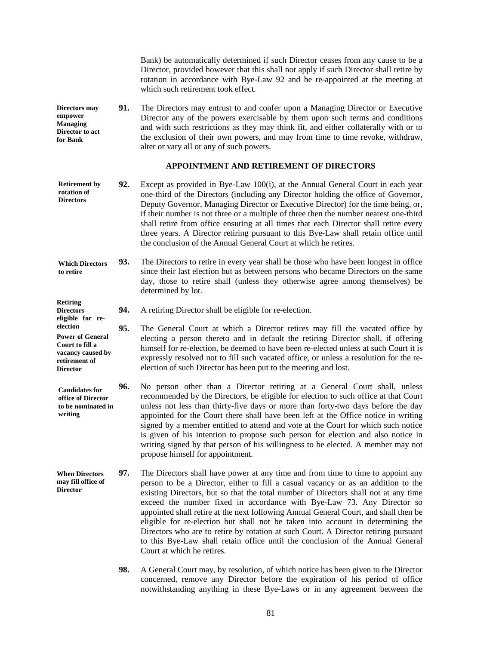Bank) be automatically determined if such Director ceases from any cause to be a Director, provided however that this shall not apply if such Director shall retire by rotation in accordance with Bye-Law 92 and be re-appointed at the meeting at which such retirement took effect.

**91.** The Directors may entrust to and confer upon a Managing Director or Executive Director any of the powers exercisable by them upon such terms and conditions and with such restrictions as they may think fit, and either collaterally with or to the exclusion of their own powers, and may from time to time revoke, withdraw, alter or vary all or any of such powers. **Directors may empower Managing Director to act for Bank** 

## **APPOINTMENT AND RETIREMENT OF DIRECTORS**

- **92.** Except as provided in Bye-Law 100(i), at the Annual General Court in each year one-third of the Directors (including any Director holding the office of Governor, Deputy Governor, Managing Director or Executive Director) for the time being, or, if their number is not three or a multiple of three then the number nearest one-third shall retire from office ensuring at all times that each Director shall retire every three years. A Director retiring pursuant to this Bye-Law shall retain office until the conclusion of the Annual General Court at which he retires. **Retirement by rotation of Directors**
- **93.** The Directors to retire in every year shall be those who have been longest in office since their last election but as between persons who became Directors on the same day, those to retire shall (unless they otherwise agree among themselves) be determined by lot. **Which Directors to retire**

**94.** A retiring Director shall be eligible for re-election. **eligible for re-**

- **95.** The General Court at which a Director retires may fill the vacated office by electing a person thereto and in default the retiring Director shall, if offering himself for re-election, be deemed to have been re-elected unless at such Court it is expressly resolved not to fill such vacated office, or unless a resolution for the reelection of such Director has been put to the meeting and lost. **Power of General Court to fill a vacancy caused by retirement of**
- **96.** No person other than a Director retiring at a General Court shall, unless recommended by the Directors, be eligible for election to such office at that Court unless not less than thirty-five days or more than forty-two days before the day appointed for the Court there shall have been left at the Office notice in writing signed by a member entitled to attend and vote at the Court for which such notice is given of his intention to propose such person for election and also notice in writing signed by that person of his willingness to be elected. A member may not propose himself for appointment. **Candidates for office of Director to be nominated in writing**

**When Directors may fill office of Director** 

**Retiring Directors** 

**election** 

**Director** 

- **97.** The Directors shall have power at any time and from time to time to appoint any person to be a Director, either to fill a casual vacancy or as an addition to the existing Directors, but so that the total number of Directors shall not at any time exceed the number fixed in accordance with Bye-Law 73. Any Director so appointed shall retire at the next following Annual General Court, and shall then be eligible for re-election but shall not be taken into account in determining the Directors who are to retire by rotation at such Court. A Director retiring pursuant to this Bye-Law shall retain office until the conclusion of the Annual General Court at which he retires.
	- **98.** A General Court may, by resolution, of which notice has been given to the Director concerned, remove any Director before the expiration of his period of office notwithstanding anything in these Bye-Laws or in any agreement between the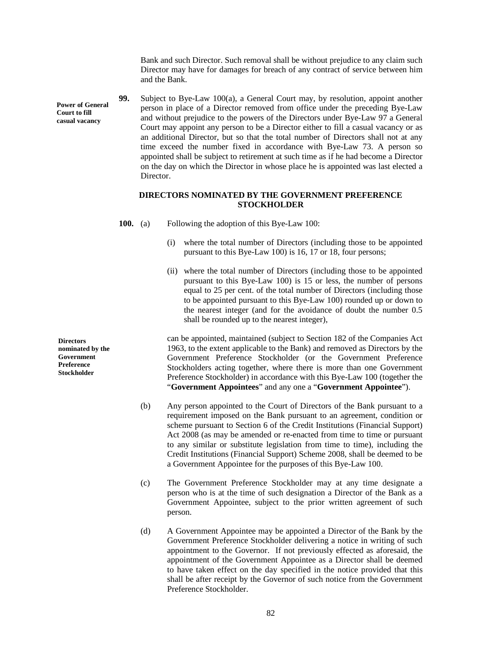Bank and such Director. Such removal shall be without prejudice to any claim such Director may have for damages for breach of any contract of service between him and the Bank.

**99.** Subject to Bye-Law 100(a), a General Court may, by resolution, appoint another person in place of a Director removed from office under the preceding Bye-Law and without prejudice to the powers of the Directors under Bye-Law 97 a General Court may appoint any person to be a Director either to fill a casual vacancy or as an additional Director, but so that the total number of Directors shall not at any time exceed the number fixed in accordance with Bye-Law 73. A person so appointed shall be subject to retirement at such time as if he had become a Director on the day on which the Director in whose place he is appointed was last elected a Director.

# **DIRECTORS NOMINATED BY THE GOVERNMENT PREFERENCE STOCKHOLDER**

**100.** (a) Following the adoption of this Bye-Law 100:

- (i) where the total number of Directors (including those to be appointed pursuant to this Bye-Law 100) is 16, 17 or 18, four persons;
- (ii) where the total number of Directors (including those to be appointed pursuant to this Bye-Law 100) is 15 or less, the number of persons equal to 25 per cent. of the total number of Directors (including those to be appointed pursuant to this Bye-Law 100) rounded up or down to the nearest integer (and for the avoidance of doubt the number 0.5 shall be rounded up to the nearest integer),

can be appointed, maintained (subject to Section 182 of the Companies Act 1963, to the extent applicable to the Bank) and removed as Directors by the Government Preference Stockholder (or the Government Preference Stockholders acting together, where there is more than one Government Preference Stockholder) in accordance with this Bye-Law 100 (together the "**Government Appointees**" and any one a "**Government Appointee**").

- (b) Any person appointed to the Court of Directors of the Bank pursuant to a requirement imposed on the Bank pursuant to an agreement, condition or scheme pursuant to Section 6 of the Credit Institutions (Financial Support) Act 2008 (as may be amended or re-enacted from time to time or pursuant to any similar or substitute legislation from time to time), including the Credit Institutions (Financial Support) Scheme 2008, shall be deemed to be a Government Appointee for the purposes of this Bye-Law 100.
- (c) The Government Preference Stockholder may at any time designate a person who is at the time of such designation a Director of the Bank as a Government Appointee, subject to the prior written agreement of such person.
- (d) A Government Appointee may be appointed a Director of the Bank by the Government Preference Stockholder delivering a notice in writing of such appointment to the Governor. If not previously effected as aforesaid, the appointment of the Government Appointee as a Director shall be deemed to have taken effect on the day specified in the notice provided that this shall be after receipt by the Governor of such notice from the Government Preference Stockholder.

**Directors nominated by the Government Preference Stockholder** 

**Power of General Court to fill casual vacancy**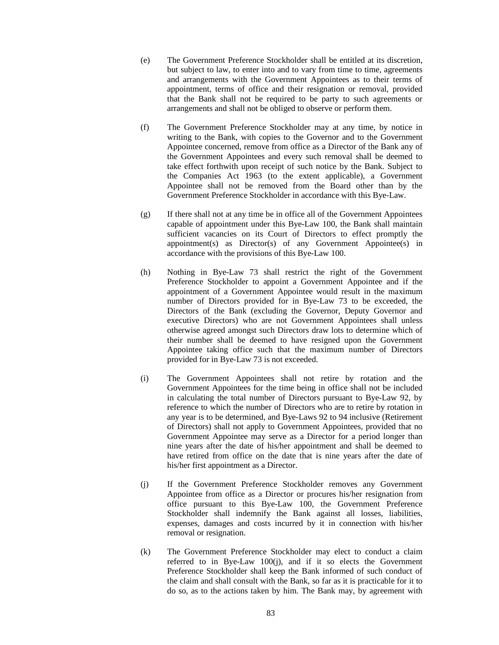- (e) The Government Preference Stockholder shall be entitled at its discretion, but subject to law, to enter into and to vary from time to time, agreements and arrangements with the Government Appointees as to their terms of appointment, terms of office and their resignation or removal, provided that the Bank shall not be required to be party to such agreements or arrangements and shall not be obliged to observe or perform them.
- (f) The Government Preference Stockholder may at any time, by notice in writing to the Bank, with copies to the Governor and to the Government Appointee concerned, remove from office as a Director of the Bank any of the Government Appointees and every such removal shall be deemed to take effect forthwith upon receipt of such notice by the Bank. Subject to the Companies Act 1963 (to the extent applicable), a Government Appointee shall not be removed from the Board other than by the Government Preference Stockholder in accordance with this Bye-Law.
- (g) If there shall not at any time be in office all of the Government Appointees capable of appointment under this Bye-Law 100, the Bank shall maintain sufficient vacancies on its Court of Directors to effect promptly the appointment(s) as  $Directory(S)$  of any Government Appointee(s) in accordance with the provisions of this Bye-Law 100.
- (h) Nothing in Bye-Law 73 shall restrict the right of the Government Preference Stockholder to appoint a Government Appointee and if the appointment of a Government Appointee would result in the maximum number of Directors provided for in Bye-Law 73 to be exceeded, the Directors of the Bank (excluding the Governor, Deputy Governor and executive Directors) who are not Government Appointees shall unless otherwise agreed amongst such Directors draw lots to determine which of their number shall be deemed to have resigned upon the Government Appointee taking office such that the maximum number of Directors provided for in Bye-Law 73 is not exceeded.
- (i) The Government Appointees shall not retire by rotation and the Government Appointees for the time being in office shall not be included in calculating the total number of Directors pursuant to Bye-Law 92, by reference to which the number of Directors who are to retire by rotation in any year is to be determined, and Bye-Laws 92 to 94 inclusive (Retirement of Directors) shall not apply to Government Appointees, provided that no Government Appointee may serve as a Director for a period longer than nine years after the date of his/her appointment and shall be deemed to have retired from office on the date that is nine years after the date of his/her first appointment as a Director.
- (j) If the Government Preference Stockholder removes any Government Appointee from office as a Director or procures his/her resignation from office pursuant to this Bye-Law 100, the Government Preference Stockholder shall indemnify the Bank against all losses, liabilities, expenses, damages and costs incurred by it in connection with his/her removal or resignation.
- (k) The Government Preference Stockholder may elect to conduct a claim referred to in Bye-Law 100(j), and if it so elects the Government Preference Stockholder shall keep the Bank informed of such conduct of the claim and shall consult with the Bank, so far as it is practicable for it to do so, as to the actions taken by him. The Bank may, by agreement with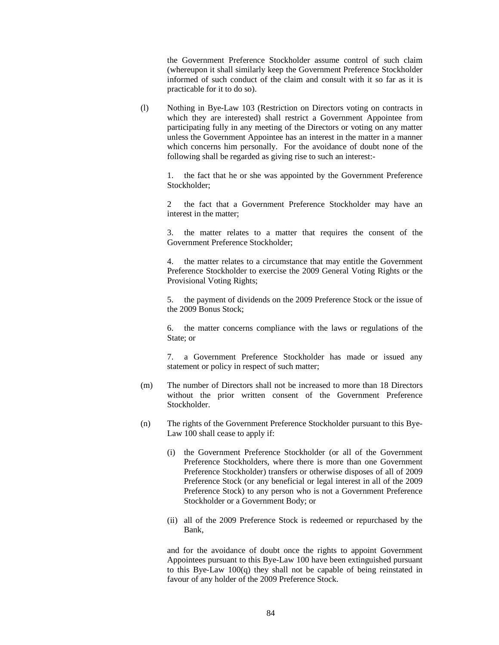the Government Preference Stockholder assume control of such claim (whereupon it shall similarly keep the Government Preference Stockholder informed of such conduct of the claim and consult with it so far as it is practicable for it to do so).

(l) Nothing in Bye-Law 103 (Restriction on Directors voting on contracts in which they are interested) shall restrict a Government Appointee from participating fully in any meeting of the Directors or voting on any matter unless the Government Appointee has an interest in the matter in a manner which concerns him personally. For the avoidance of doubt none of the following shall be regarded as giving rise to such an interest:-

1. the fact that he or she was appointed by the Government Preference Stockholder;

2 the fact that a Government Preference Stockholder may have an interest in the matter;

3. the matter relates to a matter that requires the consent of the Government Preference Stockholder;

4. the matter relates to a circumstance that may entitle the Government Preference Stockholder to exercise the 2009 General Voting Rights or the Provisional Voting Rights;

5. the payment of dividends on the 2009 Preference Stock or the issue of the 2009 Bonus Stock;

6. the matter concerns compliance with the laws or regulations of the State; or

7. a Government Preference Stockholder has made or issued any statement or policy in respect of such matter;

- (m) The number of Directors shall not be increased to more than 18 Directors without the prior written consent of the Government Preference Stockholder.
- (n) The rights of the Government Preference Stockholder pursuant to this Bye-Law 100 shall cease to apply if:
	- (i) the Government Preference Stockholder (or all of the Government Preference Stockholders, where there is more than one Government Preference Stockholder) transfers or otherwise disposes of all of 2009 Preference Stock (or any beneficial or legal interest in all of the 2009 Preference Stock) to any person who is not a Government Preference Stockholder or a Government Body; or
	- (ii) all of the 2009 Preference Stock is redeemed or repurchased by the Bank,

and for the avoidance of doubt once the rights to appoint Government Appointees pursuant to this Bye-Law 100 have been extinguished pursuant to this Bye-Law 100(q) they shall not be capable of being reinstated in favour of any holder of the 2009 Preference Stock.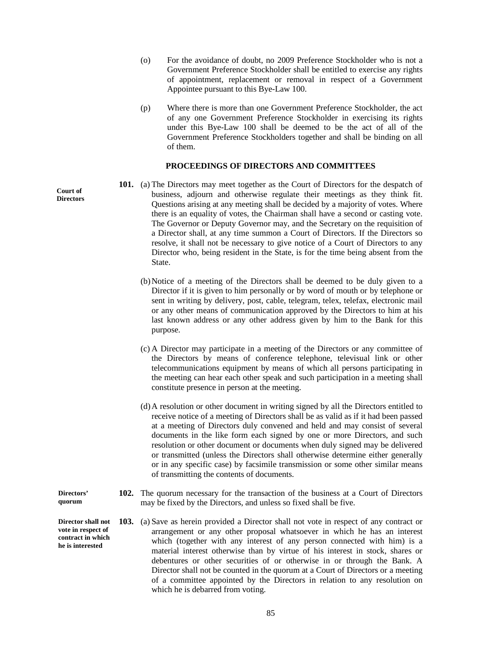- (o) For the avoidance of doubt, no 2009 Preference Stockholder who is not a Government Preference Stockholder shall be entitled to exercise any rights of appointment, replacement or removal in respect of a Government Appointee pursuant to this Bye-Law 100.
- (p) Where there is more than one Government Preference Stockholder, the act of any one Government Preference Stockholder in exercising its rights under this Bye-Law 100 shall be deemed to be the act of all of the Government Preference Stockholders together and shall be binding on all of them.

# **PROCEEDINGS OF DIRECTORS AND COMMITTEES**

- **101.** (a) The Directors may meet together as the Court of Directors for the despatch of business, adjourn and otherwise regulate their meetings as they think fit. Questions arising at any meeting shall be decided by a majority of votes. Where there is an equality of votes, the Chairman shall have a second or casting vote. The Governor or Deputy Governor may, and the Secretary on the requisition of a Director shall, at any time summon a Court of Directors. If the Directors so resolve, it shall not be necessary to give notice of a Court of Directors to any Director who, being resident in the State, is for the time being absent from the State.
	- (b)Notice of a meeting of the Directors shall be deemed to be duly given to a Director if it is given to him personally or by word of mouth or by telephone or sent in writing by delivery, post, cable, telegram, telex, telefax, electronic mail or any other means of communication approved by the Directors to him at his last known address or any other address given by him to the Bank for this purpose.
	- (c) A Director may participate in a meeting of the Directors or any committee of the Directors by means of conference telephone, televisual link or other telecommunications equipment by means of which all persons participating in the meeting can hear each other speak and such participation in a meeting shall constitute presence in person at the meeting.
	- (d)A resolution or other document in writing signed by all the Directors entitled to receive notice of a meeting of Directors shall be as valid as if it had been passed at a meeting of Directors duly convened and held and may consist of several documents in the like form each signed by one or more Directors, and such resolution or other document or documents when duly signed may be delivered or transmitted (unless the Directors shall otherwise determine either generally or in any specific case) by facsimile transmission or some other similar means of transmitting the contents of documents.
- **102.** The quorum necessary for the transaction of the business at a Court of Directors may be fixed by the Directors, and unless so fixed shall be five.
	- **103.** (a) Save as herein provided a Director shall not vote in respect of any contract or arrangement or any other proposal whatsoever in which he has an interest which (together with any interest of any person connected with him) is a material interest otherwise than by virtue of his interest in stock, shares or debentures or other securities of or otherwise in or through the Bank. A Director shall not be counted in the quorum at a Court of Directors or a meeting of a committee appointed by the Directors in relation to any resolution on which he is debarred from voting.

**Court of Directors** 

**Directors' quorum** 

**Director shall not vote in respect of contract in which he is interested** 

85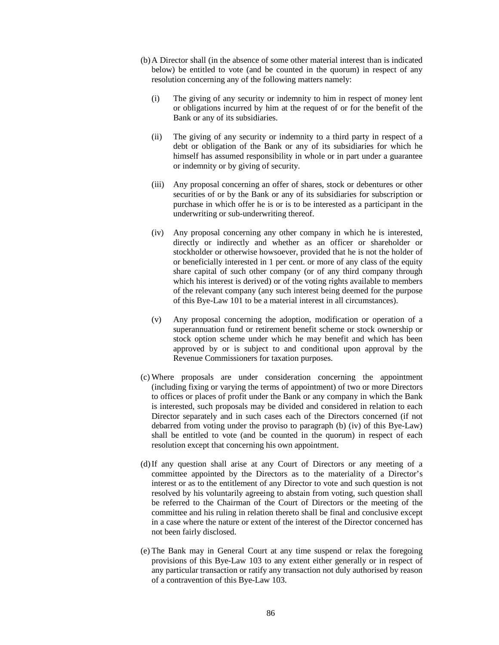- (b)A Director shall (in the absence of some other material interest than is indicated below) be entitled to vote (and be counted in the quorum) in respect of any resolution concerning any of the following matters namely:
	- (i) The giving of any security or indemnity to him in respect of money lent or obligations incurred by him at the request of or for the benefit of the Bank or any of its subsidiaries.
	- (ii) The giving of any security or indemnity to a third party in respect of a debt or obligation of the Bank or any of its subsidiaries for which he himself has assumed responsibility in whole or in part under a guarantee or indemnity or by giving of security.
	- (iii) Any proposal concerning an offer of shares, stock or debentures or other securities of or by the Bank or any of its subsidiaries for subscription or purchase in which offer he is or is to be interested as a participant in the underwriting or sub-underwriting thereof.
	- (iv) Any proposal concerning any other company in which he is interested, directly or indirectly and whether as an officer or shareholder or stockholder or otherwise howsoever, provided that he is not the holder of or beneficially interested in 1 per cent. or more of any class of the equity share capital of such other company (or of any third company through which his interest is derived) or of the voting rights available to members of the relevant company (any such interest being deemed for the purpose of this Bye-Law 101 to be a material interest in all circumstances).
	- (v) Any proposal concerning the adoption, modification or operation of a superannuation fund or retirement benefit scheme or stock ownership or stock option scheme under which he may benefit and which has been approved by or is subject to and conditional upon approval by the Revenue Commissioners for taxation purposes.
- (c) Where proposals are under consideration concerning the appointment (including fixing or varying the terms of appointment) of two or more Directors to offices or places of profit under the Bank or any company in which the Bank is interested, such proposals may be divided and considered in relation to each Director separately and in such cases each of the Directors concerned (if not debarred from voting under the proviso to paragraph (b) (iv) of this Bye-Law) shall be entitled to vote (and be counted in the quorum) in respect of each resolution except that concerning his own appointment.
- (d)If any question shall arise at any Court of Directors or any meeting of a committee appointed by the Directors as to the materiality of a Director's interest or as to the entitlement of any Director to vote and such question is not resolved by his voluntarily agreeing to abstain from voting, such question shall be referred to the Chairman of the Court of Directors or the meeting of the committee and his ruling in relation thereto shall be final and conclusive except in a case where the nature or extent of the interest of the Director concerned has not been fairly disclosed.
- (e) The Bank may in General Court at any time suspend or relax the foregoing provisions of this Bye-Law 103 to any extent either generally or in respect of any particular transaction or ratify any transaction not duly authorised by reason of a contravention of this Bye-Law 103.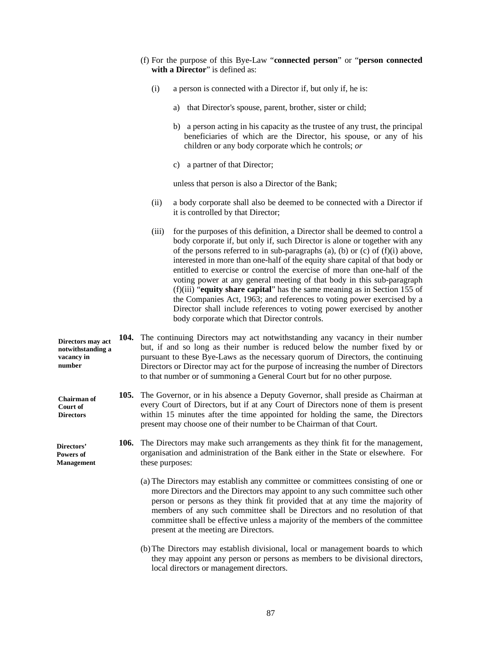- (f) For the purpose of this Bye-Law "**connected person**" or "**person connected**  with a Director" is defined as:
	- (i) a person is connected with a Director if, but only if, he is:
		- a) that Director's spouse, parent, brother, sister or child;
		- b) a person acting in his capacity as the trustee of any trust, the principal beneficiaries of which are the Director, his spouse, or any of his children or any body corporate which he controls; *or*
		- c) a partner of that Director;

unless that person is also a Director of the Bank;

- (ii) a body corporate shall also be deemed to be connected with a Director if it is controlled by that Director;
- (iii) for the purposes of this definition, a Director shall be deemed to control a body corporate if, but only if, such Director is alone or together with any of the persons referred to in sub-paragraphs (a), (b) or (c) of (f)(i) above, interested in more than one-half of the equity share capital of that body or entitled to exercise or control the exercise of more than one-half of the voting power at any general meeting of that body in this sub-paragraph (f)(iii) "**equity share capital**" has the same meaning as in Section 155 of the Companies Act, 1963; and references to voting power exercised by a Director shall include references to voting power exercised by another body corporate which that Director controls.
- **104.** The continuing Directors may act notwithstanding any vacancy in their number but, if and so long as their number is reduced below the number fixed by or pursuant to these Bye-Laws as the necessary quorum of Directors, the continuing Directors or Director may act for the purpose of increasing the number of Directors to that number or of summoning a General Court but for no other purpose. **Directors may act notwithstanding a** 
	- **105.** The Governor, or in his absence a Deputy Governor, shall preside as Chairman at every Court of Directors, but if at any Court of Directors none of them is present within 15 minutes after the time appointed for holding the same, the Directors present may choose one of their number to be Chairman of that Court.
	- **106.** The Directors may make such arrangements as they think fit for the management, organisation and administration of the Bank either in the State or elsewhere. For these purposes:
		- (a) The Directors may establish any committee or committees consisting of one or more Directors and the Directors may appoint to any such committee such other person or persons as they think fit provided that at any time the majority of members of any such committee shall be Directors and no resolution of that committee shall be effective unless a majority of the members of the committee present at the meeting are Directors.
		- (b)The Directors may establish divisional, local or management boards to which they may appoint any person or persons as members to be divisional directors, local directors or management directors.

**vacancy in number** 

**Chairman of Court of Directors** 

**Directors' Powers of Management**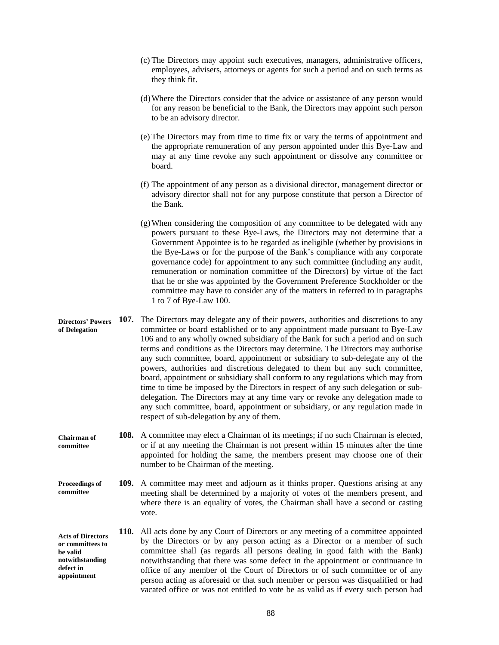- (c) The Directors may appoint such executives, managers, administrative officers, employees, advisers, attorneys or agents for such a period and on such terms as they think fit.
- (d)Where the Directors consider that the advice or assistance of any person would for any reason be beneficial to the Bank, the Directors may appoint such person to be an advisory director.
- (e) The Directors may from time to time fix or vary the terms of appointment and the appropriate remuneration of any person appointed under this Bye-Law and may at any time revoke any such appointment or dissolve any committee or board.
- (f) The appointment of any person as a divisional director, management director or advisory director shall not for any purpose constitute that person a Director of the Bank.
- (g)When considering the composition of any committee to be delegated with any powers pursuant to these Bye-Laws, the Directors may not determine that a Government Appointee is to be regarded as ineligible (whether by provisions in the Bye-Laws or for the purpose of the Bank's compliance with any corporate governance code) for appointment to any such committee (including any audit, remuneration or nomination committee of the Directors) by virtue of the fact that he or she was appointed by the Government Preference Stockholder or the committee may have to consider any of the matters in referred to in paragraphs 1 to 7 of Bye-Law 100.
- **107.** The Directors may delegate any of their powers, authorities and discretions to any committee or board established or to any appointment made pursuant to Bye-Law 106 and to any wholly owned subsidiary of the Bank for such a period and on such terms and conditions as the Directors may determine. The Directors may authorise any such committee, board, appointment or subsidiary to sub-delegate any of the powers, authorities and discretions delegated to them but any such committee, board, appointment or subsidiary shall conform to any regulations which may from time to time be imposed by the Directors in respect of any such delegation or subdelegation. The Directors may at any time vary or revoke any delegation made to any such committee, board, appointment or subsidiary, or any regulation made in respect of sub-delegation by any of them. **Directors' Powers of Delegation**
- **108.** A committee may elect a Chairman of its meetings; if no such Chairman is elected, or if at any meeting the Chairman is not present within 15 minutes after the time appointed for holding the same, the members present may choose one of their number to be Chairman of the meeting. **Chairman of committee**
- **109.** A committee may meet and adjourn as it thinks proper. Questions arising at any meeting shall be determined by a majority of votes of the members present, and where there is an equality of votes, the Chairman shall have a second or casting vote. **Proceedings of committee**
- **110.** All acts done by any Court of Directors or any meeting of a committee appointed by the Directors or by any person acting as a Director or a member of such committee shall (as regards all persons dealing in good faith with the Bank) notwithstanding that there was some defect in the appointment or continuance in office of any member of the Court of Directors or of such committee or of any person acting as aforesaid or that such member or person was disqualified or had vacated office or was not entitled to vote be as valid as if every such person had **Acts of Directors or committees to be valid notwithstanding defect in appointment**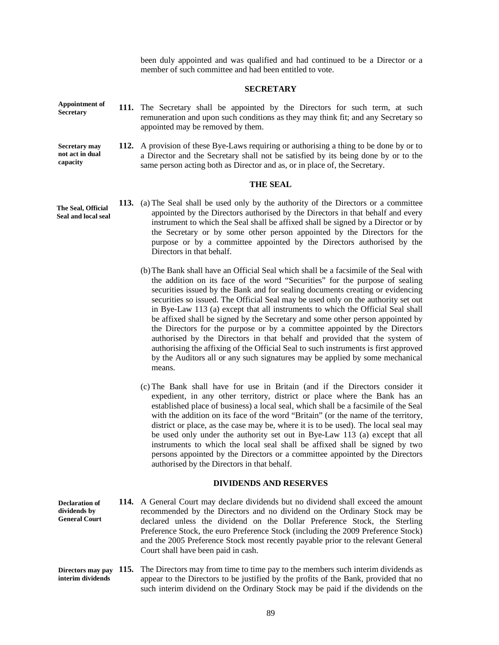been duly appointed and was qualified and had continued to be a Director or a member of such committee and had been entitled to vote.

### **SECRETARY**

**Appointment of Secretary** 

**capacity** 

- **111.** The Secretary shall be appointed by the Directors for such term, at such remuneration and upon such conditions as they may think fit; and any Secretary so appointed may be removed by them.
- **112.** A provision of these Bye-Laws requiring or authorising a thing to be done by or to a Director and the Secretary shall not be satisfied by its being done by or to the same person acting both as Director and as, or in place of, the Secretary. **Secretary may not act in dual**

# **THE SEAL**

- **113.** (a) The Seal shall be used only by the authority of the Directors or a committee appointed by the Directors authorised by the Directors in that behalf and every instrument to which the Seal shall be affixed shall be signed by a Director or by the Secretary or by some other person appointed by the Directors for the purpose or by a committee appointed by the Directors authorised by the Directors in that behalf.
	- (b)The Bank shall have an Official Seal which shall be a facsimile of the Seal with the addition on its face of the word "Securities" for the purpose of sealing securities issued by the Bank and for sealing documents creating or evidencing securities so issued. The Official Seal may be used only on the authority set out in Bye-Law 113 (a) except that all instruments to which the Official Seal shall be affixed shall be signed by the Secretary and some other person appointed by the Directors for the purpose or by a committee appointed by the Directors authorised by the Directors in that behalf and provided that the system of authorising the affixing of the Official Seal to such instruments is first approved by the Auditors all or any such signatures may be applied by some mechanical means.
	- (c) The Bank shall have for use in Britain (and if the Directors consider it expedient, in any other territory, district or place where the Bank has an established place of business) a local seal, which shall be a facsimile of the Seal with the addition on its face of the word "Britain" (or the name of the territory, district or place, as the case may be, where it is to be used). The local seal may be used only under the authority set out in Bye-Law 113 (a) except that all instruments to which the local seal shall be affixed shall be signed by two persons appointed by the Directors or a committee appointed by the Directors authorised by the Directors in that behalf.

# **DIVIDENDS AND RESERVES**

**114.** A General Court may declare dividends but no dividend shall exceed the amount recommended by the Directors and no dividend on the Ordinary Stock may be declared unless the dividend on the Dollar Preference Stock, the Sterling Preference Stock, the euro Preference Stock (including the 2009 Preference Stock) and the 2005 Preference Stock most recently payable prior to the relevant General Court shall have been paid in cash. **Declaration of dividends by General Court** 

**Directors may pay 115.** The Directors may from time to time pay to the members such interim dividends as appear to the Directors to be justified by the profits of the Bank, provided that no such interim dividend on the Ordinary Stock may be paid if the dividends on the **interim dividends**

**The Seal, Official Seal and local seal**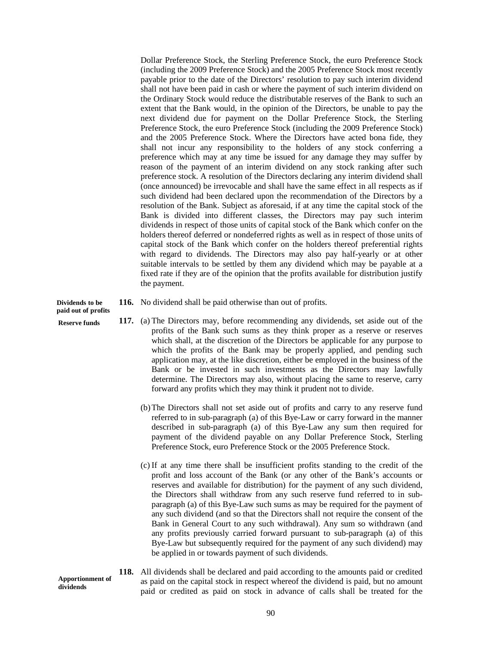Dollar Preference Stock, the Sterling Preference Stock, the euro Preference Stock (including the 2009 Preference Stock) and the 2005 Preference Stock most recently payable prior to the date of the Directors' resolution to pay such interim dividend shall not have been paid in cash or where the payment of such interim dividend on the Ordinary Stock would reduce the distributable reserves of the Bank to such an extent that the Bank would, in the opinion of the Directors, be unable to pay the next dividend due for payment on the Dollar Preference Stock, the Sterling Preference Stock, the euro Preference Stock (including the 2009 Preference Stock) and the 2005 Preference Stock. Where the Directors have acted bona fide, they shall not incur any responsibility to the holders of any stock conferring a preference which may at any time be issued for any damage they may suffer by reason of the payment of an interim dividend on any stock ranking after such preference stock. A resolution of the Directors declaring any interim dividend shall (once announced) be irrevocable and shall have the same effect in all respects as if such dividend had been declared upon the recommendation of the Directors by a resolution of the Bank. Subject as aforesaid, if at any time the capital stock of the Bank is divided into different classes, the Directors may pay such interim dividends in respect of those units of capital stock of the Bank which confer on the holders thereof deferred or nondeferred rights as well as in respect of those units of capital stock of the Bank which confer on the holders thereof preferential rights with regard to dividends. The Directors may also pay half-yearly or at other suitable intervals to be settled by them any dividend which may be payable at a fixed rate if they are of the opinion that the profits available for distribution justify the payment.

**Dividends to be paid out of profits** 

**Reserve funds** 

- **116.** No dividend shall be paid otherwise than out of profits.
- **117.** (a) The Directors may, before recommending any dividends, set aside out of the profits of the Bank such sums as they think proper as a reserve or reserves which shall, at the discretion of the Directors be applicable for any purpose to which the profits of the Bank may be properly applied, and pending such application may, at the like discretion, either be employed in the business of the Bank or be invested in such investments as the Directors may lawfully determine. The Directors may also, without placing the same to reserve, carry forward any profits which they may think it prudent not to divide.
	- (b)The Directors shall not set aside out of profits and carry to any reserve fund referred to in sub-paragraph (a) of this Bye-Law or carry forward in the manner described in sub-paragraph (a) of this Bye-Law any sum then required for payment of the dividend payable on any Dollar Preference Stock, Sterling Preference Stock, euro Preference Stock or the 2005 Preference Stock.
	- (c) If at any time there shall be insufficient profits standing to the credit of the profit and loss account of the Bank (or any other of the Bank's accounts or reserves and available for distribution) for the payment of any such dividend, the Directors shall withdraw from any such reserve fund referred to in subparagraph (a) of this Bye-Law such sums as may be required for the payment of any such dividend (and so that the Directors shall not require the consent of the Bank in General Court to any such withdrawal). Any sum so withdrawn (and any profits previously carried forward pursuant to sub-paragraph (a) of this Bye-Law but subsequently required for the payment of any such dividend) may be applied in or towards payment of such dividends.
- **118.** All dividends shall be declared and paid according to the amounts paid or credited as paid on the capital stock in respect whereof the dividend is paid, but no amount paid or credited as paid on stock in advance of calls shall be treated for the **Apportionment of dividends**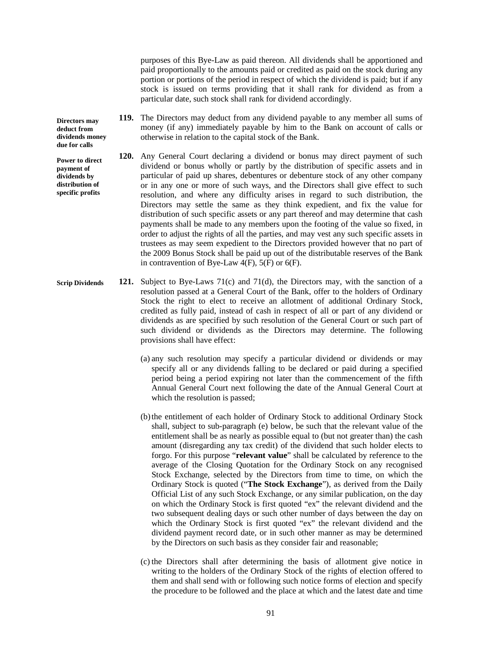purposes of this Bye-Law as paid thereon. All dividends shall be apportioned and paid proportionally to the amounts paid or credited as paid on the stock during any portion or portions of the period in respect of which the dividend is paid; but if any stock is issued on terms providing that it shall rank for dividend as from a particular date, such stock shall rank for dividend accordingly.

- **119.** The Directors may deduct from any dividend payable to any member all sums of money (if any) immediately payable by him to the Bank on account of calls or otherwise in relation to the capital stock of the Bank.
- **120.** Any General Court declaring a dividend or bonus may direct payment of such dividend or bonus wholly or partly by the distribution of specific assets and in particular of paid up shares, debentures or debenture stock of any other company or in any one or more of such ways, and the Directors shall give effect to such resolution, and where any difficulty arises in regard to such distribution, the Directors may settle the same as they think expedient, and fix the value for distribution of such specific assets or any part thereof and may determine that cash payments shall be made to any members upon the footing of the value so fixed, in order to adjust the rights of all the parties, and may vest any such specific assets in trustees as may seem expedient to the Directors provided however that no part of the 2009 Bonus Stock shall be paid up out of the distributable reserves of the Bank in contravention of Bye-Law  $4(F)$ ,  $5(F)$  or  $6(F)$ .
- **121.** Subject to Bye-Laws 71(c) and 71(d), the Directors may, with the sanction of a resolution passed at a General Court of the Bank, offer to the holders of Ordinary Stock the right to elect to receive an allotment of additional Ordinary Stock, credited as fully paid, instead of cash in respect of all or part of any dividend or dividends as are specified by such resolution of the General Court or such part of such dividend or dividends as the Directors may determine. The following provisions shall have effect: **Scrip Dividends**
	- (a) any such resolution may specify a particular dividend or dividends or may specify all or any dividends falling to be declared or paid during a specified period being a period expiring not later than the commencement of the fifth Annual General Court next following the date of the Annual General Court at which the resolution is passed;
	- (b)the entitlement of each holder of Ordinary Stock to additional Ordinary Stock shall, subject to sub-paragraph (e) below, be such that the relevant value of the entitlement shall be as nearly as possible equal to (but not greater than) the cash amount (disregarding any tax credit) of the dividend that such holder elects to forgo. For this purpose "**relevant value**" shall be calculated by reference to the average of the Closing Quotation for the Ordinary Stock on any recognised Stock Exchange, selected by the Directors from time to time, on which the Ordinary Stock is quoted ("**The Stock Exchange**"), as derived from the Daily Official List of any such Stock Exchange, or any similar publication, on the day on which the Ordinary Stock is first quoted "ex" the relevant dividend and the two subsequent dealing days or such other number of days between the day on which the Ordinary Stock is first quoted "ex" the relevant dividend and the dividend payment record date, or in such other manner as may be determined by the Directors on such basis as they consider fair and reasonable;
	- (c) the Directors shall after determining the basis of allotment give notice in writing to the holders of the Ordinary Stock of the rights of election offered to them and shall send with or following such notice forms of election and specify the procedure to be followed and the place at which and the latest date and time

**Directors may deduct from dividends money due for calls** 

**Power to direct payment of dividends by distribution of specific profits**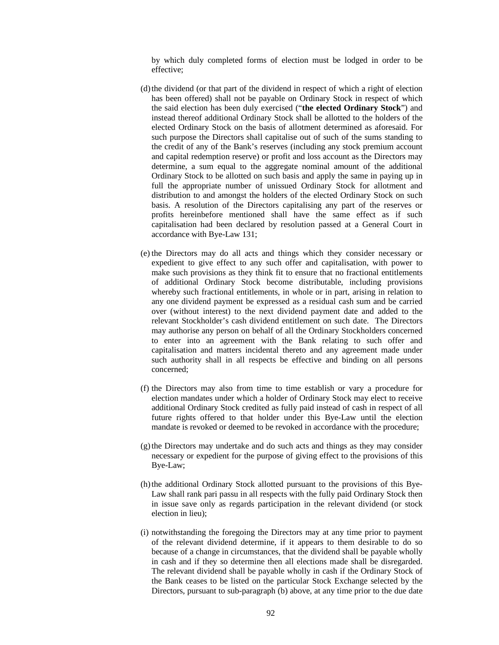by which duly completed forms of election must be lodged in order to be effective;

- (d)the dividend (or that part of the dividend in respect of which a right of election has been offered) shall not be payable on Ordinary Stock in respect of which the said election has been duly exercised ("**the elected Ordinary Stock**") and instead thereof additional Ordinary Stock shall be allotted to the holders of the elected Ordinary Stock on the basis of allotment determined as aforesaid. For such purpose the Directors shall capitalise out of such of the sums standing to the credit of any of the Bank's reserves (including any stock premium account and capital redemption reserve) or profit and loss account as the Directors may determine, a sum equal to the aggregate nominal amount of the additional Ordinary Stock to be allotted on such basis and apply the same in paying up in full the appropriate number of unissued Ordinary Stock for allotment and distribution to and amongst the holders of the elected Ordinary Stock on such basis. A resolution of the Directors capitalising any part of the reserves or profits hereinbefore mentioned shall have the same effect as if such capitalisation had been declared by resolution passed at a General Court in accordance with Bye-Law 131;
- (e) the Directors may do all acts and things which they consider necessary or expedient to give effect to any such offer and capitalisation, with power to make such provisions as they think fit to ensure that no fractional entitlements of additional Ordinary Stock become distributable, including provisions whereby such fractional entitlements, in whole or in part, arising in relation to any one dividend payment be expressed as a residual cash sum and be carried over (without interest) to the next dividend payment date and added to the relevant Stockholder's cash dividend entitlement on such date. The Directors may authorise any person on behalf of all the Ordinary Stockholders concerned to enter into an agreement with the Bank relating to such offer and capitalisation and matters incidental thereto and any agreement made under such authority shall in all respects be effective and binding on all persons concerned;
- (f) the Directors may also from time to time establish or vary a procedure for election mandates under which a holder of Ordinary Stock may elect to receive additional Ordinary Stock credited as fully paid instead of cash in respect of all future rights offered to that holder under this Bye-Law until the election mandate is revoked or deemed to be revoked in accordance with the procedure;
- (g)the Directors may undertake and do such acts and things as they may consider necessary or expedient for the purpose of giving effect to the provisions of this Bye-Law;
- (h)the additional Ordinary Stock allotted pursuant to the provisions of this Bye-Law shall rank pari passu in all respects with the fully paid Ordinary Stock then in issue save only as regards participation in the relevant dividend (or stock election in lieu);
- (i) notwithstanding the foregoing the Directors may at any time prior to payment of the relevant dividend determine, if it appears to them desirable to do so because of a change in circumstances, that the dividend shall be payable wholly in cash and if they so determine then all elections made shall be disregarded. The relevant dividend shall be payable wholly in cash if the Ordinary Stock of the Bank ceases to be listed on the particular Stock Exchange selected by the Directors, pursuant to sub-paragraph (b) above, at any time prior to the due date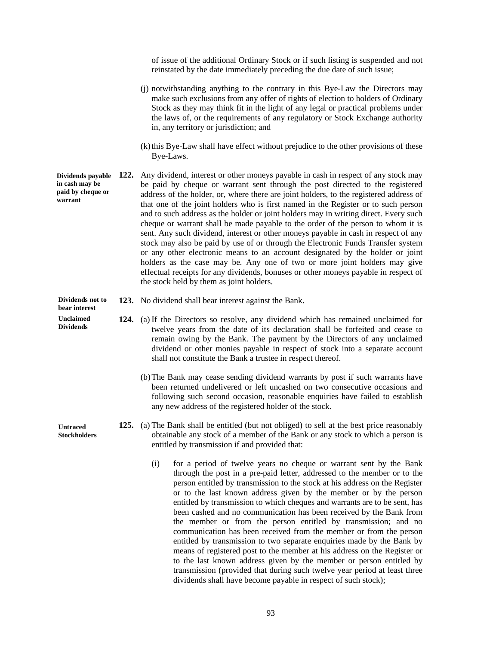of issue of the additional Ordinary Stock or if such listing is suspended and not reinstated by the date immediately preceding the due date of such issue;

- (j) notwithstanding anything to the contrary in this Bye-Law the Directors may make such exclusions from any offer of rights of election to holders of Ordinary Stock as they may think fit in the light of any legal or practical problems under the laws of, or the requirements of any regulatory or Stock Exchange authority in, any territory or jurisdiction; and
- (k)this Bye-Law shall have effect without prejudice to the other provisions of these Bye-Laws.
- **Dividends payable** 122. Any dividend, interest or other moneys payable in cash in respect of any stock may be paid by cheque or warrant sent through the post directed to the registered address of the holder, or, where there are joint holders, to the registered address of that one of the joint holders who is first named in the Register or to such person and to such address as the holder or joint holders may in writing direct. Every such cheque or warrant shall be made payable to the order of the person to whom it is sent. Any such dividend, interest or other moneys payable in cash in respect of any stock may also be paid by use of or through the Electronic Funds Transfer system or any other electronic means to an account designated by the holder or joint holders as the case may be. Any one of two or more joint holders may give effectual receipts for any dividends, bonuses or other moneys payable in respect of the stock held by them as joint holders. **in cash may be paid by cheque or warrant**

**123.** No dividend shall bear interest against the Bank. **Dividends not to** 

- **124.** (a) If the Directors so resolve, any dividend which has remained unclaimed for twelve years from the date of its declaration shall be forfeited and cease to remain owing by the Bank. The payment by the Directors of any unclaimed dividend or other monies payable in respect of stock into a separate account shall not constitute the Bank a trustee in respect thereof.
	- (b)The Bank may cease sending dividend warrants by post if such warrants have been returned undelivered or left uncashed on two consecutive occasions and following such second occasion, reasonable enquiries have failed to establish any new address of the registered holder of the stock.
	- **125.** (a) The Bank shall be entitled (but not obliged) to sell at the best price reasonably obtainable any stock of a member of the Bank or any stock to which a person is entitled by transmission if and provided that:
		- (i) for a period of twelve years no cheque or warrant sent by the Bank through the post in a pre-paid letter, addressed to the member or to the person entitled by transmission to the stock at his address on the Register or to the last known address given by the member or by the person entitled by transmission to which cheques and warrants are to be sent, has been cashed and no communication has been received by the Bank from the member or from the person entitled by transmission; and no communication has been received from the member or from the person entitled by transmission to two separate enquiries made by the Bank by means of registered post to the member at his address on the Register or to the last known address given by the member or person entitled by transmission (provided that during such twelve year period at least three dividends shall have become payable in respect of such stock);

**Untraced Stockholders** 

**bear interest Unclaimed Dividends** 

93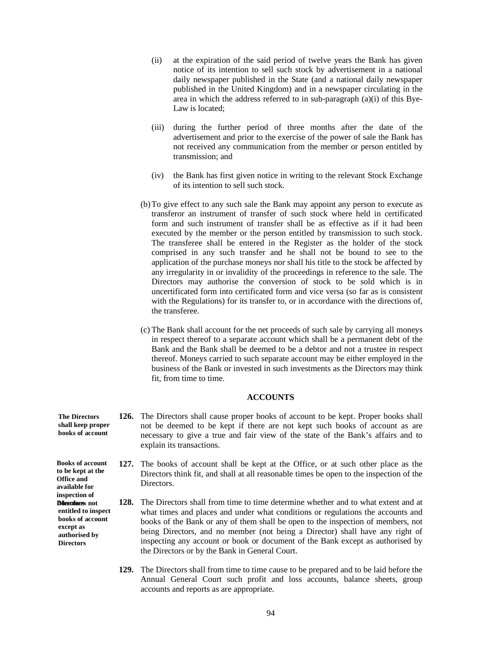- (ii) at the expiration of the said period of twelve years the Bank has given notice of its intention to sell such stock by advertisement in a national daily newspaper published in the State (and a national daily newspaper published in the United Kingdom) and in a newspaper circulating in the area in which the address referred to in sub-paragraph (a)(i) of this Bye-Law is located;
- (iii) during the further period of three months after the date of the advertisement and prior to the exercise of the power of sale the Bank has not received any communication from the member or person entitled by transmission; and
- (iv) the Bank has first given notice in writing to the relevant Stock Exchange of its intention to sell such stock.
- (b)To give effect to any such sale the Bank may appoint any person to execute as transferor an instrument of transfer of such stock where held in certificated form and such instrument of transfer shall be as effective as if it had been executed by the member or the person entitled by transmission to such stock. The transferee shall be entered in the Register as the holder of the stock comprised in any such transfer and he shall not be bound to see to the application of the purchase moneys nor shall his title to the stock be affected by any irregularity in or invalidity of the proceedings in reference to the sale. The Directors may authorise the conversion of stock to be sold which is in uncertificated form into certificated form and vice versa (so far as is consistent with the Regulations) for its transfer to, or in accordance with the directions of, the transferee.
- (c) The Bank shall account for the net proceeds of such sale by carrying all moneys in respect thereof to a separate account which shall be a permanent debt of the Bank and the Bank shall be deemed to be a debtor and not a trustee in respect thereof. Moneys carried to such separate account may be either employed in the business of the Bank or invested in such investments as the Directors may think fit, from time to time.

#### **ACCOUNTS**

- **126.** The Directors shall cause proper books of account to be kept. Proper books shall not be deemed to be kept if there are not kept such books of account as are necessary to give a true and fair view of the state of the Bank's affairs and to explain its transactions. **The Directors shall keep proper books of account**
	- **127.** The books of account shall be kept at the Office, or at such other place as the Directors think fit, and shall at all reasonable times be open to the inspection of the Directors.
	- **128.** The Directors shall from time to time determine whether and to what extent and at what times and places and under what conditions or regulations the accounts and books of the Bank or any of them shall be open to the inspection of members, not being Directors, and no member (not being a Director) shall have any right of inspecting any account or book or document of the Bank except as authorised by the Directors or by the Bank in General Court.
		- **129.** The Directors shall from time to time cause to be prepared and to be laid before the Annual General Court such profit and loss accounts, balance sheets, group accounts and reports as are appropriate.

**Books of account to be kept at the Office and** 

**available for inspection of Directors** not **entitled to inspect books of account except as authorised by Directors**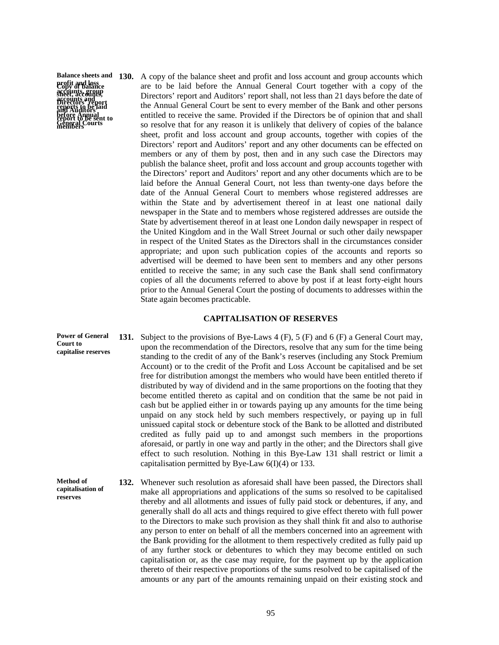**profit and loss Copy of balance accounts, group accounts and reports to be laid before Annual General Courts report to be sent to sheet, accounts, Directors' report and Auditors' members** 

**reserves** 

**Balance sheets and 130.** A copy of the balance sheet and profit and loss account and group accounts which are to be laid before the Annual General Court together with a copy of the Directors' report and Auditors' report shall, not less than 21 days before the date of the Annual General Court be sent to every member of the Bank and other persons entitled to receive the same. Provided if the Directors be of opinion that and shall so resolve that for any reason it is unlikely that delivery of copies of the balance sheet, profit and loss account and group accounts, together with copies of the Directors' report and Auditors' report and any other documents can be effected on members or any of them by post, then and in any such case the Directors may publish the balance sheet, profit and loss account and group accounts together with the Directors' report and Auditors' report and any other documents which are to be laid before the Annual General Court, not less than twenty-one days before the date of the Annual General Court to members whose registered addresses are within the State and by advertisement thereof in at least one national daily newspaper in the State and to members whose registered addresses are outside the State by advertisement thereof in at least one London daily newspaper in respect of the United Kingdom and in the Wall Street Journal or such other daily newspaper in respect of the United States as the Directors shall in the circumstances consider appropriate; and upon such publication copies of the accounts and reports so advertised will be deemed to have been sent to members and any other persons entitled to receive the same; in any such case the Bank shall send confirmatory copies of all the documents referred to above by post if at least forty-eight hours prior to the Annual General Court the posting of documents to addresses within the State again becomes practicable.

### **CAPITALISATION OF RESERVES**

**131.** Subject to the provisions of Bye-Laws 4 (F), 5 (F) and 6 (F) a General Court may, upon the recommendation of the Directors, resolve that any sum for the time being standing to the credit of any of the Bank's reserves (including any Stock Premium Account) or to the credit of the Profit and Loss Account be capitalised and be set free for distribution amongst the members who would have been entitled thereto if distributed by way of dividend and in the same proportions on the footing that they become entitled thereto as capital and on condition that the same be not paid in cash but be applied either in or towards paying up any amounts for the time being unpaid on any stock held by such members respectively, or paying up in full unissued capital stock or debenture stock of the Bank to be allotted and distributed credited as fully paid up to and amongst such members in the proportions aforesaid, or partly in one way and partly in the other; and the Directors shall give effect to such resolution. Nothing in this Bye-Law 131 shall restrict or limit a capitalisation permitted by Bye-Law  $6(I)(4)$  or 133. **Power of General Court to capitalise reserves**

**132.** Whenever such resolution as aforesaid shall have been passed, the Directors shall make all appropriations and applications of the sums so resolved to be capitalised thereby and all allotments and issues of fully paid stock or debentures, if any, and generally shall do all acts and things required to give effect thereto with full power to the Directors to make such provision as they shall think fit and also to authorise any person to enter on behalf of all the members concerned into an agreement with the Bank providing for the allotment to them respectively credited as fully paid up of any further stock or debentures to which they may become entitled on such capitalisation or, as the case may require, for the payment up by the application thereto of their respective proportions of the sums resolved to be capitalised of the amounts or any part of the amounts remaining unpaid on their existing stock and **Method of capitalisation of**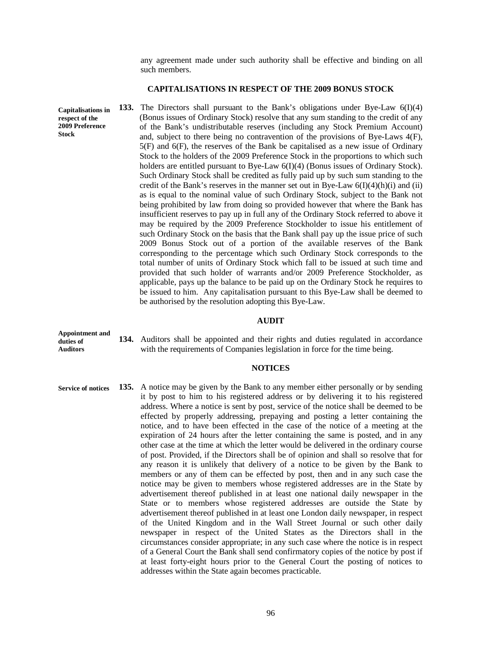any agreement made under such authority shall be effective and binding on all such members.

#### **CAPITALISATIONS IN RESPECT OF THE 2009 BONUS STOCK**

**133.** The Directors shall pursuant to the Bank's obligations under Bye-Law 6(I)(4) (Bonus issues of Ordinary Stock) resolve that any sum standing to the credit of any of the Bank's undistributable reserves (including any Stock Premium Account) and, subject to there being no contravention of the provisions of Bye-Laws 4(F), 5(F) and 6(F), the reserves of the Bank be capitalised as a new issue of Ordinary Stock to the holders of the 2009 Preference Stock in the proportions to which such holders are entitled pursuant to Bye-Law 6(I)(4) (Bonus issues of Ordinary Stock). Such Ordinary Stock shall be credited as fully paid up by such sum standing to the credit of the Bank's reserves in the manner set out in Bye-Law  $6(I)(4)(h)(i)$  and (ii) as is equal to the nominal value of such Ordinary Stock, subject to the Bank not being prohibited by law from doing so provided however that where the Bank has insufficient reserves to pay up in full any of the Ordinary Stock referred to above it may be required by the 2009 Preference Stockholder to issue his entitlement of such Ordinary Stock on the basis that the Bank shall pay up the issue price of such 2009 Bonus Stock out of a portion of the available reserves of the Bank corresponding to the percentage which such Ordinary Stock corresponds to the total number of units of Ordinary Stock which fall to be issued at such time and provided that such holder of warrants and/or 2009 Preference Stockholder, as applicable, pays up the balance to be paid up on the Ordinary Stock he requires to be issued to him. Any capitalisation pursuant to this Bye-Law shall be deemed to be authorised by the resolution adopting this Bye-Law. **Capitalisations in respect of the 2009 Preference Stock** 

#### **AUDIT**

**Appointment and duties of Auditors** 

**134.** Auditors shall be appointed and their rights and duties regulated in accordance with the requirements of Companies legislation in force for the time being.

#### **NOTICES**

**135.** A notice may be given by the Bank to any member either personally or by sending it by post to him to his registered address or by delivering it to his registered address. Where a notice is sent by post, service of the notice shall be deemed to be effected by properly addressing, prepaying and posting a letter containing the notice, and to have been effected in the case of the notice of a meeting at the expiration of 24 hours after the letter containing the same is posted, and in any other case at the time at which the letter would be delivered in the ordinary course of post. Provided, if the Directors shall be of opinion and shall so resolve that for any reason it is unlikely that delivery of a notice to be given by the Bank to members or any of them can be effected by post, then and in any such case the notice may be given to members whose registered addresses are in the State by advertisement thereof published in at least one national daily newspaper in the State or to members whose registered addresses are outside the State by advertisement thereof published in at least one London daily newspaper, in respect of the United Kingdom and in the Wall Street Journal or such other daily newspaper in respect of the United States as the Directors shall in the circumstances consider appropriate; in any such case where the notice is in respect of a General Court the Bank shall send confirmatory copies of the notice by post if at least forty-eight hours prior to the General Court the posting of notices to addresses within the State again becomes practicable. **Service of notices**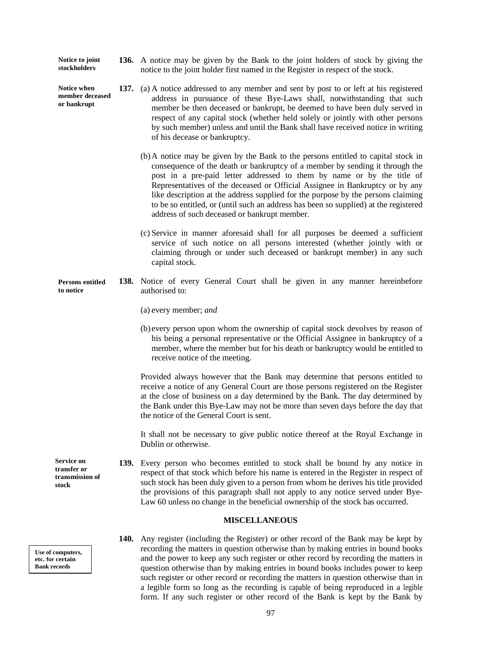**136.** A notice may be given by the Bank to the joint holders of stock by giving the notice to the joint holder first named in the Register in respect of the stock. **Notice to joint stockholders** 

> **137.** (a) A notice addressed to any member and sent by post to or left at his registered address in pursuance of these Bye-Laws shall, notwithstanding that such member be then deceased or bankrupt, be deemed to have been duly served in respect of any capital stock (whether held solely or jointly with other persons by such member) unless and until the Bank shall have received notice in writing of his decease or bankruptcy.

(b)A notice may be given by the Bank to the persons entitled to capital stock in consequence of the death or bankruptcy of a member by sending it through the post in a pre-paid letter addressed to them by name or by the title of Representatives of the deceased or Official Assignee in Bankruptcy or by any like description at the address supplied for the purpose by the persons claiming to be so entitled, or (until such an address has been so supplied) at the registered address of such deceased or bankrupt member.

(c) Service in manner aforesaid shall for all purposes be deemed a sufficient service of such notice on all persons interested (whether jointly with or claiming through or under such deceased or bankrupt member) in any such capital stock.

- **138.** Notice of every General Court shall be given in any manner hereinbefore authorised to: **Persons entitled to notice** 
	- (a) every member; *and*
	- (b) every person upon whom the ownership of capital stock devolves by reason of his being a personal representative or the Official Assignee in bankruptcy of a member, where the member but for his death or bankruptcy would be entitled to receive notice of the meeting.

Provided always however that the Bank may determine that persons entitled to receive a notice of any General Court are those persons registered on the Register at the close of business on a day determined by the Bank. The day determined by the Bank under this Bye-Law may not be more than seven days before the day that the notice of the General Court is sent.

It shall not be necessary to give public notice thereof at the Royal Exchange in Dublin or otherwise.

**139.** Every person who becomes entitled to stock shall be bound by any notice in respect of that stock which before his name is entered in the Register in respect of such stock has been duly given to a person from whom he derives his title provided the provisions of this paragraph shall not apply to any notice served under Bye-Law 60 unless no change in the beneficial ownership of the stock has occurred.

### **MISCELLANEOUS**

**140.** Any register (including the Register) or other record of the Bank may be kept by recording the matters in question otherwise than by making entries in bound books and the power to keep any such register or other record by recording the matters in question otherwise than by making entries in bound books includes power to keep such register or other record or recording the matters in question otherwise than in a legible form so long as the recording is capable of being reproduced in a legible form. If any such register or other record of the Bank is kept by the Bank by

**stock** 

**Service on transfer or transmission of** 

**Notice when member deceased or bankrupt** 

**Use of computers, etc. for certain Bank records**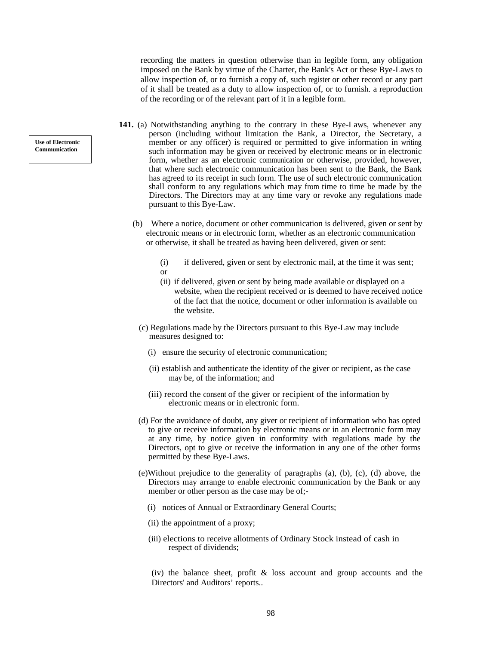recording the matters in question otherwise than in legible form, any obligation imposed on the Bank by virtue of the Charter, the Bank's Act or these Bye-Laws to allow inspection of, or to furnish a copy of, such register or other record or any part of it shall be treated as a duty to allow inspection of, or to furnish. a reproduction of the recording or of the relevant part of it in a legible form.

- **141.** (a) Notwithstanding anything to the contrary in these Bye-Laws, whenever any person (including without limitation the Bank, a Director, the Secretary, a member or any officer) is required or permitted to give information in writing such information may be given or received by electronic means or in electronic form, whether as an electronic communication or otherwise, provided, however, that where such electronic communication has been sent to the Bank, the Bank has agreed to its receipt in such form. The use of such electronic communication shall conform to any regulations which may from time to time be made by the Directors. The Directors may at any time vary or revoke any regulations made pursuant to this Bye-Law.
	- (b) Where a notice, document or other communication is delivered, given or sent by electronic means or in electronic form, whether as an electronic communication or otherwise, it shall be treated as having been delivered, given or sent:
		- (i) if delivered, given or sent by electronic mail, at the time it was sent; or
		- (ii) if delivered, given or sent by being made available or displayed on a website, when the recipient received or is deemed to have received notice of the fact that the notice, document or other information is available on the website.
		- (c) Regulations made by the Directors pursuant to this Bye-Law may include measures designed to:
			- (i) ensure the security of electronic communication;
			- (ii) establish and authenticate the identity of the giver or recipient, as the case may be, of the information; and
			- (iii) record the consent of the giver or recipient of the information by electronic means or in electronic form.
		- (d) For the avoidance of doubt, any giver or recipient of information who has opted to give or receive information by electronic means or in an electronic form may at any time, by notice given in conformity with regulations made by the Directors, opt to give or receive the information in any one of the other forms permitted by these Bye-Laws.
		- (e)Without prejudice to the generality of paragraphs (a), (b), (c), (d) above, the Directors may arrange to enable electronic communication by the Bank or any member or other person as the case may be of;-
			- (i) notices of Annual or Extraordinary General Courts;
			- (ii) the appointment of a proxy;
			- (iii) elections to receive allotments of Ordinary Stock instead of cash in respect of dividends;

(iv) the balance sheet, profit & loss account and group accounts and the Directors' and Auditors' reports..

**Use of Electronic Communication**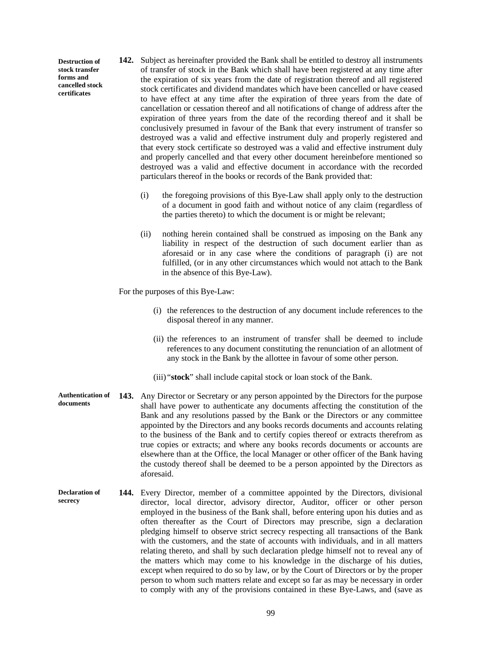**Destruction of stock transfer forms and cancelled stock certificates** 

- **142.** Subject as hereinafter provided the Bank shall be entitled to destroy all instruments of transfer of stock in the Bank which shall have been registered at any time after the expiration of six years from the date of registration thereof and all registered stock certificates and dividend mandates which have been cancelled or have ceased to have effect at any time after the expiration of three years from the date of cancellation or cessation thereof and all notifications of change of address after the expiration of three years from the date of the recording thereof and it shall be conclusively presumed in favour of the Bank that every instrument of transfer so destroyed was a valid and effective instrument duly and properly registered and that every stock certificate so destroyed was a valid and effective instrument duly and properly cancelled and that every other document hereinbefore mentioned so destroyed was a valid and effective document in accordance with the recorded particulars thereof in the books or records of the Bank provided that:
	- (i) the foregoing provisions of this Bye-Law shall apply only to the destruction of a document in good faith and without notice of any claim (regardless of the parties thereto) to which the document is or might be relevant;
	- (ii) nothing herein contained shall be construed as imposing on the Bank any liability in respect of the destruction of such document earlier than as aforesaid or in any case where the conditions of paragraph (i) are not fulfilled, (or in any other circumstances which would not attach to the Bank in the absence of this Bye-Law).

For the purposes of this Bye-Law:

- (i) the references to the destruction of any document include references to the disposal thereof in any manner.
- (ii) the references to an instrument of transfer shall be deemed to include references to any document constituting the renunciation of an allotment of any stock in the Bank by the allottee in favour of some other person.
- (iii) "**stock**" shall include capital stock or loan stock of the Bank.
- **143.** Any Director or Secretary or any person appointed by the Directors for the purpose shall have power to authenticate any documents affecting the constitution of the Bank and any resolutions passed by the Bank or the Directors or any committee appointed by the Directors and any books records documents and accounts relating to the business of the Bank and to certify copies thereof or extracts therefrom as true copies or extracts; and where any books records documents or accounts are elsewhere than at the Office, the local Manager or other officer of the Bank having the custody thereof shall be deemed to be a person appointed by the Directors as aforesaid. **Authentication of documents**
- **144.** Every Director, member of a committee appointed by the Directors, divisional director, local director, advisory director, Auditor, officer or other person employed in the business of the Bank shall, before entering upon his duties and as often thereafter as the Court of Directors may prescribe, sign a declaration pledging himself to observe strict secrecy respecting all transactions of the Bank with the customers, and the state of accounts with individuals, and in all matters relating thereto, and shall by such declaration pledge himself not to reveal any of the matters which may come to his knowledge in the discharge of his duties, except when required to do so by law, or by the Court of Directors or by the proper person to whom such matters relate and except so far as may be necessary in order to comply with any of the provisions contained in these Bye-Laws, and (save as **Declaration of secrecy**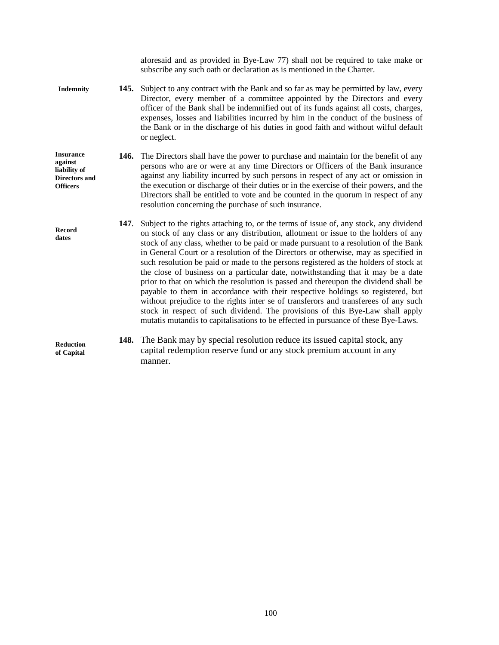|                                                                                        |      | aforesaid and as provided in Bye-Law 77) shall not be required to take make or<br>subscribe any such oath or declaration as is mentioned in the Charter.                                                                                                                                                                                                                                                                                                                                                                                                                                                                                                                                                                                                                                                                                                                                                                                                                        |
|----------------------------------------------------------------------------------------|------|---------------------------------------------------------------------------------------------------------------------------------------------------------------------------------------------------------------------------------------------------------------------------------------------------------------------------------------------------------------------------------------------------------------------------------------------------------------------------------------------------------------------------------------------------------------------------------------------------------------------------------------------------------------------------------------------------------------------------------------------------------------------------------------------------------------------------------------------------------------------------------------------------------------------------------------------------------------------------------|
| <b>Indemnity</b>                                                                       |      | 145. Subject to any contract with the Bank and so far as may be permitted by law, every<br>Director, every member of a committee appointed by the Directors and every<br>officer of the Bank shall be indemnified out of its funds against all costs, charges,<br>expenses, losses and liabilities incurred by him in the conduct of the business of<br>the Bank or in the discharge of his duties in good faith and without wilful default<br>or neglect.                                                                                                                                                                                                                                                                                                                                                                                                                                                                                                                      |
| <b>Insurance</b><br>against<br>liability of<br><b>Directors and</b><br><b>Officers</b> |      | 146. The Directors shall have the power to purchase and maintain for the benefit of any<br>persons who are or were at any time Directors or Officers of the Bank insurance<br>against any liability incurred by such persons in respect of any act or omission in<br>the execution or discharge of their duties or in the exercise of their powers, and the<br>Directors shall be entitled to vote and be counted in the quorum in respect of any<br>resolution concerning the purchase of such insurance.                                                                                                                                                                                                                                                                                                                                                                                                                                                                      |
| <b>Record</b><br>dates                                                                 | 147. | Subject to the rights attaching to, or the terms of issue of, any stock, any dividend<br>on stock of any class or any distribution, allotment or issue to the holders of any<br>stock of any class, whether to be paid or made pursuant to a resolution of the Bank<br>in General Court or a resolution of the Directors or otherwise, may as specified in<br>such resolution be paid or made to the persons registered as the holders of stock at<br>the close of business on a particular date, notwithstanding that it may be a date<br>prior to that on which the resolution is passed and thereupon the dividend shall be<br>payable to them in accordance with their respective holdings so registered, but<br>without prejudice to the rights inter se of transferors and transferees of any such<br>stock in respect of such dividend. The provisions of this Bye-Law shall apply<br>mutatis mutandis to capitalisations to be effected in pursuance of these Bye-Laws. |
| <b>Reduction</b><br>of Capital                                                         |      | <b>148.</b> The Bank may by special resolution reduce its issued capital stock, any<br>capital redemption reserve fund or any stock premium account in any<br>manner.                                                                                                                                                                                                                                                                                                                                                                                                                                                                                                                                                                                                                                                                                                                                                                                                           |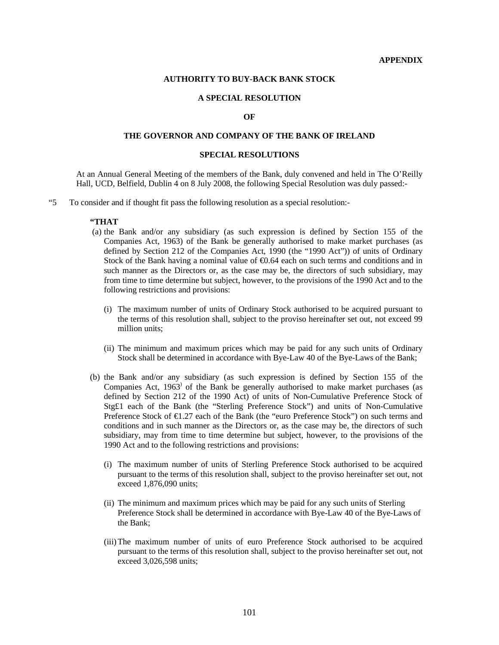#### **APPENDIX**

#### **AUTHORITY TO BUY-BACK BANK STOCK**

# **A SPECIAL RESOLUTION**

# **OF**

# **THE GOVERNOR AND COMPANY OF THE BANK OF IRELAND**

#### **SPECIAL RESOLUTIONS**

At an Annual General Meeting of the members of the Bank, duly convened and held in The O'Reilly Hall, UCD, Belfield, Dublin 4 on 8 July 2008, the following Special Resolution was duly passed:-

"5 To consider and if thought fit pass the following resolution as a special resolution:-

#### **"THAT**

- (a) the Bank and/or any subsidiary (as such expression is defined by Section 155 of the Companies Act, 1963) of the Bank be generally authorised to make market purchases (as defined by Section 212 of the Companies Act, 1990 (the "1990 Act")) of units of Ordinary Stock of the Bank having a nominal value of  $\epsilon$ 0.64 each on such terms and conditions and in such manner as the Directors or, as the case may be, the directors of such subsidiary, may from time to time determine but subject, however, to the provisions of the 1990 Act and to the following restrictions and provisions:
	- (i) The maximum number of units of Ordinary Stock authorised to be acquired pursuant to the terms of this resolution shall, subject to the proviso hereinafter set out, not exceed 99 million units;
	- (ii) The minimum and maximum prices which may be paid for any such units of Ordinary Stock shall be determined in accordance with Bye-Law 40 of the Bye-Laws of the Bank;
- (b) the Bank and/or any subsidiary (as such expression is defined by Section 155 of the Companies Act,  $1963^{\circ}$  of the Bank be generally authorised to make market purchases (as defined by Section 212 of the 1990 Act) of units of Non-Cumulative Preference Stock of Stg£1 each of the Bank (the "Sterling Preference Stock") and units of Non-Cumulative Preference Stock of €1.27 each of the Bank (the "euro Preference Stock") on such terms and conditions and in such manner as the Directors or, as the case may be, the directors of such subsidiary, may from time to time determine but subject, however, to the provisions of the 1990 Act and to the following restrictions and provisions:
	- (i) The maximum number of units of Sterling Preference Stock authorised to be acquired pursuant to the terms of this resolution shall, subject to the proviso hereinafter set out, not exceed 1,876,090 units;
	- (ii) The minimum and maximum prices which may be paid for any such units of Sterling Preference Stock shall be determined in accordance with Bye-Law 40 of the Bye-Laws of the Bank;
	- (iii) The maximum number of units of euro Preference Stock authorised to be acquired pursuant to the terms of this resolution shall, subject to the proviso hereinafter set out, not exceed 3,026,598 units;